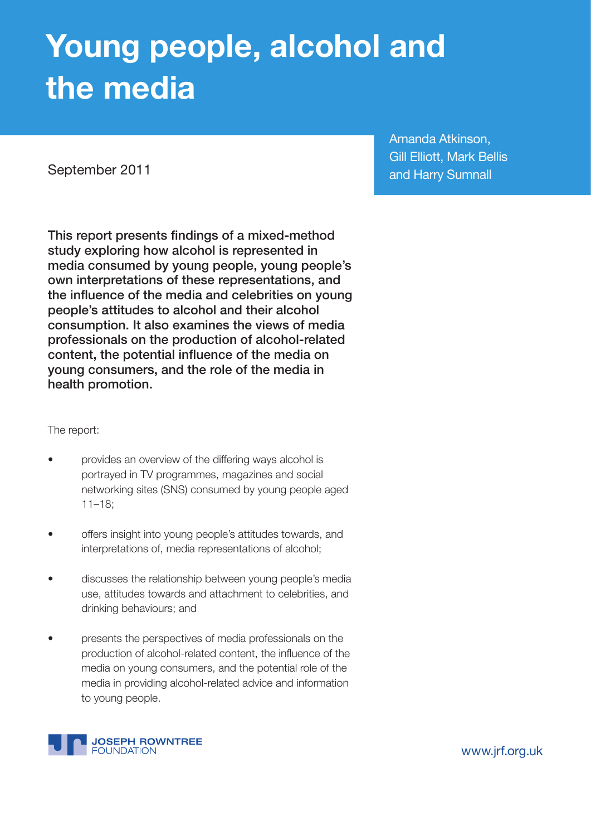# **Young people, alcohol and the media**

September 2011

Amanda Atkinson, Gill Elliott, Mark Bellis and Harry Sumnall

This report presents findings of a mixed-method study exploring how alcohol is represented in media consumed by young people, young people's own interpretations of these representations, and the influence of the media and celebrities on young people's attitudes to alcohol and their alcohol consumption. It also examines the views of media professionals on the production of alcohol-related content, the potential influence of the media on young consumers, and the role of the media in health promotion.

The report:

- provides an overview of the differing ways alcohol is portrayed in TV programmes, magazines and social networking sites (SNS) consumed by young people aged 11–18;
- offers insight into young people's attitudes towards, and interpretations of, media representations of alcohol;
- discusses the relationship between young people's media use, attitudes towards and attachment to celebrities, and drinking behaviours; and
- presents the perspectives of media professionals on the production of alcohol-related content, the influence of the media on young consumers, and the potential role of the media in providing alcohol-related advice and information to young people.



www.jrf.org.uk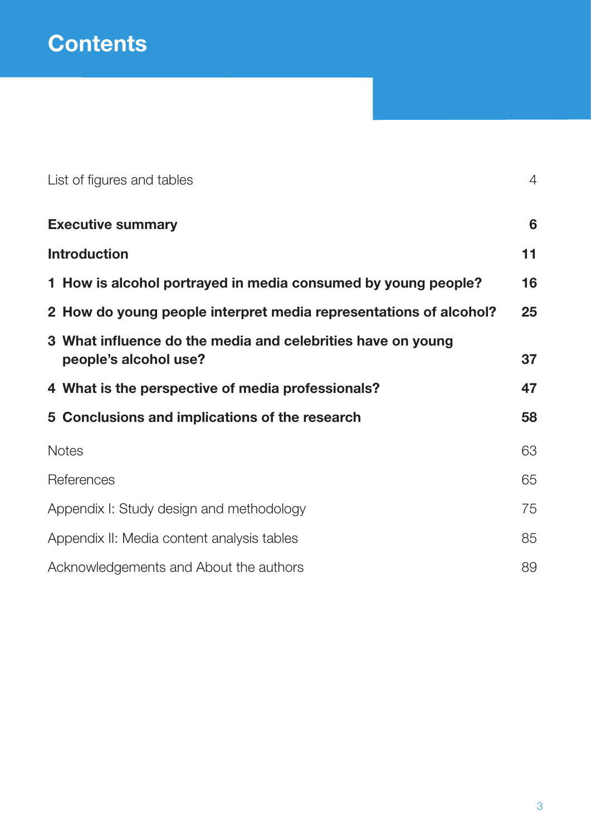| List of figures and tables                                                           | $\overline{4}$ |
|--------------------------------------------------------------------------------------|----------------|
| <b>Executive summary</b>                                                             | 6              |
| <b>Introduction</b>                                                                  | 11             |
| 1 How is alcohol portrayed in media consumed by young people?                        | 16             |
| 2 How do young people interpret media representations of alcohol?                    | 25             |
| 3 What influence do the media and celebrities have on young<br>people's alcohol use? | 37             |
| 4 What is the perspective of media professionals?                                    | 47             |
| 5 Conclusions and implications of the research                                       | 58             |
| <b>Notes</b>                                                                         | 63             |
| References                                                                           | 65             |
| Appendix I: Study design and methodology                                             | 75             |
| Appendix II: Media content analysis tables                                           | 85             |
| Acknowledgements and About the authors                                               | 89             |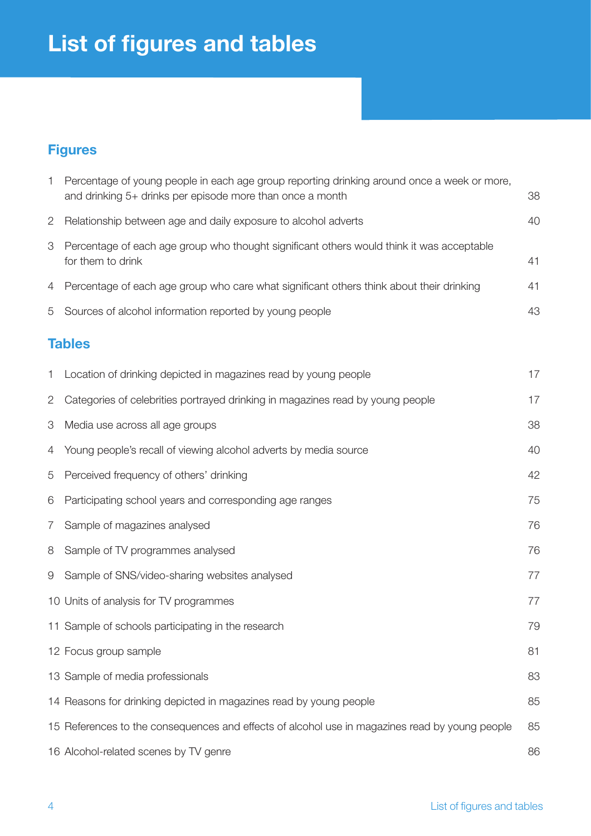## **List of figures and tables**

## **Figures**

| 1              | Percentage of young people in each age group reporting drinking around once a week or more,<br>and drinking 5+ drinks per episode more than once a month | 38 |
|----------------|----------------------------------------------------------------------------------------------------------------------------------------------------------|----|
| 2              | Relationship between age and daily exposure to alcohol adverts                                                                                           | 40 |
| 3              | Percentage of each age group who thought significant others would think it was acceptable<br>for them to drink                                           | 41 |
| 4              | Percentage of each age group who care what significant others think about their drinking                                                                 | 41 |
| 5              | Sources of alcohol information reported by young people                                                                                                  | 43 |
|                | <b>Tables</b>                                                                                                                                            |    |
| 1              | Location of drinking depicted in magazines read by young people                                                                                          | 17 |
| $\overline{2}$ | Categories of celebrities portrayed drinking in magazines read by young people                                                                           | 17 |
| 3              | Media use across all age groups                                                                                                                          | 38 |
| 4              | Young people's recall of viewing alcohol adverts by media source                                                                                         | 40 |
| 5              | Perceived frequency of others' drinking                                                                                                                  | 42 |
| 6              | Participating school years and corresponding age ranges                                                                                                  | 75 |
| 7              | Sample of magazines analysed                                                                                                                             | 76 |
| 8              | Sample of TV programmes analysed                                                                                                                         | 76 |
| 9              | Sample of SNS/video-sharing websites analysed                                                                                                            | 77 |
|                | 10 Units of analysis for TV programmes                                                                                                                   | 77 |
|                | 11 Sample of schools participating in the research                                                                                                       | 79 |
|                | 12 Focus group sample                                                                                                                                    | 81 |
|                | 13 Sample of media professionals                                                                                                                         | 83 |
|                | 14 Reasons for drinking depicted in magazines read by young people                                                                                       | 85 |
|                | 15 References to the consequences and effects of alcohol use in magazines read by young people                                                           | 85 |
|                | 16 Alcohol-related scenes by TV genre                                                                                                                    | 86 |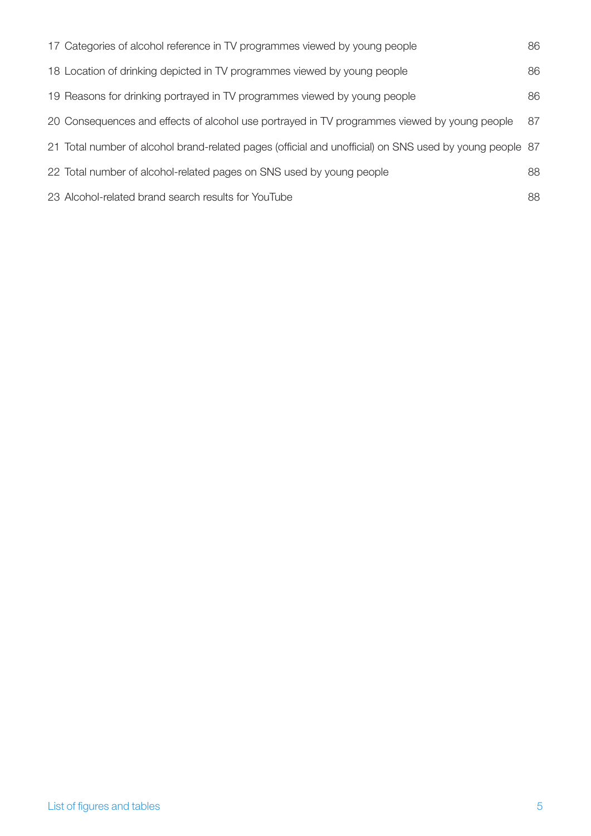| 17 Categories of alcohol reference in TV programmes viewed by young people                              | 86 |
|---------------------------------------------------------------------------------------------------------|----|
| 18 Location of drinking depicted in TV programmes viewed by young people                                | 86 |
| 19 Reasons for drinking portrayed in TV programmes viewed by young people                               | 86 |
| 20 Consequences and effects of alcohol use portrayed in TV programmes viewed by young people            | 87 |
| 21 Total number of alcohol brand-related pages (official and unofficial) on SNS used by young people 87 |    |
| 22 Total number of alcohol-related pages on SNS used by young people                                    | 88 |
| 23 Alcohol-related brand search results for YouTube                                                     | 88 |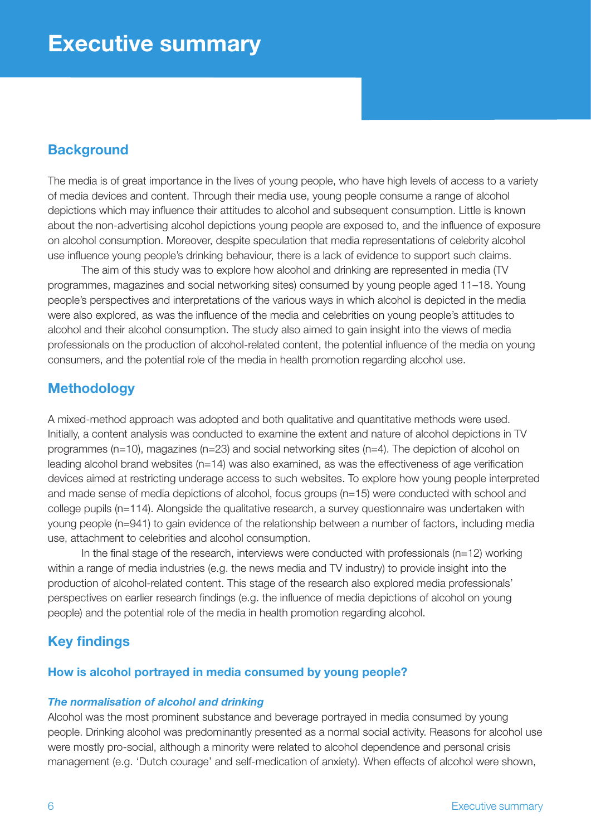## **Background**

The media is of great importance in the lives of young people, who have high levels of access to a variety of media devices and content. Through their media use, young people consume a range of alcohol depictions which may influence their attitudes to alcohol and subsequent consumption. Little is known about the non-advertising alcohol depictions young people are exposed to, and the influence of exposure on alcohol consumption. Moreover, despite speculation that media representations of celebrity alcohol use influence young people's drinking behaviour, there is a lack of evidence to support such claims.

The aim of this study was to explore how alcohol and drinking are represented in media (TV programmes, magazines and social networking sites) consumed by young people aged 11–18. Young people's perspectives and interpretations of the various ways in which alcohol is depicted in the media were also explored, as was the influence of the media and celebrities on young people's attitudes to alcohol and their alcohol consumption. The study also aimed to gain insight into the views of media professionals on the production of alcohol-related content, the potential influence of the media on young consumers, and the potential role of the media in health promotion regarding alcohol use.

## **Methodology**

A mixed-method approach was adopted and both qualitative and quantitative methods were used. Initially, a content analysis was conducted to examine the extent and nature of alcohol depictions in TV programmes (n=10), magazines (n=23) and social networking sites (n=4). The depiction of alcohol on leading alcohol brand websites (n=14) was also examined, as was the effectiveness of age verification devices aimed at restricting underage access to such websites. To explore how young people interpreted and made sense of media depictions of alcohol, focus groups (n=15) were conducted with school and college pupils (n=114). Alongside the qualitative research, a survey questionnaire was undertaken with young people (n=941) to gain evidence of the relationship between a number of factors, including media use, attachment to celebrities and alcohol consumption.

In the final stage of the research, interviews were conducted with professionals (n=12) working within a range of media industries (e.g. the news media and TV industry) to provide insight into the production of alcohol-related content. This stage of the research also explored media professionals' perspectives on earlier research findings (e.g. the influence of media depictions of alcohol on young people) and the potential role of the media in health promotion regarding alcohol.

## **Key findings**

#### **How is alcohol portrayed in media consumed by young people?**

#### *The normalisation of alcohol and drinking*

Alcohol was the most prominent substance and beverage portrayed in media consumed by young people. Drinking alcohol was predominantly presented as a normal social activity. Reasons for alcohol use were mostly pro-social, although a minority were related to alcohol dependence and personal crisis management (e.g. 'Dutch courage' and self-medication of anxiety). When effects of alcohol were shown,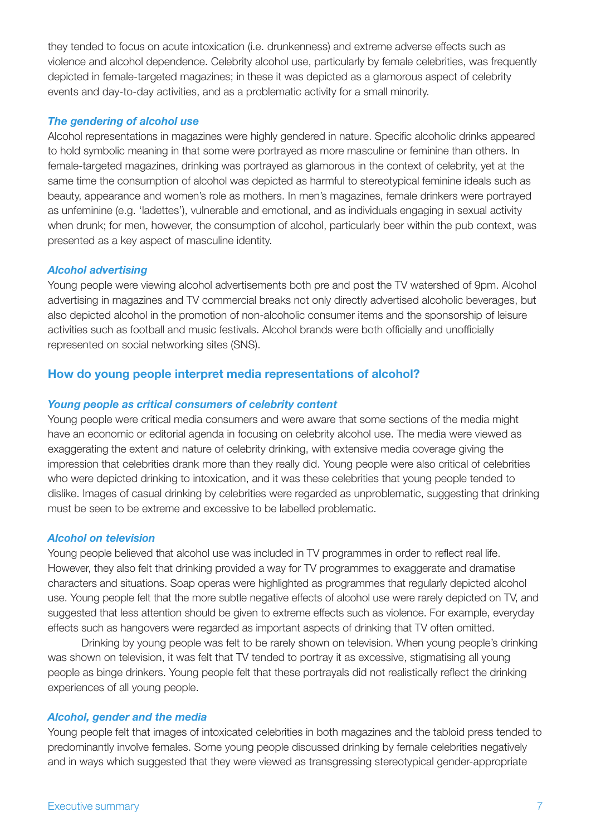they tended to focus on acute intoxication (i.e. drunkenness) and extreme adverse effects such as violence and alcohol dependence. Celebrity alcohol use, particularly by female celebrities, was frequently depicted in female-targeted magazines; in these it was depicted as a glamorous aspect of celebrity events and day-to-day activities, and as a problematic activity for a small minority.

#### *The gendering of alcohol use*

Alcohol representations in magazines were highly gendered in nature. Specific alcoholic drinks appeared to hold symbolic meaning in that some were portrayed as more masculine or feminine than others. In female-targeted magazines, drinking was portrayed as glamorous in the context of celebrity, yet at the same time the consumption of alcohol was depicted as harmful to stereotypical feminine ideals such as beauty, appearance and women's role as mothers. In men's magazines, female drinkers were portrayed as unfeminine (e.g. 'ladettes'), vulnerable and emotional, and as individuals engaging in sexual activity when drunk; for men, however, the consumption of alcohol, particularly beer within the pub context, was presented as a key aspect of masculine identity.

#### *Alcohol advertising*

Young people were viewing alcohol advertisements both pre and post the TV watershed of 9pm. Alcohol advertising in magazines and TV commercial breaks not only directly advertised alcoholic beverages, but also depicted alcohol in the promotion of non-alcoholic consumer items and the sponsorship of leisure activities such as football and music festivals. Alcohol brands were both officially and unofficially represented on social networking sites (SNS).

#### **How do young people interpret media representations of alcohol?**

#### *Young people as critical consumers of celebrity content*

Young people were critical media consumers and were aware that some sections of the media might have an economic or editorial agenda in focusing on celebrity alcohol use. The media were viewed as exaggerating the extent and nature of celebrity drinking, with extensive media coverage giving the impression that celebrities drank more than they really did. Young people were also critical of celebrities who were depicted drinking to intoxication, and it was these celebrities that young people tended to dislike. Images of casual drinking by celebrities were regarded as unproblematic, suggesting that drinking must be seen to be extreme and excessive to be labelled problematic.

#### *Alcohol on television*

Young people believed that alcohol use was included in TV programmes in order to reflect real life. However, they also felt that drinking provided a way for TV programmes to exaggerate and dramatise characters and situations. Soap operas were highlighted as programmes that regularly depicted alcohol use. Young people felt that the more subtle negative effects of alcohol use were rarely depicted on TV, and suggested that less attention should be given to extreme effects such as violence. For example, everyday effects such as hangovers were regarded as important aspects of drinking that TV often omitted.

Drinking by young people was felt to be rarely shown on television. When young people's drinking was shown on television, it was felt that TV tended to portray it as excessive, stigmatising all young people as binge drinkers. Young people felt that these portrayals did not realistically reflect the drinking experiences of all young people.

#### *Alcohol, gender and the media*

Young people felt that images of intoxicated celebrities in both magazines and the tabloid press tended to predominantly involve females. Some young people discussed drinking by female celebrities negatively and in ways which suggested that they were viewed as transgressing stereotypical gender-appropriate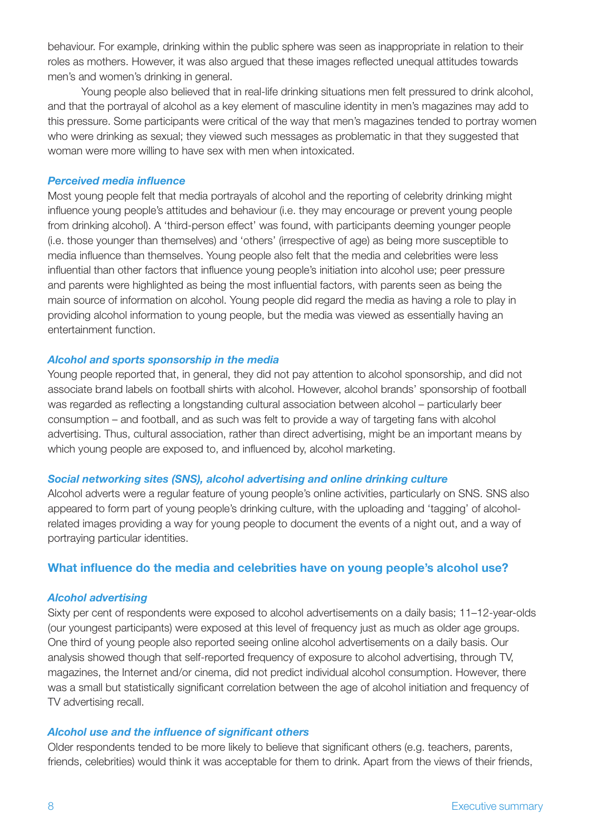behaviour. For example, drinking within the public sphere was seen as inappropriate in relation to their roles as mothers. However, it was also argued that these images reflected unequal attitudes towards men's and women's drinking in general.

Young people also believed that in real-life drinking situations men felt pressured to drink alcohol, and that the portrayal of alcohol as a key element of masculine identity in men's magazines may add to this pressure. Some participants were critical of the way that men's magazines tended to portray women who were drinking as sexual; they viewed such messages as problematic in that they suggested that woman were more willing to have sex with men when intoxicated.

#### *Perceived media influence*

Most young people felt that media portrayals of alcohol and the reporting of celebrity drinking might influence young people's attitudes and behaviour (i.e. they may encourage or prevent young people from drinking alcohol). A 'third-person effect' was found, with participants deeming younger people (i.e. those younger than themselves) and 'others' (irrespective of age) as being more susceptible to media influence than themselves. Young people also felt that the media and celebrities were less influential than other factors that influence young people's initiation into alcohol use; peer pressure and parents were highlighted as being the most influential factors, with parents seen as being the main source of information on alcohol. Young people did regard the media as having a role to play in providing alcohol information to young people, but the media was viewed as essentially having an entertainment function.

#### *Alcohol and sports sponsorship in the media*

Young people reported that, in general, they did not pay attention to alcohol sponsorship, and did not associate brand labels on football shirts with alcohol. However, alcohol brands' sponsorship of football was regarded as reflecting a longstanding cultural association between alcohol – particularly beer consumption – and football, and as such was felt to provide a way of targeting fans with alcohol advertising. Thus, cultural association, rather than direct advertising, might be an important means by which young people are exposed to, and influenced by, alcohol marketing.

#### *Social networking sites (SNS), alcohol advertising and online drinking culture*

Alcohol adverts were a regular feature of young people's online activities, particularly on SNS. SNS also appeared to form part of young people's drinking culture, with the uploading and 'tagging' of alcoholrelated images providing a way for young people to document the events of a night out, and a way of portraying particular identities.

#### **What influence do the media and celebrities have on young people's alcohol use?**

#### *Alcohol advertising*

Sixty per cent of respondents were exposed to alcohol advertisements on a daily basis; 11–12-year-olds (our youngest participants) were exposed at this level of frequency just as much as older age groups. One third of young people also reported seeing online alcohol advertisements on a daily basis. Our analysis showed though that self-reported frequency of exposure to alcohol advertising, through TV, magazines, the Internet and/or cinema, did not predict individual alcohol consumption. However, there was a small but statistically significant correlation between the age of alcohol initiation and frequency of TV advertising recall.

#### *Alcohol use and the influence of significant others*

Older respondents tended to be more likely to believe that significant others (e.g. teachers, parents, friends, celebrities) would think it was acceptable for them to drink. Apart from the views of their friends,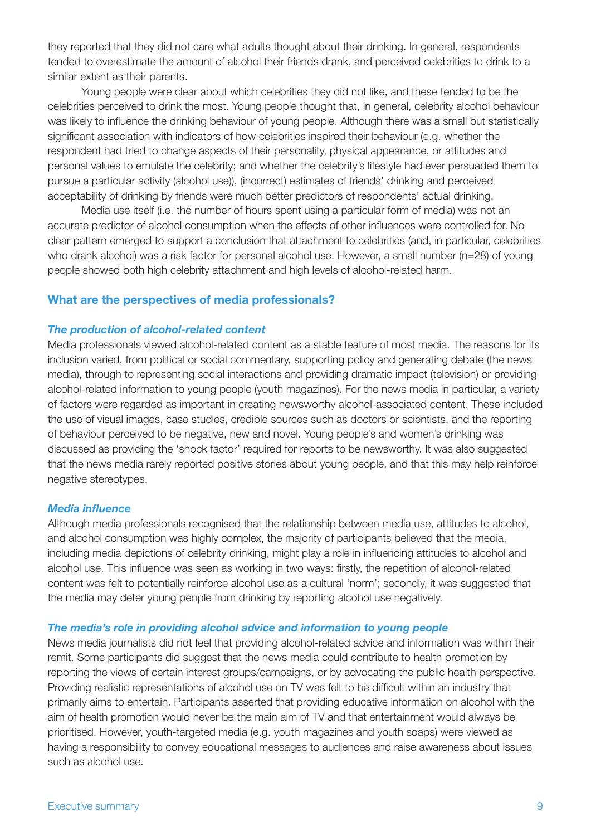they reported that they did not care what adults thought about their drinking. In general, respondents tended to overestimate the amount of alcohol their friends drank, and perceived celebrities to drink to a similar extent as their parents.

Young people were clear about which celebrities they did not like, and these tended to be the celebrities perceived to drink the most. Young people thought that, in general, celebrity alcohol behaviour was likely to influence the drinking behaviour of young people. Although there was a small but statistically significant association with indicators of how celebrities inspired their behaviour (e.g. whether the respondent had tried to change aspects of their personality, physical appearance, or attitudes and personal values to emulate the celebrity; and whether the celebrity's lifestyle had ever persuaded them to pursue a particular activity (alcohol use)), (incorrect) estimates of friends' drinking and perceived acceptability of drinking by friends were much better predictors of respondents' actual drinking.

Media use itself (i.e. the number of hours spent using a particular form of media) was not an accurate predictor of alcohol consumption when the effects of other influences were controlled for. No clear pattern emerged to support a conclusion that attachment to celebrities (and, in particular, celebrities who drank alcohol) was a risk factor for personal alcohol use. However, a small number (n=28) of young people showed both high celebrity attachment and high levels of alcohol-related harm.

#### **What are the perspectives of media professionals?**

#### *The production of alcohol-related content*

Media professionals viewed alcohol-related content as a stable feature of most media. The reasons for its inclusion varied, from political or social commentary, supporting policy and generating debate (the news media), through to representing social interactions and providing dramatic impact (television) or providing alcohol-related information to young people (youth magazines). For the news media in particular, a variety of factors were regarded as important in creating newsworthy alcohol-associated content. These included the use of visual images, case studies, credible sources such as doctors or scientists, and the reporting of behaviour perceived to be negative, new and novel. Young people's and women's drinking was discussed as providing the 'shock factor' required for reports to be newsworthy. It was also suggested that the news media rarely reported positive stories about young people, and that this may help reinforce negative stereotypes.

#### *Media influence*

Although media professionals recognised that the relationship between media use, attitudes to alcohol, and alcohol consumption was highly complex, the majority of participants believed that the media, including media depictions of celebrity drinking, might play a role in influencing attitudes to alcohol and alcohol use. This influence was seen as working in two ways: firstly, the repetition of alcohol-related content was felt to potentially reinforce alcohol use as a cultural 'norm'; secondly, it was suggested that the media may deter young people from drinking by reporting alcohol use negatively.

#### *The media's role in providing alcohol advice and information to young people*

News media journalists did not feel that providing alcohol-related advice and information was within their remit. Some participants did suggest that the news media could contribute to health promotion by reporting the views of certain interest groups/campaigns, or by advocating the public health perspective. Providing realistic representations of alcohol use on TV was felt to be difficult within an industry that primarily aims to entertain. Participants asserted that providing educative information on alcohol with the aim of health promotion would never be the main aim of TV and that entertainment would always be prioritised. However, youth-targeted media (e.g. youth magazines and youth soaps) were viewed as having a responsibility to convey educational messages to audiences and raise awareness about issues such as alcohol use.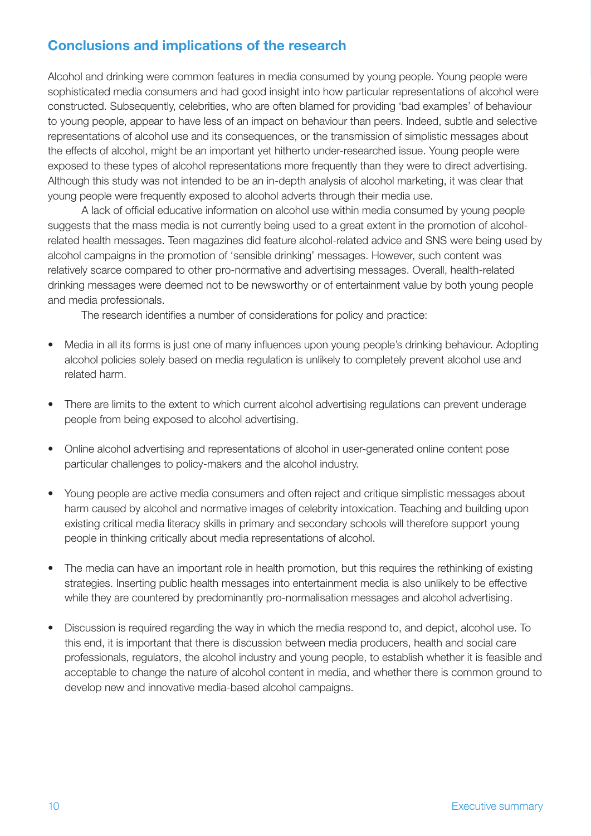## **Conclusions and implications of the research**

Alcohol and drinking were common features in media consumed by young people. Young people were sophisticated media consumers and had good insight into how particular representations of alcohol were constructed. Subsequently, celebrities, who are often blamed for providing 'bad examples' of behaviour to young people, appear to have less of an impact on behaviour than peers. Indeed, subtle and selective representations of alcohol use and its consequences, or the transmission of simplistic messages about the effects of alcohol, might be an important yet hitherto under-researched issue. Young people were exposed to these types of alcohol representations more frequently than they were to direct advertising. Although this study was not intended to be an in-depth analysis of alcohol marketing, it was clear that young people were frequently exposed to alcohol adverts through their media use.

A lack of official educative information on alcohol use within media consumed by young people suggests that the mass media is not currently being used to a great extent in the promotion of alcoholrelated health messages. Teen magazines did feature alcohol-related advice and SNS were being used by alcohol campaigns in the promotion of 'sensible drinking' messages. However, such content was relatively scarce compared to other pro-normative and advertising messages. Overall, health-related drinking messages were deemed not to be newsworthy or of entertainment value by both young people and media professionals.

The research identifies a number of considerations for policy and practice:

- Media in all its forms is just one of many influences upon young people's drinking behaviour. Adopting alcohol policies solely based on media regulation is unlikely to completely prevent alcohol use and related harm.
- There are limits to the extent to which current alcohol advertising regulations can prevent underage people from being exposed to alcohol advertising.
- Online alcohol advertising and representations of alcohol in user-generated online content pose particular challenges to policy-makers and the alcohol industry.
- Young people are active media consumers and often reject and critique simplistic messages about harm caused by alcohol and normative images of celebrity intoxication. Teaching and building upon existing critical media literacy skills in primary and secondary schools will therefore support young people in thinking critically about media representations of alcohol.
- The media can have an important role in health promotion, but this requires the rethinking of existing strategies. Inserting public health messages into entertainment media is also unlikely to be effective while they are countered by predominantly pro-normalisation messages and alcohol advertising.
- Discussion is required regarding the way in which the media respond to, and depict, alcohol use. To this end, it is important that there is discussion between media producers, health and social care professionals, regulators, the alcohol industry and young people, to establish whether it is feasible and acceptable to change the nature of alcohol content in media, and whether there is common ground to develop new and innovative media-based alcohol campaigns.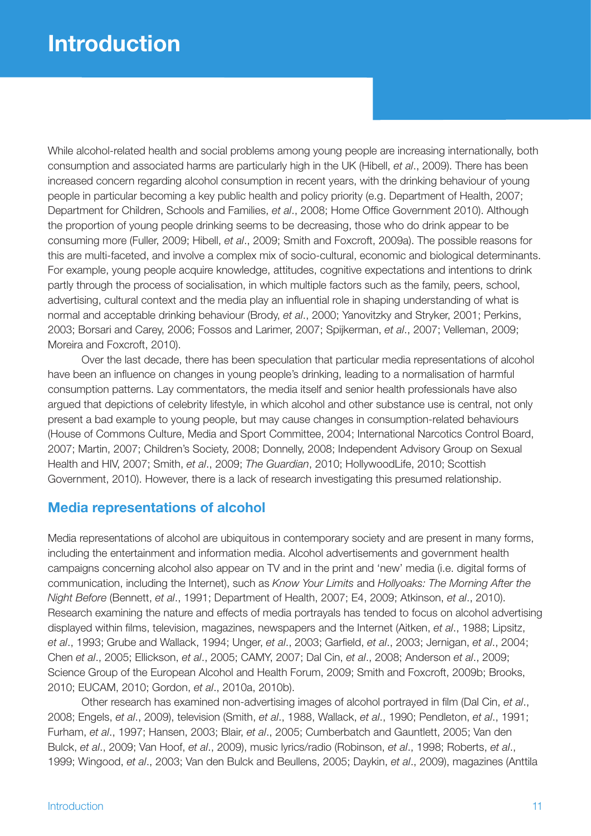While alcohol-related health and social problems among young people are increasing internationally, both consumption and associated harms are particularly high in the UK (Hibell, *et al*., 2009). There has been increased concern regarding alcohol consumption in recent years, with the drinking behaviour of young people in particular becoming a key public health and policy priority (e.g. Department of Health, 2007; Department for Children, Schools and Families, *et al*., 2008; Home Office Government 2010). Although the proportion of young people drinking seems to be decreasing, those who do drink appear to be consuming more (Fuller, 2009; Hibell, *et al*., 2009; Smith and Foxcroft, 2009a). The possible reasons for this are multi-faceted, and involve a complex mix of socio-cultural, economic and biological determinants. For example, young people acquire knowledge, attitudes, cognitive expectations and intentions to drink partly through the process of socialisation, in which multiple factors such as the family, peers, school, advertising, cultural context and the media play an influential role in shaping understanding of what is normal and acceptable drinking behaviour (Brody, *et al*., 2000; Yanovitzky and Stryker, 2001; Perkins, 2003; Borsari and Carey, 2006; Fossos and Larimer, 2007; Spijkerman, *et al*., 2007; Velleman, 2009; Moreira and Foxcroft, 2010).

Over the last decade, there has been speculation that particular media representations of alcohol have been an influence on changes in young people's drinking, leading to a normalisation of harmful consumption patterns. Lay commentators, the media itself and senior health professionals have also argued that depictions of celebrity lifestyle, in which alcohol and other substance use is central, not only present a bad example to young people, but may cause changes in consumption-related behaviours (House of Commons Culture, Media and Sport Committee, 2004; International Narcotics Control Board, 2007; Martin, 2007; Children's Society, 2008; Donnelly, 2008; Independent Advisory Group on Sexual Health and HIV, 2007; Smith, *et al*., 2009; *The Guardian*, 2010; HollywoodLife, 2010; Scottish Government, 2010). However, there is a lack of research investigating this presumed relationship.

## **Media representations of alcohol**

Media representations of alcohol are ubiquitous in contemporary society and are present in many forms, including the entertainment and information media. Alcohol advertisements and government health campaigns concerning alcohol also appear on TV and in the print and 'new' media (i.e. digital forms of communication, including the Internet), such as *Know Your Limits* and *Hollyoaks: The Morning After the Night Before* (Bennett, *et al*., 1991; Department of Health, 2007; E4, 2009; Atkinson, *et al*., 2010). Research examining the nature and effects of media portrayals has tended to focus on alcohol advertising displayed within films, television, magazines, newspapers and the Internet (Aitken, *et al*., 1988; Lipsitz, *et al*., 1993; Grube and Wallack, 1994; Unger, *et al*., 2003; Garfield, *et al*., 2003; Jernigan, *et al*., 2004; Chen *et al*., 2005; Ellickson, *et al*., 2005; CAMY, 2007; Dal Cin, *et al*., 2008; Anderson *et al*., 2009; Science Group of the European Alcohol and Health Forum, 2009; Smith and Foxcroft, 2009b; Brooks, 2010; EUCAM, 2010; Gordon, *et al*., 2010a, 2010b).

Other research has examined non-advertising images of alcohol portrayed in film (Dal Cin, *et al*., 2008; Engels, *et al*., 2009), television (Smith, *et al*., 1988, Wallack, *et al*., 1990; Pendleton, *et al*., 1991; Furham, *et al*., 1997; Hansen, 2003; Blair, *et al*., 2005; Cumberbatch and Gauntlett, 2005; Van den Bulck, *et al*., 2009; Van Hoof, *et al*., 2009), music lyrics/radio (Robinson, *et al*., 1998; Roberts, *et al*., 1999; Wingood, *et al*., 2003; Van den Bulck and Beullens, 2005; Daykin, *et al*., 2009), magazines (Anttila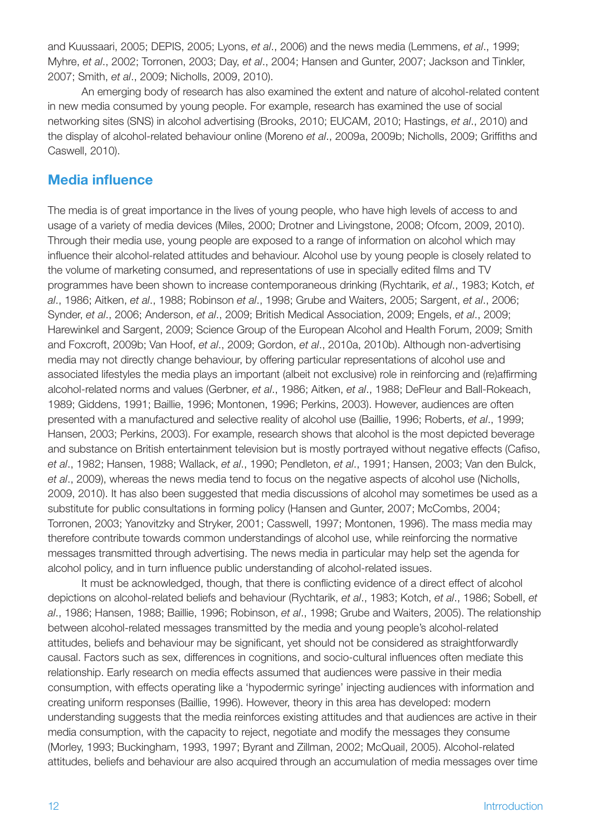and Kuussaari, 2005; DEPIS, 2005; Lyons, *et al*., 2006) and the news media (Lemmens, *et al*., 1999; Myhre, *et al*., 2002; Torronen, 2003; Day, *et al*., 2004; Hansen and Gunter, 2007; Jackson and Tinkler, 2007; Smith, *et al*., 2009; Nicholls, 2009, 2010).

An emerging body of research has also examined the extent and nature of alcohol-related content in new media consumed by young people. For example, research has examined the use of social networking sites (SNS) in alcohol advertising (Brooks, 2010; EUCAM, 2010; Hastings, *et al*., 2010) and the display of alcohol-related behaviour online (Moreno *et al*., 2009a, 2009b; Nicholls, 2009; Griffiths and Caswell, 2010).

### **Media influence**

The media is of great importance in the lives of young people, who have high levels of access to and usage of a variety of media devices (Miles, 2000; Drotner and Livingstone, 2008; Ofcom, 2009, 2010). Through their media use, young people are exposed to a range of information on alcohol which may influence their alcohol-related attitudes and behaviour. Alcohol use by young people is closely related to the volume of marketing consumed, and representations of use in specially edited films and TV programmes have been shown to increase contemporaneous drinking (Rychtarik, *et al*., 1983; Kotch, *et al*., 1986; Aitken, *et al*., 1988; Robinson *et al*., 1998; Grube and Waiters, 2005; Sargent, *et al*., 2006; Synder, *et al*., 2006; Anderson, *et al*., 2009; British Medical Association, 2009; Engels, *et al*., 2009; Harewinkel and Sargent, 2009; Science Group of the European Alcohol and Health Forum, 2009; Smith and Foxcroft, 2009b; Van Hoof, *et al*., 2009; Gordon, *et al*., 2010a, 2010b). Although non-advertising media may not directly change behaviour, by offering particular representations of alcohol use and associated lifestyles the media plays an important (albeit not exclusive) role in reinforcing and (re)affirming alcohol-related norms and values (Gerbner, *et al*., 1986; Aitken, *et al*., 1988; DeFleur and Ball-Rokeach, 1989; Giddens, 1991; Baillie, 1996; Montonen, 1996; Perkins, 2003). However, audiences are often presented with a manufactured and selective reality of alcohol use (Baillie, 1996; Roberts, *et al*., 1999; Hansen, 2003; Perkins, 2003). For example, research shows that alcohol is the most depicted beverage and substance on British entertainment television but is mostly portrayed without negative effects (Cafiso, *et al*., 1982; Hansen, 1988; Wallack, *et al*., 1990; Pendleton, *et al*., 1991; Hansen, 2003; Van den Bulck, *et al*., 2009), whereas the news media tend to focus on the negative aspects of alcohol use (Nicholls, 2009, 2010). It has also been suggested that media discussions of alcohol may sometimes be used as a substitute for public consultations in forming policy (Hansen and Gunter, 2007; McCombs, 2004; Torronen, 2003; Yanovitzky and Stryker, 2001; Casswell, 1997; Montonen, 1996). The mass media may therefore contribute towards common understandings of alcohol use, while reinforcing the normative messages transmitted through advertising. The news media in particular may help set the agenda for alcohol policy, and in turn influence public understanding of alcohol-related issues.

It must be acknowledged, though, that there is conflicting evidence of a direct effect of alcohol depictions on alcohol-related beliefs and behaviour (Rychtarik, *et al*., 1983; Kotch, *et al*., 1986; Sobell, *et al*., 1986; Hansen, 1988; Baillie, 1996; Robinson, *et al*., 1998; Grube and Waiters, 2005). The relationship between alcohol-related messages transmitted by the media and young people's alcohol-related attitudes, beliefs and behaviour may be significant, yet should not be considered as straightforwardly causal. Factors such as sex, differences in cognitions, and socio-cultural influences often mediate this relationship. Early research on media effects assumed that audiences were passive in their media consumption, with effects operating like a 'hypodermic syringe' injecting audiences with information and creating uniform responses (Baillie, 1996). However, theory in this area has developed: modern understanding suggests that the media reinforces existing attitudes and that audiences are active in their media consumption, with the capacity to reject, negotiate and modify the messages they consume (Morley, 1993; Buckingham, 1993, 1997; Byrant and Zillman, 2002; McQuail, 2005). Alcohol-related attitudes, beliefs and behaviour are also acquired through an accumulation of media messages over time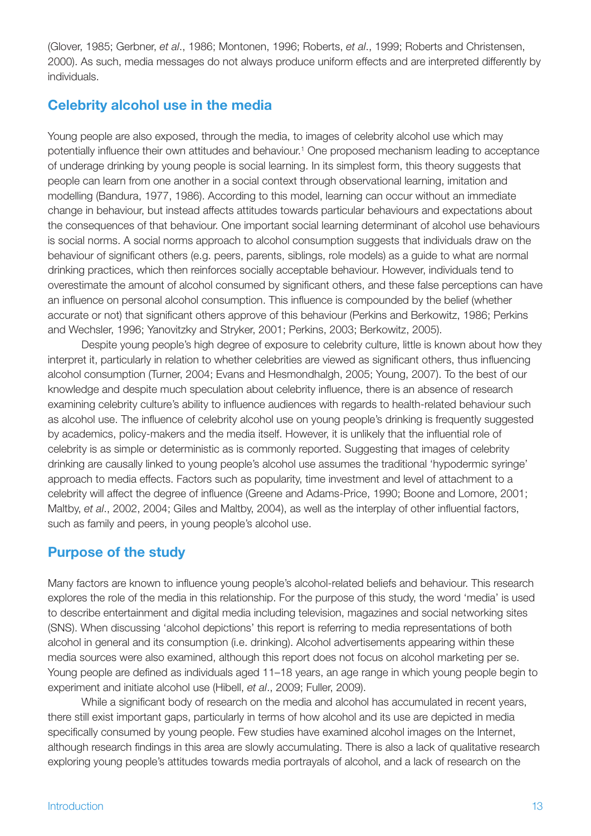(Glover, 1985; Gerbner, *et al*., 1986; Montonen, 1996; Roberts, *et al*., 1999; Roberts and Christensen, 2000). As such, media messages do not always produce uniform effects and are interpreted differently by individuals.

## **Celebrity alcohol use in the media**

Young people are also exposed, through the media, to images of celebrity alcohol use which may potentially influence their own attitudes and behaviour.<sup>1</sup> One proposed mechanism leading to acceptance of underage drinking by young people is social learning. In its simplest form, this theory suggests that people can learn from one another in a social context through observational learning, imitation and modelling (Bandura, 1977, 1986). According to this model, learning can occur without an immediate change in behaviour, but instead affects attitudes towards particular behaviours and expectations about the consequences of that behaviour. One important social learning determinant of alcohol use behaviours is social norms. A social norms approach to alcohol consumption suggests that individuals draw on the behaviour of significant others (e.g. peers, parents, siblings, role models) as a guide to what are normal drinking practices, which then reinforces socially acceptable behaviour. However, individuals tend to overestimate the amount of alcohol consumed by significant others, and these false perceptions can have an influence on personal alcohol consumption. This influence is compounded by the belief (whether accurate or not) that significant others approve of this behaviour (Perkins and Berkowitz, 1986; Perkins and Wechsler, 1996; Yanovitzky and Stryker, 2001; Perkins, 2003; Berkowitz, 2005).

Despite young people's high degree of exposure to celebrity culture, little is known about how they interpret it, particularly in relation to whether celebrities are viewed as significant others, thus influencing alcohol consumption (Turner, 2004; Evans and Hesmondhalgh, 2005; Young, 2007). To the best of our knowledge and despite much speculation about celebrity influence, there is an absence of research examining celebrity culture's ability to influence audiences with regards to health-related behaviour such as alcohol use. The influence of celebrity alcohol use on young people's drinking is frequently suggested by academics, policy-makers and the media itself. However, it is unlikely that the influential role of celebrity is as simple or deterministic as is commonly reported. Suggesting that images of celebrity drinking are causally linked to young people's alcohol use assumes the traditional 'hypodermic syringe' approach to media effects. Factors such as popularity, time investment and level of attachment to a celebrity will affect the degree of influence (Greene and Adams-Price, 1990; Boone and Lomore, 2001; Maltby, *et al*., 2002, 2004; Giles and Maltby, 2004), as well as the interplay of other influential factors, such as family and peers, in young people's alcohol use.

## **Purpose of the study**

Many factors are known to influence young people's alcohol-related beliefs and behaviour. This research explores the role of the media in this relationship. For the purpose of this study, the word 'media' is used to describe entertainment and digital media including television, magazines and social networking sites (SNS). When discussing 'alcohol depictions' this report is referring to media representations of both alcohol in general and its consumption (i.e. drinking). Alcohol advertisements appearing within these media sources were also examined, although this report does not focus on alcohol marketing per se. Young people are defined as individuals aged 11–18 years, an age range in which young people begin to experiment and initiate alcohol use (Hibell, *et al*., 2009; Fuller, 2009).

While a significant body of research on the media and alcohol has accumulated in recent years, there still exist important gaps, particularly in terms of how alcohol and its use are depicted in media specifically consumed by young people. Few studies have examined alcohol images on the Internet, although research findings in this area are slowly accumulating. There is also a lack of qualitative research exploring young people's attitudes towards media portrayals of alcohol, and a lack of research on the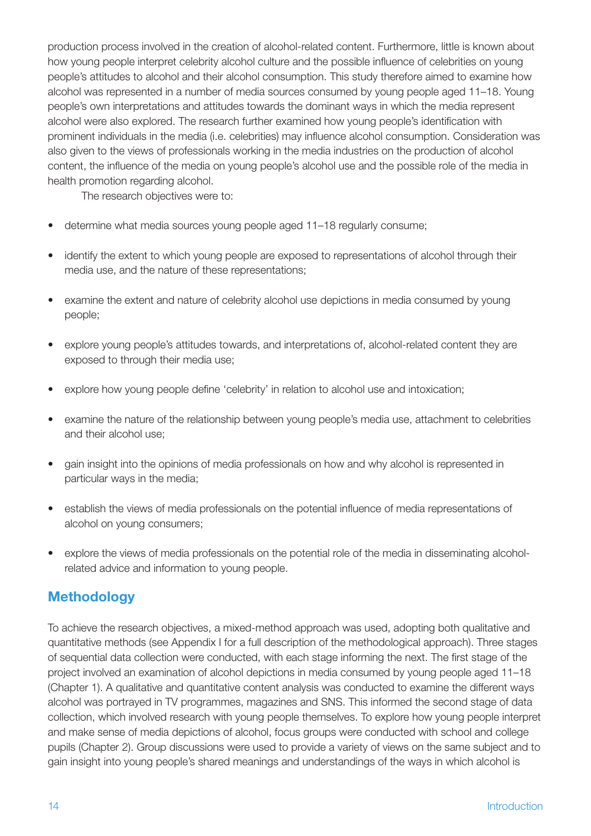production process involved in the creation of alcohol-related content. Furthermore, little is known about how young people interpret celebrity alcohol culture and the possible influence of celebrities on young people's attitudes to alcohol and their alcohol consumption. This study therefore aimed to examine how alcohol was represented in a number of media sources consumed by young people aged 11–18. Young people's own interpretations and attitudes towards the dominant ways in which the media represent alcohol were also explored. The research further examined how young people's identification with prominent individuals in the media (i.e. celebrities) may influence alcohol consumption. Consideration was also given to the views of professionals working in the media industries on the production of alcohol content, the influence of the media on young people's alcohol use and the possible role of the media in health promotion regarding alcohol.

The research objectives were to:

- determine what media sources young people aged 11-18 regularly consume;
- identify the extent to which young people are exposed to representations of alcohol through their media use, and the nature of these representations;
- examine the extent and nature of celebrity alcohol use depictions in media consumed by young people;
- explore young people's attitudes towards, and interpretations of, alcohol-related content they are exposed to through their media use;
- • explore how young people define 'celebrity' in relation to alcohol use and intoxication;
- examine the nature of the relationship between young people's media use, attachment to celebrities and their alcohol use;
- gain insight into the opinions of media professionals on how and why alcohol is represented in particular ways in the media;
- establish the views of media professionals on the potential influence of media representations of alcohol on young consumers;
- explore the views of media professionals on the potential role of the media in disseminating alcoholrelated advice and information to young people.

## **Methodology**

To achieve the research objectives, a mixed-method approach was used, adopting both qualitative and quantitative methods (see Appendix I for a full description of the methodological approach). Three stages of sequential data collection were conducted, with each stage informing the next. The first stage of the project involved an examination of alcohol depictions in media consumed by young people aged 11–18 (Chapter 1). A qualitative and quantitative content analysis was conducted to examine the different ways alcohol was portrayed in TV programmes, magazines and SNS. This informed the second stage of data collection, which involved research with young people themselves. To explore how young people interpret and make sense of media depictions of alcohol, focus groups were conducted with school and college pupils (Chapter 2). Group discussions were used to provide a variety of views on the same subject and to gain insight into young people's shared meanings and understandings of the ways in which alcohol is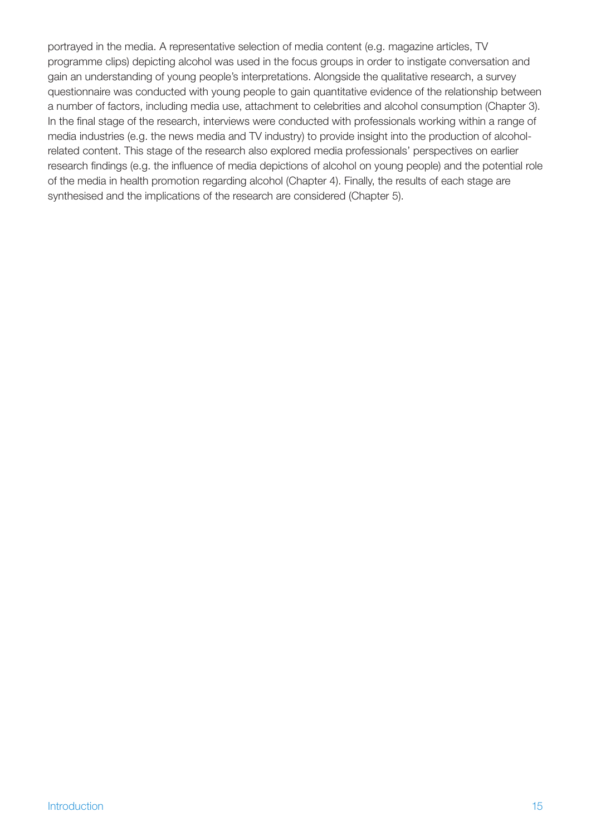portrayed in the media. A representative selection of media content (e.g. magazine articles, TV programme clips) depicting alcohol was used in the focus groups in order to instigate conversation and gain an understanding of young people's interpretations. Alongside the qualitative research, a survey questionnaire was conducted with young people to gain quantitative evidence of the relationship between a number of factors, including media use, attachment to celebrities and alcohol consumption (Chapter 3). In the final stage of the research, interviews were conducted with professionals working within a range of media industries (e.g. the news media and TV industry) to provide insight into the production of alcoholrelated content. This stage of the research also explored media professionals' perspectives on earlier research findings (e.g. the influence of media depictions of alcohol on young people) and the potential role of the media in health promotion regarding alcohol (Chapter 4). Finally, the results of each stage are synthesised and the implications of the research are considered (Chapter 5).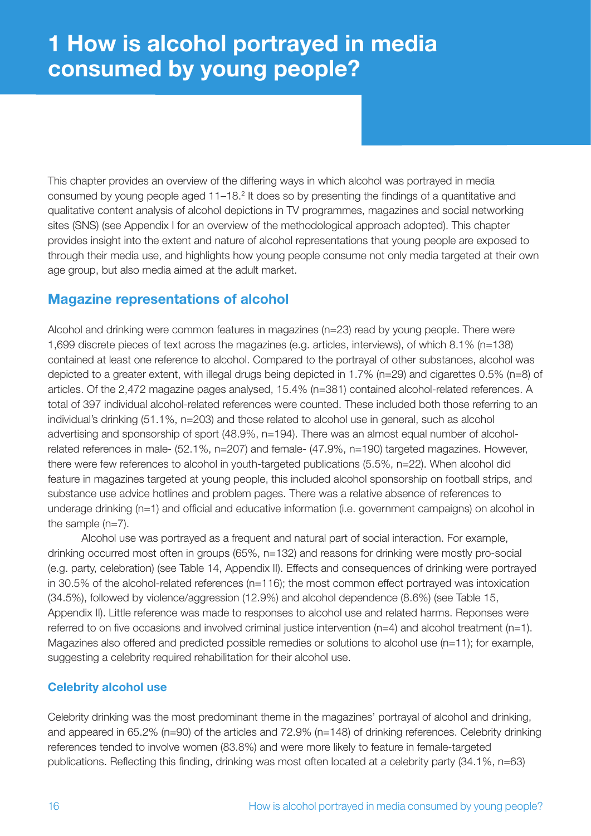## **1 How is alcohol portrayed in media consumed by young people?**

This chapter provides an overview of the differing ways in which alcohol was portrayed in media consumed by young people aged 11–18.<sup>2</sup> It does so by presenting the findings of a quantitative and qualitative content analysis of alcohol depictions in TV programmes, magazines and social networking sites (SNS) (see Appendix I for an overview of the methodological approach adopted). This chapter provides insight into the extent and nature of alcohol representations that young people are exposed to through their media use, and highlights how young people consume not only media targeted at their own age group, but also media aimed at the adult market.

## **Magazine representations of alcohol**

Alcohol and drinking were common features in magazines (n=23) read by young people. There were 1,699 discrete pieces of text across the magazines (e.g. articles, interviews), of which 8.1% (n=138) contained at least one reference to alcohol. Compared to the portrayal of other substances, alcohol was depicted to a greater extent, with illegal drugs being depicted in 1.7% (n=29) and cigarettes 0.5% (n=8) of articles. Of the 2,472 magazine pages analysed, 15.4% (n=381) contained alcohol-related references. A total of 397 individual alcohol-related references were counted. These included both those referring to an individual's drinking (51.1%, n=203) and those related to alcohol use in general, such as alcohol advertising and sponsorship of sport (48.9%, n=194). There was an almost equal number of alcoholrelated references in male- (52.1%, n=207) and female- (47.9%, n=190) targeted magazines. However, there were few references to alcohol in youth-targeted publications (5.5%, n=22). When alcohol did feature in magazines targeted at young people, this included alcohol sponsorship on football strips, and substance use advice hotlines and problem pages. There was a relative absence of references to underage drinking (n=1) and official and educative information (i.e. government campaigns) on alcohol in the sample (n=7).

Alcohol use was portrayed as a frequent and natural part of social interaction. For example, drinking occurred most often in groups (65%, n=132) and reasons for drinking were mostly pro-social (e.g. party, celebration) (see Table 14, Appendix II). Effects and consequences of drinking were portrayed in 30.5% of the alcohol-related references (n=116); the most common effect portrayed was intoxication (34.5%), followed by violence/aggression (12.9%) and alcohol dependence (8.6%) (see Table 15, Appendix II). Little reference was made to responses to alcohol use and related harms. Reponses were referred to on five occasions and involved criminal justice intervention (n=4) and alcohol treatment (n=1). Magazines also offered and predicted possible remedies or solutions to alcohol use (n=11); for example, suggesting a celebrity required rehabilitation for their alcohol use.

#### **Celebrity alcohol use**

Celebrity drinking was the most predominant theme in the magazines' portrayal of alcohol and drinking, and appeared in 65.2% (n=90) of the articles and 72.9% (n=148) of drinking references. Celebrity drinking references tended to involve women (83.8%) and were more likely to feature in female-targeted publications. Reflecting this finding, drinking was most often located at a celebrity party (34.1%, n=63)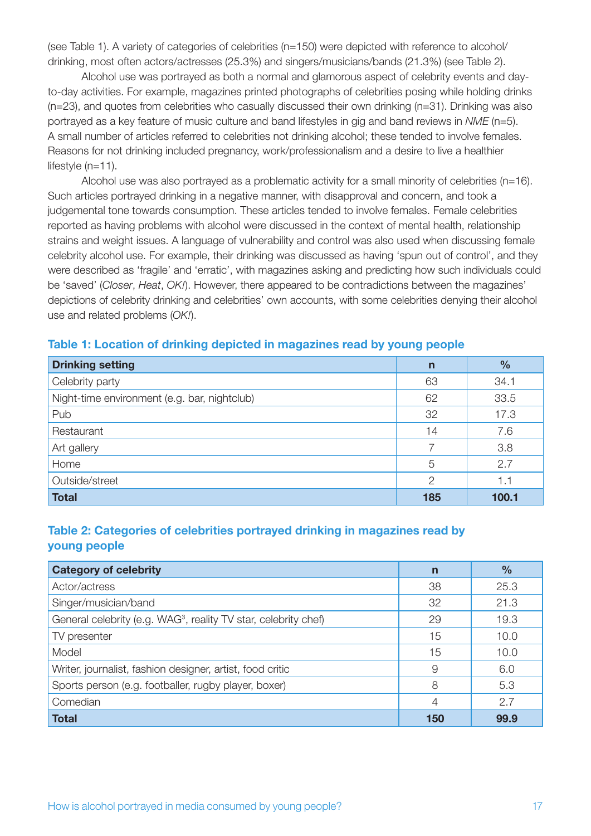(see Table 1). A variety of categories of celebrities (n=150) were depicted with reference to alcohol/ drinking, most often actors/actresses (25.3%) and singers/musicians/bands (21.3%) (see Table 2).

Alcohol use was portrayed as both a normal and glamorous aspect of celebrity events and dayto-day activities. For example, magazines printed photographs of celebrities posing while holding drinks (n=23), and quotes from celebrities who casually discussed their own drinking (n=31). Drinking was also portrayed as a key feature of music culture and band lifestyles in gig and band reviews in *NME* (n=5). A small number of articles referred to celebrities not drinking alcohol; these tended to involve females. Reasons for not drinking included pregnancy, work/professionalism and a desire to live a healthier lifestyle (n=11).

Alcohol use was also portrayed as a problematic activity for a small minority of celebrities (n=16). Such articles portrayed drinking in a negative manner, with disapproval and concern, and took a judgemental tone towards consumption. These articles tended to involve females. Female celebrities reported as having problems with alcohol were discussed in the context of mental health, relationship strains and weight issues. A language of vulnerability and control was also used when discussing female celebrity alcohol use. For example, their drinking was discussed as having 'spun out of control', and they were described as 'fragile' and 'erratic', with magazines asking and predicting how such individuals could be 'saved' (*Closer*, *Heat*, *OK!*). However, there appeared to be contradictions between the magazines' depictions of celebrity drinking and celebrities' own accounts, with some celebrities denying their alcohol use and related problems (*OK!*).

| <b>Drinking setting</b>                      | $\mathsf{n}$  | $\frac{9}{6}$ |
|----------------------------------------------|---------------|---------------|
| Celebrity party                              | 63            | 34.1          |
| Night-time environment (e.g. bar, nightclub) | 62            | 33.5          |
| Pub                                          | 32            | 17.3          |
| Restaurant                                   | 14            | 7.6           |
| Art gallery                                  |               | 3.8           |
| Home                                         | 5             | 2.7           |
| Outside/street                               | $\mathcal{P}$ | 1.1           |
| <b>Total</b>                                 | 185           | 100.1         |

#### **Table 1: Location of drinking depicted in magazines read by young people**

#### **Table 2: Categories of celebrities portrayed drinking in magazines read by young people**

| <b>Category of celebrity</b>                                                | n   | $\frac{0}{0}$ |
|-----------------------------------------------------------------------------|-----|---------------|
| Actor/actress                                                               | 38  | 25.3          |
| Singer/musician/band                                                        | 32  | 21.3          |
| General celebrity (e.g. WAG <sup>3</sup> , reality TV star, celebrity chef) | 29  | 19.3          |
| TV presenter                                                                | 15  | 10.0          |
| Model                                                                       | 15  | 10.0          |
| Writer, journalist, fashion designer, artist, food critic                   | 9   | 6.0           |
| Sports person (e.g. footballer, rugby player, boxer)                        | 8   | 5.3           |
| Comedian                                                                    | 4   | 2.7           |
| <b>Total</b>                                                                | 150 | 99.9          |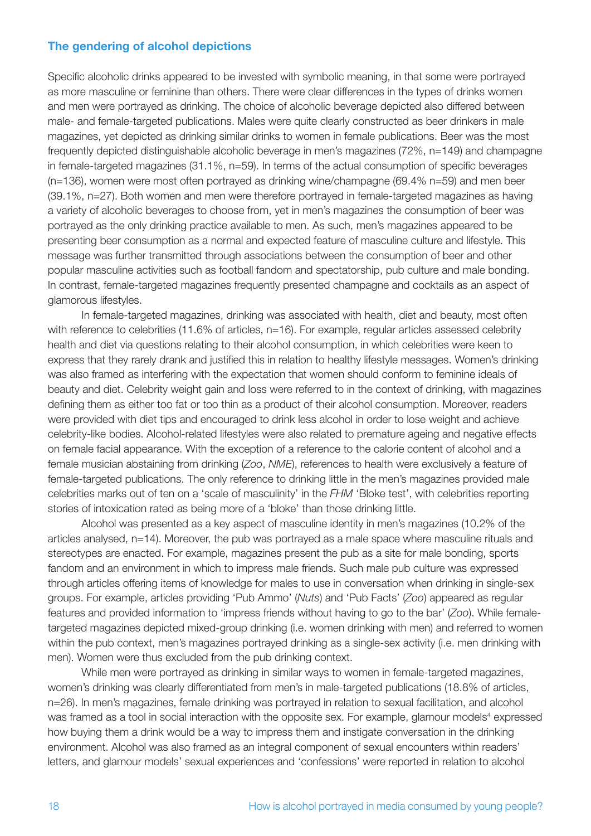#### **The gendering of alcohol depictions**

Specific alcoholic drinks appeared to be invested with symbolic meaning, in that some were portrayed as more masculine or feminine than others. There were clear differences in the types of drinks women and men were portrayed as drinking. The choice of alcoholic beverage depicted also differed between male- and female-targeted publications. Males were quite clearly constructed as beer drinkers in male magazines, yet depicted as drinking similar drinks to women in female publications. Beer was the most frequently depicted distinguishable alcoholic beverage in men's magazines (72%, n=149) and champagne in female-targeted magazines (31.1%, n=59). In terms of the actual consumption of specific beverages (n=136), women were most often portrayed as drinking wine/champagne (69.4% n=59) and men beer (39.1%, n=27). Both women and men were therefore portrayed in female-targeted magazines as having a variety of alcoholic beverages to choose from, yet in men's magazines the consumption of beer was portrayed as the only drinking practice available to men. As such, men's magazines appeared to be presenting beer consumption as a normal and expected feature of masculine culture and lifestyle. This message was further transmitted through associations between the consumption of beer and other popular masculine activities such as football fandom and spectatorship, pub culture and male bonding. In contrast, female-targeted magazines frequently presented champagne and cocktails as an aspect of glamorous lifestyles.

In female-targeted magazines, drinking was associated with health, diet and beauty, most often with reference to celebrities (11.6% of articles, n=16). For example, regular articles assessed celebrity health and diet via questions relating to their alcohol consumption, in which celebrities were keen to express that they rarely drank and justified this in relation to healthy lifestyle messages. Women's drinking was also framed as interfering with the expectation that women should conform to feminine ideals of beauty and diet. Celebrity weight gain and loss were referred to in the context of drinking, with magazines defining them as either too fat or too thin as a product of their alcohol consumption. Moreover, readers were provided with diet tips and encouraged to drink less alcohol in order to lose weight and achieve celebrity-like bodies. Alcohol-related lifestyles were also related to premature ageing and negative effects on female facial appearance. With the exception of a reference to the calorie content of alcohol and a female musician abstaining from drinking (*Zoo*, *NME*), references to health were exclusively a feature of female-targeted publications. The only reference to drinking little in the men's magazines provided male celebrities marks out of ten on a 'scale of masculinity' in the *FHM* 'Bloke test', with celebrities reporting stories of intoxication rated as being more of a 'bloke' than those drinking little.

Alcohol was presented as a key aspect of masculine identity in men's magazines (10.2% of the articles analysed, n=14). Moreover, the pub was portrayed as a male space where masculine rituals and stereotypes are enacted. For example, magazines present the pub as a site for male bonding, sports fandom and an environment in which to impress male friends. Such male pub culture was expressed through articles offering items of knowledge for males to use in conversation when drinking in single-sex groups. For example, articles providing 'Pub Ammo' (*Nuts*) and 'Pub Facts' (*Zoo*) appeared as regular features and provided information to 'impress friends without having to go to the bar' (*Zoo*). While femaletargeted magazines depicted mixed-group drinking (i.e. women drinking with men) and referred to women within the pub context, men's magazines portrayed drinking as a single-sex activity (i.e. men drinking with men). Women were thus excluded from the pub drinking context.

While men were portrayed as drinking in similar ways to women in female-targeted magazines, women's drinking was clearly differentiated from men's in male-targeted publications (18.8% of articles, n=26). In men's magazines, female drinking was portrayed in relation to sexual facilitation, and alcohol was framed as a tool in social interaction with the opposite sex. For example, glamour models<sup>4</sup> expressed how buying them a drink would be a way to impress them and instigate conversation in the drinking environment. Alcohol was also framed as an integral component of sexual encounters within readers' letters, and glamour models' sexual experiences and 'confessions' were reported in relation to alcohol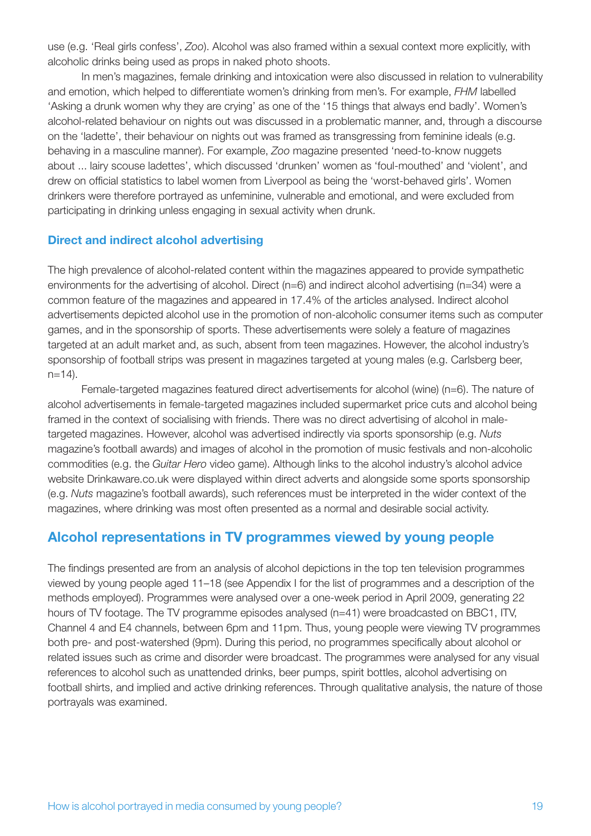use (e.g. 'Real girls confess', *Zoo*). Alcohol was also framed within a sexual context more explicitly, with alcoholic drinks being used as props in naked photo shoots.

In men's magazines, female drinking and intoxication were also discussed in relation to vulnerability and emotion, which helped to differentiate women's drinking from men's. For example, *FHM* labelled 'Asking a drunk women why they are crying' as one of the '15 things that always end badly'. Women's alcohol-related behaviour on nights out was discussed in a problematic manner, and, through a discourse on the 'ladette', their behaviour on nights out was framed as transgressing from feminine ideals (e.g. behaving in a masculine manner). For example, *Zoo* magazine presented 'need-to-know nuggets about ... lairy scouse ladettes', which discussed 'drunken' women as 'foul-mouthed' and 'violent', and drew on official statistics to label women from Liverpool as being the 'worst-behaved girls'. Women drinkers were therefore portrayed as unfeminine, vulnerable and emotional, and were excluded from participating in drinking unless engaging in sexual activity when drunk.

#### **Direct and indirect alcohol advertising**

The high prevalence of alcohol-related content within the magazines appeared to provide sympathetic environments for the advertising of alcohol. Direct (n=6) and indirect alcohol advertising (n=34) were a common feature of the magazines and appeared in 17.4% of the articles analysed. Indirect alcohol advertisements depicted alcohol use in the promotion of non-alcoholic consumer items such as computer games, and in the sponsorship of sports. These advertisements were solely a feature of magazines targeted at an adult market and, as such, absent from teen magazines. However, the alcohol industry's sponsorship of football strips was present in magazines targeted at young males (e.g. Carlsberg beer,  $n=14$ ).

Female-targeted magazines featured direct advertisements for alcohol (wine) (n=6). The nature of alcohol advertisements in female-targeted magazines included supermarket price cuts and alcohol being framed in the context of socialising with friends. There was no direct advertising of alcohol in maletargeted magazines. However, alcohol was advertised indirectly via sports sponsorship (e.g. *Nuts* magazine's football awards) and images of alcohol in the promotion of music festivals and non-alcoholic commodities (e.g. the *Guitar Hero* video game). Although links to the alcohol industry's alcohol advice website Drinkaware.co.uk were displayed within direct adverts and alongside some sports sponsorship (e.g. *Nuts* magazine's football awards), such references must be interpreted in the wider context of the magazines, where drinking was most often presented as a normal and desirable social activity.

#### **Alcohol representations in TV programmes viewed by young people**

The findings presented are from an analysis of alcohol depictions in the top ten television programmes viewed by young people aged 11–18 (see Appendix I for the list of programmes and a description of the methods employed). Programmes were analysed over a one-week period in April 2009, generating 22 hours of TV footage. The TV programme episodes analysed (n=41) were broadcasted on BBC1, ITV, Channel 4 and E4 channels, between 6pm and 11pm. Thus, young people were viewing TV programmes both pre- and post-watershed (9pm). During this period, no programmes specifically about alcohol or related issues such as crime and disorder were broadcast. The programmes were analysed for any visual references to alcohol such as unattended drinks, beer pumps, spirit bottles, alcohol advertising on football shirts, and implied and active drinking references. Through qualitative analysis, the nature of those portrayals was examined.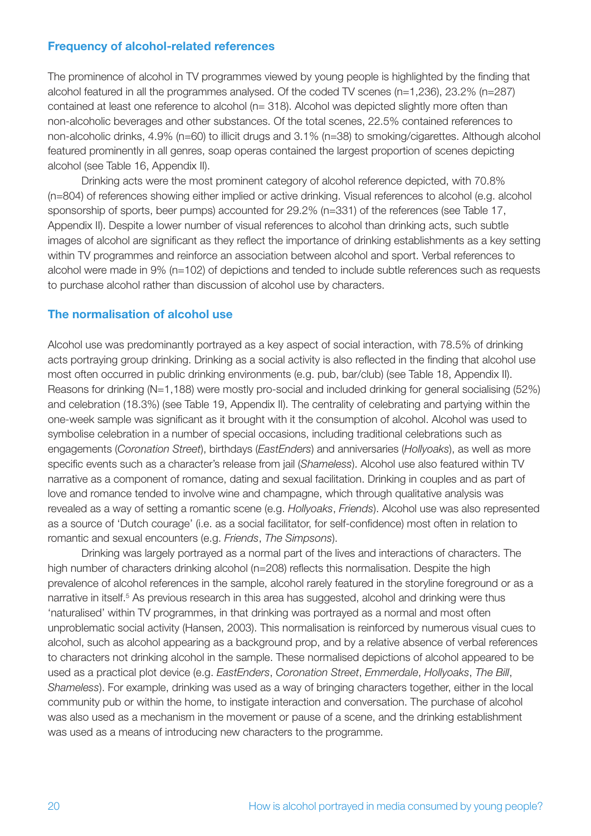#### **Frequency of alcohol-related references**

The prominence of alcohol in TV programmes viewed by young people is highlighted by the finding that alcohol featured in all the programmes analysed. Of the coded TV scenes (n=1,236), 23.2% (n=287) contained at least one reference to alcohol (n= 318). Alcohol was depicted slightly more often than non-alcoholic beverages and other substances. Of the total scenes, 22.5% contained references to non-alcoholic drinks, 4.9% (n=60) to illicit drugs and 3.1% (n=38) to smoking/cigarettes. Although alcohol featured prominently in all genres, soap operas contained the largest proportion of scenes depicting alcohol (see Table 16, Appendix II).

Drinking acts were the most prominent category of alcohol reference depicted, with 70.8% (n=804) of references showing either implied or active drinking. Visual references to alcohol (e.g. alcohol sponsorship of sports, beer pumps) accounted for 29.2% (n=331) of the references (see Table 17, Appendix II). Despite a lower number of visual references to alcohol than drinking acts, such subtle images of alcohol are significant as they reflect the importance of drinking establishments as a key setting within TV programmes and reinforce an association between alcohol and sport. Verbal references to alcohol were made in 9% (n=102) of depictions and tended to include subtle references such as requests to purchase alcohol rather than discussion of alcohol use by characters.

#### **The normalisation of alcohol use**

Alcohol use was predominantly portrayed as a key aspect of social interaction, with 78.5% of drinking acts portraying group drinking. Drinking as a social activity is also reflected in the finding that alcohol use most often occurred in public drinking environments (e.g. pub, bar/club) (see Table 18, Appendix II). Reasons for drinking (N=1,188) were mostly pro-social and included drinking for general socialising (52%) and celebration (18.3%) (see Table 19, Appendix II). The centrality of celebrating and partying within the one-week sample was significant as it brought with it the consumption of alcohol. Alcohol was used to symbolise celebration in a number of special occasions, including traditional celebrations such as engagements (*Coronation Street*), birthdays (*EastEnders*) and anniversaries (*Hollyoaks*), as well as more specific events such as a character's release from jail (*Shameless*). Alcohol use also featured within TV narrative as a component of romance, dating and sexual facilitation. Drinking in couples and as part of love and romance tended to involve wine and champagne, which through qualitative analysis was revealed as a way of setting a romantic scene (e.g. *Hollyoaks*, *Friends*). Alcohol use was also represented as a source of 'Dutch courage' (i.e. as a social facilitator, for self-confidence) most often in relation to romantic and sexual encounters (e.g. *Friends*, *The Simpsons*).

Drinking was largely portrayed as a normal part of the lives and interactions of characters. The high number of characters drinking alcohol (n=208) reflects this normalisation. Despite the high prevalence of alcohol references in the sample, alcohol rarely featured in the storyline foreground or as a narrative in itself.<sup>5</sup> As previous research in this area has suggested, alcohol and drinking were thus 'naturalised' within TV programmes, in that drinking was portrayed as a normal and most often unproblematic social activity (Hansen, 2003). This normalisation is reinforced by numerous visual cues to alcohol, such as alcohol appearing as a background prop, and by a relative absence of verbal references to characters not drinking alcohol in the sample. These normalised depictions of alcohol appeared to be used as a practical plot device (e.g. *EastEnders*, *Coronation Street*, *Emmerdale*, *Hollyoaks*, *The Bill*, *Shameless*). For example, drinking was used as a way of bringing characters together, either in the local community pub or within the home, to instigate interaction and conversation. The purchase of alcohol was also used as a mechanism in the movement or pause of a scene, and the drinking establishment was used as a means of introducing new characters to the programme.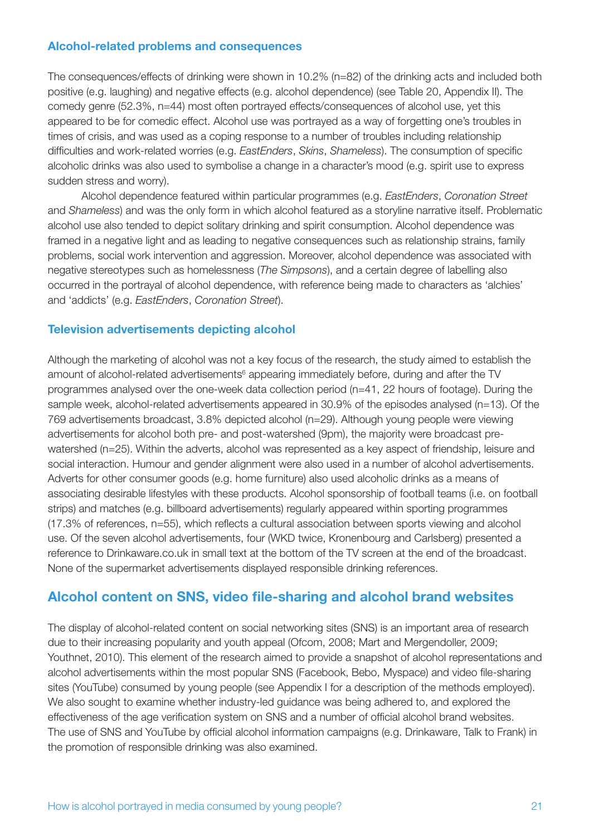#### **Alcohol-related problems and consequences**

The consequences/effects of drinking were shown in 10.2% (n=82) of the drinking acts and included both positive (e.g. laughing) and negative effects (e.g. alcohol dependence) (see Table 20, Appendix II). The comedy genre (52.3%, n=44) most often portrayed effects/consequences of alcohol use, yet this appeared to be for comedic effect. Alcohol use was portrayed as a way of forgetting one's troubles in times of crisis, and was used as a coping response to a number of troubles including relationship difficulties and work-related worries (e.g. *EastEnders*, *Skins*, *Shameless*). The consumption of specific alcoholic drinks was also used to symbolise a change in a character's mood (e.g. spirit use to express sudden stress and worry).

Alcohol dependence featured within particular programmes (e.g. *EastEnders*, *Coronation Street* and *Shameless*) and was the only form in which alcohol featured as a storyline narrative itself. Problematic alcohol use also tended to depict solitary drinking and spirit consumption. Alcohol dependence was framed in a negative light and as leading to negative consequences such as relationship strains, family problems, social work intervention and aggression. Moreover, alcohol dependence was associated with negative stereotypes such as homelessness (*The Simpsons*), and a certain degree of labelling also occurred in the portrayal of alcohol dependence, with reference being made to characters as 'alchies' and 'addicts' (e.g. *EastEnders*, *Coronation Street*).

#### **Television advertisements depicting alcohol**

Although the marketing of alcohol was not a key focus of the research, the study aimed to establish the amount of alcohol-related advertisements<sup>6</sup> appearing immediately before, during and after the TV programmes analysed over the one-week data collection period (n=41, 22 hours of footage). During the sample week, alcohol-related advertisements appeared in 30.9% of the episodes analysed (n=13). Of the 769 advertisements broadcast, 3.8% depicted alcohol (n=29). Although young people were viewing advertisements for alcohol both pre- and post-watershed (9pm), the majority were broadcast prewatershed (n=25). Within the adverts, alcohol was represented as a key aspect of friendship, leisure and social interaction. Humour and gender alignment were also used in a number of alcohol advertisements. Adverts for other consumer goods (e.g. home furniture) also used alcoholic drinks as a means of associating desirable lifestyles with these products. Alcohol sponsorship of football teams (i.e. on football strips) and matches (e.g. billboard advertisements) regularly appeared within sporting programmes (17.3% of references, n=55), which reflects a cultural association between sports viewing and alcohol use. Of the seven alcohol advertisements, four (WKD twice, Kronenbourg and Carlsberg) presented a reference to Drinkaware.co.uk in small text at the bottom of the TV screen at the end of the broadcast. None of the supermarket advertisements displayed responsible drinking references.

## **Alcohol content on SNS, video file-sharing and alcohol brand websites**

The display of alcohol-related content on social networking sites (SNS) is an important area of research due to their increasing popularity and youth appeal (Ofcom, 2008; Mart and Mergendoller, 2009; Youthnet, 2010). This element of the research aimed to provide a snapshot of alcohol representations and alcohol advertisements within the most popular SNS (Facebook, Bebo, Myspace) and video file-sharing sites (YouTube) consumed by young people (see Appendix I for a description of the methods employed). We also sought to examine whether industry-led guidance was being adhered to, and explored the effectiveness of the age verification system on SNS and a number of official alcohol brand websites. The use of SNS and YouTube by official alcohol information campaigns (e.g. Drinkaware, Talk to Frank) in the promotion of responsible drinking was also examined.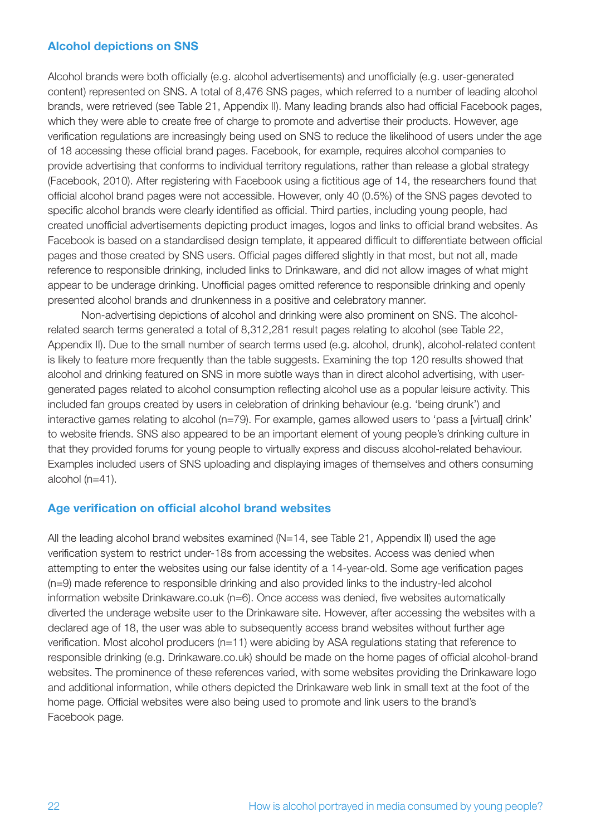#### **Alcohol depictions on SNS**

Alcohol brands were both officially (e.g. alcohol advertisements) and unofficially (e.g. user-generated content) represented on SNS. A total of 8,476 SNS pages, which referred to a number of leading alcohol brands, were retrieved (see Table 21, Appendix II). Many leading brands also had official Facebook pages, which they were able to create free of charge to promote and advertise their products. However, age verification regulations are increasingly being used on SNS to reduce the likelihood of users under the age of 18 accessing these official brand pages. Facebook, for example, requires alcohol companies to provide advertising that conforms to individual territory regulations, rather than release a global strategy (Facebook, 2010). After registering with Facebook using a fictitious age of 14, the researchers found that official alcohol brand pages were not accessible. However, only 40 (0.5%) of the SNS pages devoted to specific alcohol brands were clearly identified as official. Third parties, including young people, had created unofficial advertisements depicting product images, logos and links to official brand websites. As Facebook is based on a standardised design template, it appeared difficult to differentiate between official pages and those created by SNS users. Official pages differed slightly in that most, but not all, made reference to responsible drinking, included links to Drinkaware, and did not allow images of what might appear to be underage drinking. Unofficial pages omitted reference to responsible drinking and openly presented alcohol brands and drunkenness in a positive and celebratory manner.

Non-advertising depictions of alcohol and drinking were also prominent on SNS. The alcoholrelated search terms generated a total of 8,312,281 result pages relating to alcohol (see Table 22, Appendix II). Due to the small number of search terms used (e.g. alcohol, drunk), alcohol-related content is likely to feature more frequently than the table suggests. Examining the top 120 results showed that alcohol and drinking featured on SNS in more subtle ways than in direct alcohol advertising, with usergenerated pages related to alcohol consumption reflecting alcohol use as a popular leisure activity. This included fan groups created by users in celebration of drinking behaviour (e.g. 'being drunk') and interactive games relating to alcohol (n=79). For example, games allowed users to 'pass a [virtual] drink' to website friends. SNS also appeared to be an important element of young people's drinking culture in that they provided forums for young people to virtually express and discuss alcohol-related behaviour. Examples included users of SNS uploading and displaying images of themselves and others consuming alcohol (n=41).

#### **Age verification on official alcohol brand websites**

All the leading alcohol brand websites examined  $(N=14,$  see Table 21, Appendix II) used the age verification system to restrict under-18s from accessing the websites. Access was denied when attempting to enter the websites using our false identity of a 14-year-old. Some age verification pages (n=9) made reference to responsible drinking and also provided links to the industry-led alcohol information website Drinkaware.co.uk (n=6). Once access was denied, five websites automatically diverted the underage website user to the Drinkaware site. However, after accessing the websites with a declared age of 18, the user was able to subsequently access brand websites without further age verification. Most alcohol producers (n=11) were abiding by ASA regulations stating that reference to responsible drinking (e.g. Drinkaware.co.uk) should be made on the home pages of official alcohol-brand websites. The prominence of these references varied, with some websites providing the Drinkaware logo and additional information, while others depicted the Drinkaware web link in small text at the foot of the home page. Official websites were also being used to promote and link users to the brand's Facebook page.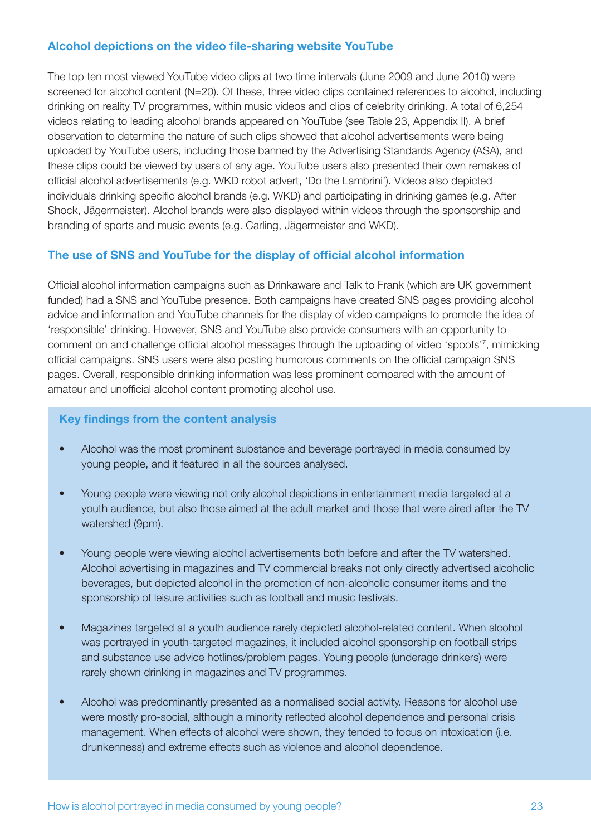#### **Alcohol depictions on the video file-sharing website YouTube**

The top ten most viewed YouTube video clips at two time intervals (June 2009 and June 2010) were screened for alcohol content (N=20). Of these, three video clips contained references to alcohol, including drinking on reality TV programmes, within music videos and clips of celebrity drinking. A total of 6,254 videos relating to leading alcohol brands appeared on YouTube (see Table 23, Appendix II). A brief observation to determine the nature of such clips showed that alcohol advertisements were being uploaded by YouTube users, including those banned by the Advertising Standards Agency (ASA), and these clips could be viewed by users of any age. YouTube users also presented their own remakes of official alcohol advertisements (e.g. WKD robot advert, 'Do the Lambrini'). Videos also depicted individuals drinking specific alcohol brands (e.g. WKD) and participating in drinking games (e.g. After Shock, Jägermeister). Alcohol brands were also displayed within videos through the sponsorship and branding of sports and music events (e.g. Carling, Jägermeister and WKD).

#### **The use of SNS and YouTube for the display of official alcohol information**

Official alcohol information campaigns such as Drinkaware and Talk to Frank (which are UK government funded) had a SNS and YouTube presence. Both campaigns have created SNS pages providing alcohol advice and information and YouTube channels for the display of video campaigns to promote the idea of 'responsible' drinking. However, SNS and YouTube also provide consumers with an opportunity to comment on and challenge official alcohol messages through the uploading of video 'spoofs'7 , mimicking official campaigns. SNS users were also posting humorous comments on the official campaign SNS pages. Overall, responsible drinking information was less prominent compared with the amount of amateur and unofficial alcohol content promoting alcohol use.

#### **Key findings from the content analysis**

- Alcohol was the most prominent substance and beverage portrayed in media consumed by young people, and it featured in all the sources analysed.
- Young people were viewing not only alcohol depictions in entertainment media targeted at a youth audience, but also those aimed at the adult market and those that were aired after the TV watershed (9pm).
- Young people were viewing alcohol advertisements both before and after the TV watershed. Alcohol advertising in magazines and TV commercial breaks not only directly advertised alcoholic beverages, but depicted alcohol in the promotion of non-alcoholic consumer items and the sponsorship of leisure activities such as football and music festivals.
- Magazines targeted at a youth audience rarely depicted alcohol-related content. When alcohol was portrayed in youth-targeted magazines, it included alcohol sponsorship on football strips and substance use advice hotlines/problem pages. Young people (underage drinkers) were rarely shown drinking in magazines and TV programmes.
- Alcohol was predominantly presented as a normalised social activity. Reasons for alcohol use were mostly pro-social, although a minority reflected alcohol dependence and personal crisis management. When effects of alcohol were shown, they tended to focus on intoxication (i.e. drunkenness) and extreme effects such as violence and alcohol dependence.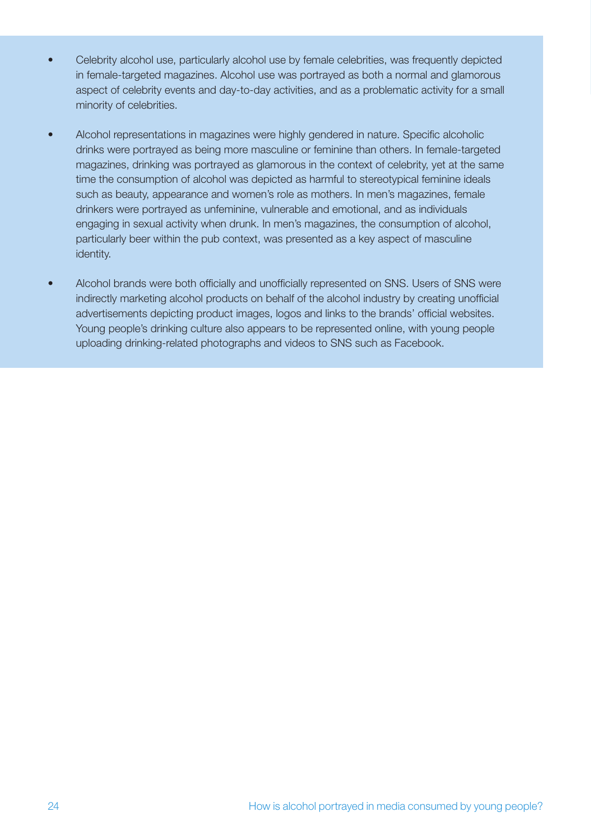- Celebrity alcohol use, particularly alcohol use by female celebrities, was frequently depicted in female-targeted magazines. Alcohol use was portrayed as both a normal and glamorous aspect of celebrity events and day-to-day activities, and as a problematic activity for a small minority of celebrities.
- Alcohol representations in magazines were highly gendered in nature. Specific alcoholic drinks were portrayed as being more masculine or feminine than others. In female-targeted magazines, drinking was portrayed as glamorous in the context of celebrity, yet at the same time the consumption of alcohol was depicted as harmful to stereotypical feminine ideals such as beauty, appearance and women's role as mothers. In men's magazines, female drinkers were portrayed as unfeminine, vulnerable and emotional, and as individuals engaging in sexual activity when drunk. In men's magazines, the consumption of alcohol, particularly beer within the pub context, was presented as a key aspect of masculine identity.
- Alcohol brands were both officially and unofficially represented on SNS. Users of SNS were indirectly marketing alcohol products on behalf of the alcohol industry by creating unofficial advertisements depicting product images, logos and links to the brands' official websites. Young people's drinking culture also appears to be represented online, with young people uploading drinking-related photographs and videos to SNS such as Facebook.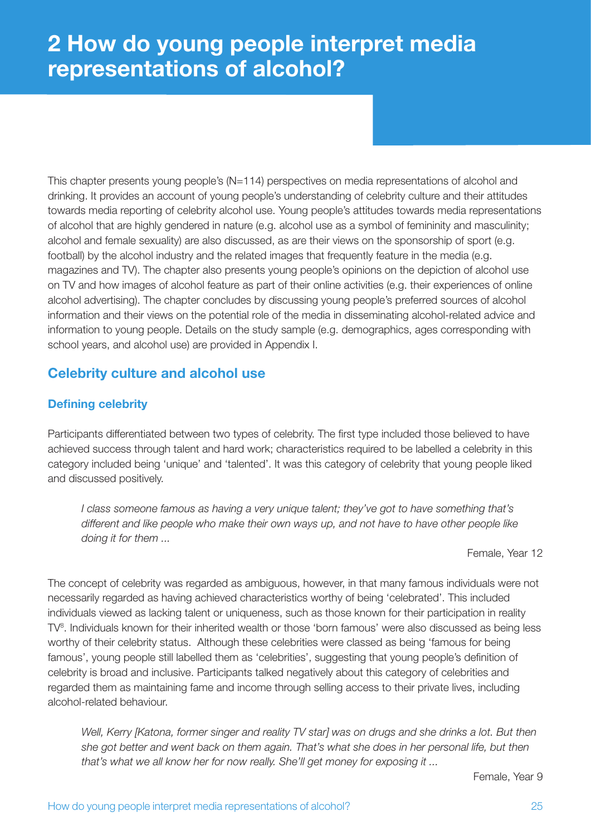## **2 How do young people interpret media representations of alcohol?**

This chapter presents young people's (N=114) perspectives on media representations of alcohol and drinking. It provides an account of young people's understanding of celebrity culture and their attitudes towards media reporting of celebrity alcohol use. Young people's attitudes towards media representations of alcohol that are highly gendered in nature (e.g. alcohol use as a symbol of femininity and masculinity; alcohol and female sexuality) are also discussed, as are their views on the sponsorship of sport (e.g. football) by the alcohol industry and the related images that frequently feature in the media (e.g. magazines and TV). The chapter also presents young people's opinions on the depiction of alcohol use on TV and how images of alcohol feature as part of their online activities (e.g. their experiences of online alcohol advertising). The chapter concludes by discussing young people's preferred sources of alcohol information and their views on the potential role of the media in disseminating alcohol-related advice and information to young people. Details on the study sample (e.g. demographics, ages corresponding with school years, and alcohol use) are provided in Appendix I.

## **Celebrity culture and alcohol use**

## **Defining celebrity**

Participants differentiated between two types of celebrity. The first type included those believed to have achieved success through talent and hard work; characteristics required to be labelled a celebrity in this category included being 'unique' and 'talented'. It was this category of celebrity that young people liked and discussed positively.

*I class someone famous as having a very unique talent; they've got to have something that's different and like people who make their own ways up, and not have to have other people like doing it for them ...*

Female, Year 12

The concept of celebrity was regarded as ambiguous, however, in that many famous individuals were not necessarily regarded as having achieved characteristics worthy of being 'celebrated'. This included individuals viewed as lacking talent or uniqueness, such as those known for their participation in reality TV<sup>8</sup>. Individuals known for their inherited wealth or those 'born famous' were also discussed as being less worthy of their celebrity status. Although these celebrities were classed as being 'famous for being famous', young people still labelled them as 'celebrities', suggesting that young people's definition of celebrity is broad and inclusive. Participants talked negatively about this category of celebrities and regarded them as maintaining fame and income through selling access to their private lives, including alcohol-related behaviour.

*Well, Kerry [Katona, former singer and reality TV star] was on drugs and she drinks a lot. But then she got better and went back on them again. That's what she does in her personal life, but then that's what we all know her for now really. She'll get money for exposing it ...*

Female, Year 9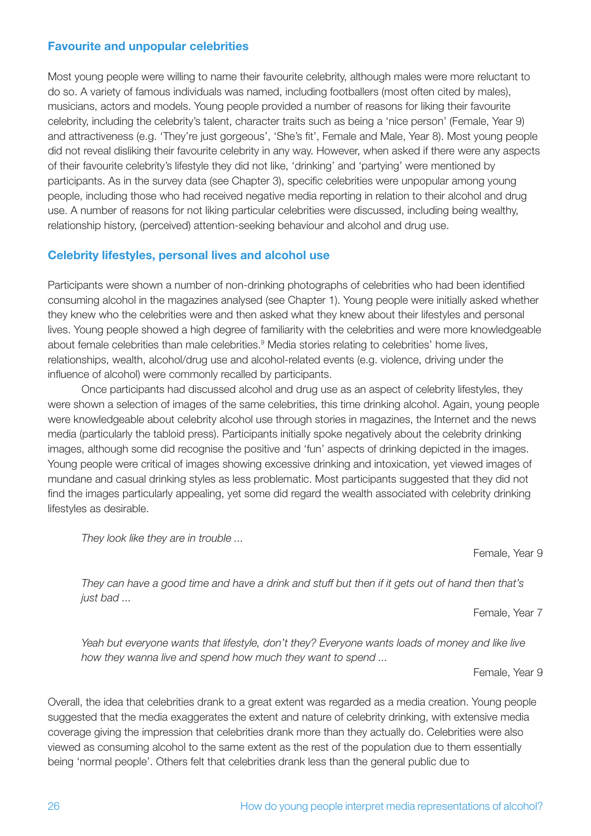#### **Favourite and unpopular celebrities**

Most young people were willing to name their favourite celebrity, although males were more reluctant to do so. A variety of famous individuals was named, including footballers (most often cited by males), musicians, actors and models. Young people provided a number of reasons for liking their favourite celebrity, including the celebrity's talent, character traits such as being a 'nice person' (Female, Year 9) and attractiveness (e.g. 'They're just gorgeous', 'She's fit', Female and Male, Year 8). Most young people did not reveal disliking their favourite celebrity in any way. However, when asked if there were any aspects of their favourite celebrity's lifestyle they did not like, 'drinking' and 'partying' were mentioned by participants. As in the survey data (see Chapter 3), specific celebrities were unpopular among young people, including those who had received negative media reporting in relation to their alcohol and drug use. A number of reasons for not liking particular celebrities were discussed, including being wealthy, relationship history, (perceived) attention-seeking behaviour and alcohol and drug use.

#### **Celebrity lifestyles, personal lives and alcohol use**

Participants were shown a number of non-drinking photographs of celebrities who had been identified consuming alcohol in the magazines analysed (see Chapter 1). Young people were initially asked whether they knew who the celebrities were and then asked what they knew about their lifestyles and personal lives. Young people showed a high degree of familiarity with the celebrities and were more knowledgeable about female celebrities than male celebrities.<sup>9</sup> Media stories relating to celebrities' home lives, relationships, wealth, alcohol/drug use and alcohol-related events (e.g. violence, driving under the influence of alcohol) were commonly recalled by participants.

Once participants had discussed alcohol and drug use as an aspect of celebrity lifestyles, they were shown a selection of images of the same celebrities, this time drinking alcohol. Again, young people were knowledgeable about celebrity alcohol use through stories in magazines, the Internet and the news media (particularly the tabloid press). Participants initially spoke negatively about the celebrity drinking images, although some did recognise the positive and 'fun' aspects of drinking depicted in the images. Young people were critical of images showing excessive drinking and intoxication, yet viewed images of mundane and casual drinking styles as less problematic. Most participants suggested that they did not find the images particularly appealing, yet some did regard the wealth associated with celebrity drinking lifestyles as desirable.

*They look like they are in trouble ...*

Female, Year 9

*They can have a good time and have a drink and stuff but then if it gets out of hand then that's just bad ...*

Female, Year 7

*Yeah but everyone wants that lifestyle, don't they? Everyone wants loads of money and like live how they wanna live and spend how much they want to spend ...* 

Female, Year 9

Overall, the idea that celebrities drank to a great extent was regarded as a media creation. Young people suggested that the media exaggerates the extent and nature of celebrity drinking, with extensive media coverage giving the impression that celebrities drank more than they actually do. Celebrities were also viewed as consuming alcohol to the same extent as the rest of the population due to them essentially being 'normal people'. Others felt that celebrities drank less than the general public due to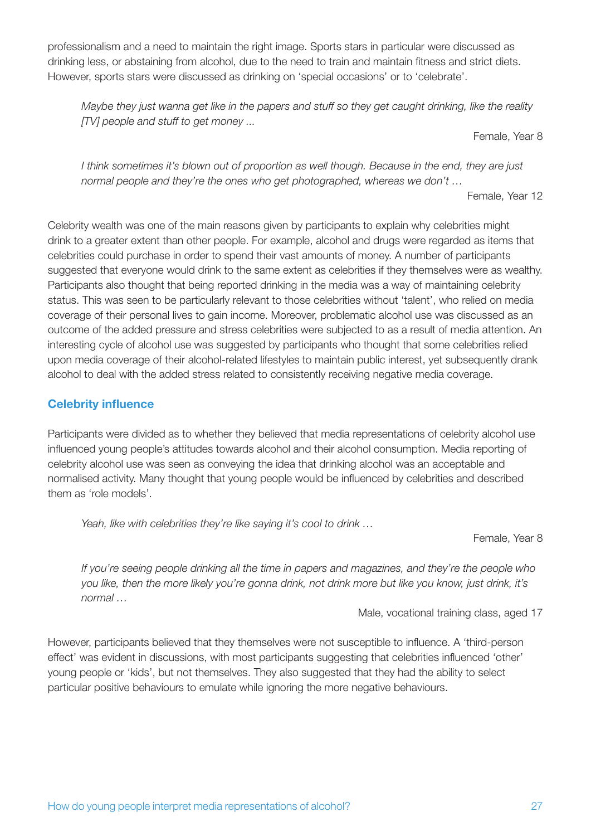professionalism and a need to maintain the right image. Sports stars in particular were discussed as drinking less, or abstaining from alcohol, due to the need to train and maintain fitness and strict diets. However, sports stars were discussed as drinking on 'special occasions' or to 'celebrate'.

*Maybe they just wanna get like in the papers and stuff so they get caught drinking, like the reality [TV] people and stuff to get money ...*

Female, Year 8

*I think sometimes it's blown out of proportion as well though. Because in the end, they are just normal people and they're the ones who get photographed, whereas we don't …*

Female, Year 12

Celebrity wealth was one of the main reasons given by participants to explain why celebrities might drink to a greater extent than other people. For example, alcohol and drugs were regarded as items that celebrities could purchase in order to spend their vast amounts of money. A number of participants suggested that everyone would drink to the same extent as celebrities if they themselves were as wealthy. Participants also thought that being reported drinking in the media was a way of maintaining celebrity status. This was seen to be particularly relevant to those celebrities without 'talent', who relied on media coverage of their personal lives to gain income. Moreover, problematic alcohol use was discussed as an outcome of the added pressure and stress celebrities were subjected to as a result of media attention. An interesting cycle of alcohol use was suggested by participants who thought that some celebrities relied upon media coverage of their alcohol-related lifestyles to maintain public interest, yet subsequently drank alcohol to deal with the added stress related to consistently receiving negative media coverage.

#### **Celebrity influence**

Participants were divided as to whether they believed that media representations of celebrity alcohol use influenced young people's attitudes towards alcohol and their alcohol consumption. Media reporting of celebrity alcohol use was seen as conveying the idea that drinking alcohol was an acceptable and normalised activity. Many thought that young people would be influenced by celebrities and described them as 'role models'.

*Yeah, like with celebrities they're like saying it's cool to drink …*

Female, Year 8

*If you're seeing people drinking all the time in papers and magazines, and they're the people who you like, then the more likely you're gonna drink, not drink more but like you know, just drink, it's normal …*

Male, vocational training class, aged 17

However, participants believed that they themselves were not susceptible to influence. A 'third-person effect' was evident in discussions, with most participants suggesting that celebrities influenced 'other' young people or 'kids', but not themselves. They also suggested that they had the ability to select particular positive behaviours to emulate while ignoring the more negative behaviours.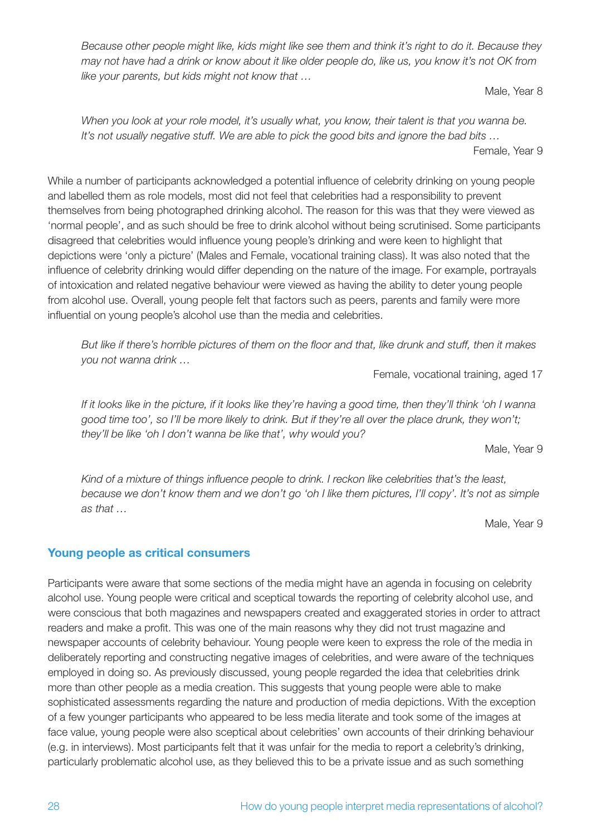*Because other people might like, kids might like see them and think it's right to do it. Because they may not have had a drink or know about it like older people do, like us, you know it's not OK from like your parents, but kids might not know that …*

Male, Year 8

*When you look at your role model, it's usually what, you know, their talent is that you wanna be. It's not usually negative stuff. We are able to pick the good bits and ignore the bad bits …*  Female, Year 9

While a number of participants acknowledged a potential influence of celebrity drinking on young people and labelled them as role models, most did not feel that celebrities had a responsibility to prevent themselves from being photographed drinking alcohol. The reason for this was that they were viewed as 'normal people', and as such should be free to drink alcohol without being scrutinised. Some participants disagreed that celebrities would influence young people's drinking and were keen to highlight that depictions were 'only a picture' (Males and Female, vocational training class). It was also noted that the influence of celebrity drinking would differ depending on the nature of the image. For example, portrayals of intoxication and related negative behaviour were viewed as having the ability to deter young people from alcohol use. Overall, young people felt that factors such as peers, parents and family were more influential on young people's alcohol use than the media and celebrities.

*But like if there's horrible pictures of them on the floor and that, like drunk and stuff, then it makes you not wanna drink …*

Female, vocational training, aged 17

*If it looks like in the picture, if it looks like they're having a good time, then they'll think 'oh I wanna good time too', so I'll be more likely to drink. But if they're all over the place drunk, they won't; they'll be like 'oh I don't wanna be like that', why would you?*

Male, Year 9

*Kind of a mixture of things influence people to drink. I reckon like celebrities that's the least, because we don't know them and we don't go 'oh I like them pictures, I'll copy'. It's not as simple as that …*

Male, Year 9

#### **Young people as critical consumers**

Participants were aware that some sections of the media might have an agenda in focusing on celebrity alcohol use. Young people were critical and sceptical towards the reporting of celebrity alcohol use, and were conscious that both magazines and newspapers created and exaggerated stories in order to attract readers and make a profit. This was one of the main reasons why they did not trust magazine and newspaper accounts of celebrity behaviour. Young people were keen to express the role of the media in deliberately reporting and constructing negative images of celebrities, and were aware of the techniques employed in doing so. As previously discussed, young people regarded the idea that celebrities drink more than other people as a media creation. This suggests that young people were able to make sophisticated assessments regarding the nature and production of media depictions. With the exception of a few younger participants who appeared to be less media literate and took some of the images at face value, young people were also sceptical about celebrities' own accounts of their drinking behaviour (e.g. in interviews). Most participants felt that it was unfair for the media to report a celebrity's drinking, particularly problematic alcohol use, as they believed this to be a private issue and as such something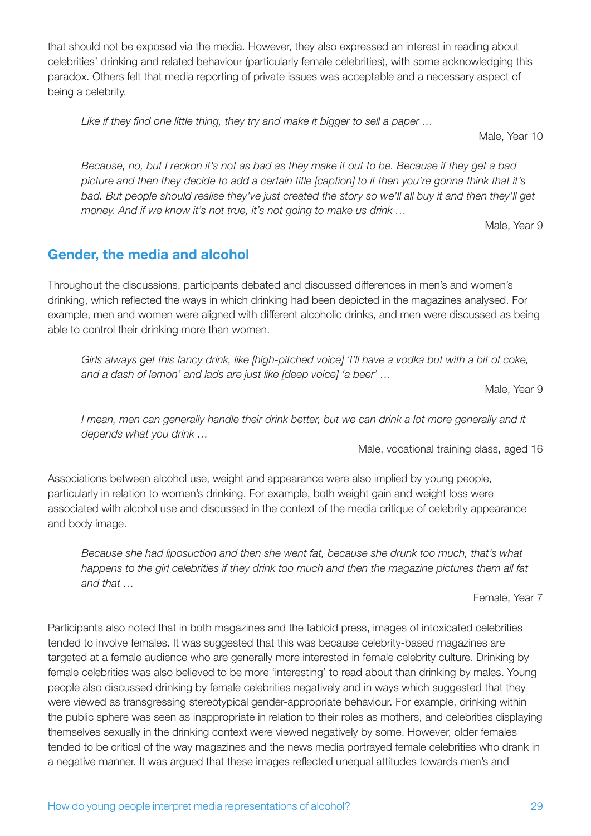that should not be exposed via the media. However, they also expressed an interest in reading about celebrities' drinking and related behaviour (particularly female celebrities), with some acknowledging this paradox. Others felt that media reporting of private issues was acceptable and a necessary aspect of being a celebrity.

*Like if they find one little thing, they try and make it bigger to sell a paper …*

Male, Year 10

*Because, no, but I reckon it's not as bad as they make it out to be. Because if they get a bad picture and then they decide to add a certain title [caption] to it then you're gonna think that it's bad. But people should realise they've just created the story so we'll all buy it and then they'll get money. And if we know it's not true, it's not going to make us drink …*

Male, Year 9

## **Gender, the media and alcohol**

Throughout the discussions, participants debated and discussed differences in men's and women's drinking, which reflected the ways in which drinking had been depicted in the magazines analysed. For example, men and women were aligned with different alcoholic drinks, and men were discussed as being able to control their drinking more than women.

*Girls always get this fancy drink, like [high-pitched voice] 'I'll have a vodka but with a bit of coke, and a dash of lemon' and lads are just like [deep voice] 'a beer' …*

Male, Year 9

*I* mean, men can generally handle their drink better, but we can drink a lot more generally and it *depends what you drink …*

Male, vocational training class, aged 16

Associations between alcohol use, weight and appearance were also implied by young people, particularly in relation to women's drinking. For example, both weight gain and weight loss were associated with alcohol use and discussed in the context of the media critique of celebrity appearance and body image.

*Because she had liposuction and then she went fat, because she drunk too much, that's what happens to the girl celebrities if they drink too much and then the magazine pictures them all fat and that …*

Female, Year 7

Participants also noted that in both magazines and the tabloid press, images of intoxicated celebrities tended to involve females. It was suggested that this was because celebrity-based magazines are targeted at a female audience who are generally more interested in female celebrity culture. Drinking by female celebrities was also believed to be more 'interesting' to read about than drinking by males. Young people also discussed drinking by female celebrities negatively and in ways which suggested that they were viewed as transgressing stereotypical gender-appropriate behaviour. For example, drinking within the public sphere was seen as inappropriate in relation to their roles as mothers, and celebrities displaying themselves sexually in the drinking context were viewed negatively by some. However, older females tended to be critical of the way magazines and the news media portrayed female celebrities who drank in a negative manner. It was argued that these images reflected unequal attitudes towards men's and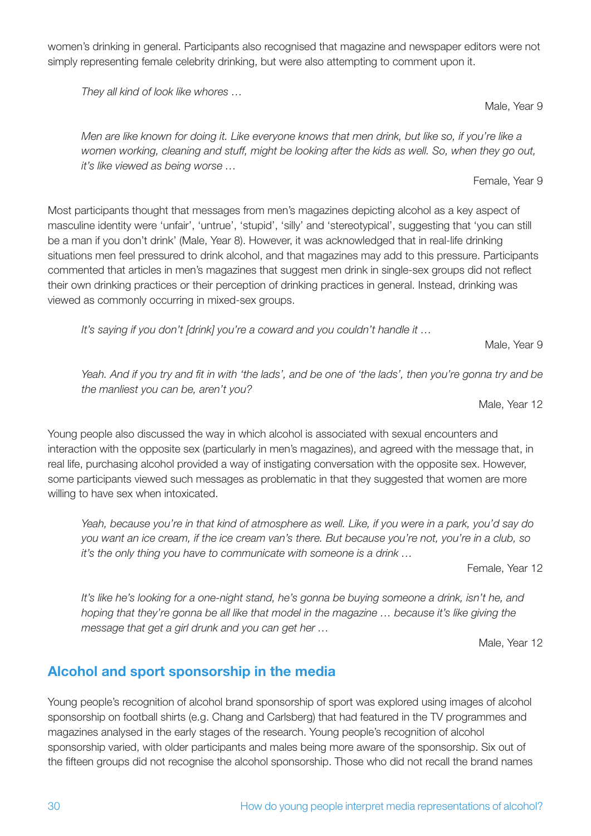*women working, cleaning and stuff, might be looking after the kids as well. So, when they go out,* 

Most participants thought that messages from men's magazines depicting alcohol as a key aspect of masculine identity were 'unfair', 'untrue', 'stupid', 'silly' and 'stereotypical', suggesting that 'you can still be a man if you don't drink' (Male, Year 8). However, it was acknowledged that in real-life drinking situations men feel pressured to drink alcohol, and that magazines may add to this pressure. Participants commented that articles in men's magazines that suggest men drink in single-sex groups did not reflect their own drinking practices or their perception of drinking practices in general. Instead, drinking was viewed as commonly occurring in mixed-sex groups.

*It's saying if you don't [drink] you're a coward and you couldn't handle it …*

*Yeah. And if you try and fit in with 'the lads', and be one of 'the lads', then you're gonna try and be the manliest you can be, aren't you?*

Male, Year 12

Male, Year 9

Young people also discussed the way in which alcohol is associated with sexual encounters and interaction with the opposite sex (particularly in men's magazines), and agreed with the message that, in real life, purchasing alcohol provided a way of instigating conversation with the opposite sex. However, some participants viewed such messages as problematic in that they suggested that women are more willing to have sex when intoxicated.

*Yeah, because you're in that kind of atmosphere as well. Like, if you were in a park, you'd say do you want an ice cream, if the ice cream van's there. But because you're not, you're in a club, so it's the only thing you have to communicate with someone is a drink …*

Female, Year 12

It's like he's looking for a one-night stand, he's gonna be buying someone a drink, isn't he, and *hoping that they're gonna be all like that model in the magazine … because it's like giving the message that get a girl drunk and you can get her …*

Male, Year 12

## **Alcohol and sport sponsorship in the media**

Young people's recognition of alcohol brand sponsorship of sport was explored using images of alcohol sponsorship on football shirts (e.g. Chang and Carlsberg) that had featured in the TV programmes and magazines analysed in the early stages of the research. Young people's recognition of alcohol sponsorship varied, with older participants and males being more aware of the sponsorship. Six out of the fifteen groups did not recognise the alcohol sponsorship. Those who did not recall the brand names

women's drinking in general. Participants also recognised that magazine and newspaper editors were not simply representing female celebrity drinking, but were also attempting to comment upon it.

*Men are like known for doing it. Like everyone knows that men drink, but like so, if you're like a* 

*They all kind of look like whores …*

*it's like viewed as being worse …*

Male, Year 9

Female, Year 9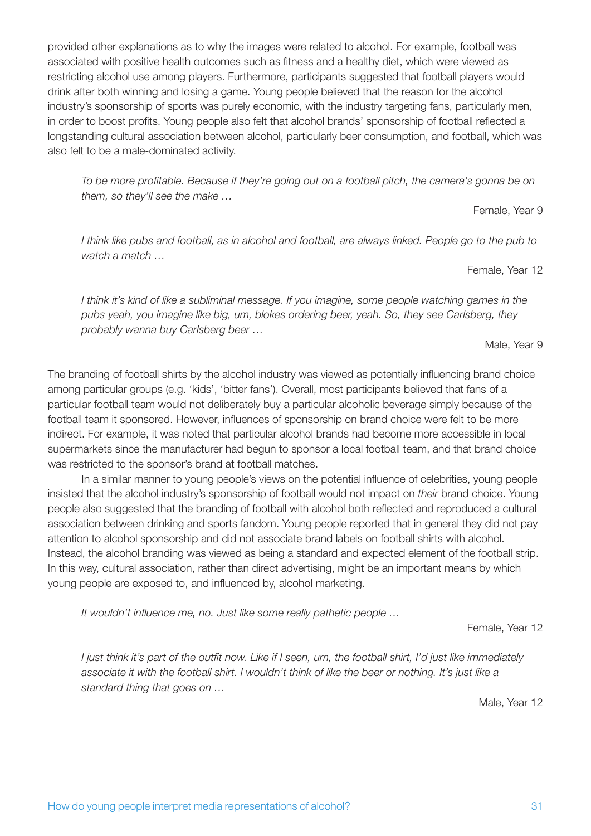provided other explanations as to why the images were related to alcohol. For example, football was associated with positive health outcomes such as fitness and a healthy diet, which were viewed as restricting alcohol use among players. Furthermore, participants suggested that football players would drink after both winning and losing a game. Young people believed that the reason for the alcohol industry's sponsorship of sports was purely economic, with the industry targeting fans, particularly men, in order to boost profits. Young people also felt that alcohol brands' sponsorship of football reflected a longstanding cultural association between alcohol, particularly beer consumption, and football, which was also felt to be a male-dominated activity.

*To be more profitable. Because if they're going out on a football pitch, the camera's gonna be on them, so they'll see the make …*

Female, Year 9

*I think like pubs and football, as in alcohol and football, are always linked. People go to the pub to watch a match …*

Female, Year 12

*I think it's kind of like a subliminal message. If you imagine, some people watching games in the pubs yeah, you imagine like big, um, blokes ordering beer, yeah. So, they see Carlsberg, they probably wanna buy Carlsberg beer …*

Male, Year 9

The branding of football shirts by the alcohol industry was viewed as potentially influencing brand choice among particular groups (e.g. 'kids', 'bitter fans'). Overall, most participants believed that fans of a particular football team would not deliberately buy a particular alcoholic beverage simply because of the football team it sponsored. However, influences of sponsorship on brand choice were felt to be more indirect. For example, it was noted that particular alcohol brands had become more accessible in local supermarkets since the manufacturer had begun to sponsor a local football team, and that brand choice was restricted to the sponsor's brand at football matches.

In a similar manner to young people's views on the potential influence of celebrities, young people insisted that the alcohol industry's sponsorship of football would not impact on *their* brand choice. Young people also suggested that the branding of football with alcohol both reflected and reproduced a cultural association between drinking and sports fandom. Young people reported that in general they did not pay attention to alcohol sponsorship and did not associate brand labels on football shirts with alcohol. Instead, the alcohol branding was viewed as being a standard and expected element of the football strip. In this way, cultural association, rather than direct advertising, might be an important means by which young people are exposed to, and influenced by, alcohol marketing.

*It wouldn't influence me, no. Just like some really pathetic people …*

Female, Year 12

*I just think it's part of the outfit now. Like if I seen, um, the football shirt, I'd just like immediately associate it with the football shirt. I wouldn't think of like the beer or nothing. It's just like a standard thing that goes on …*

Male, Year 12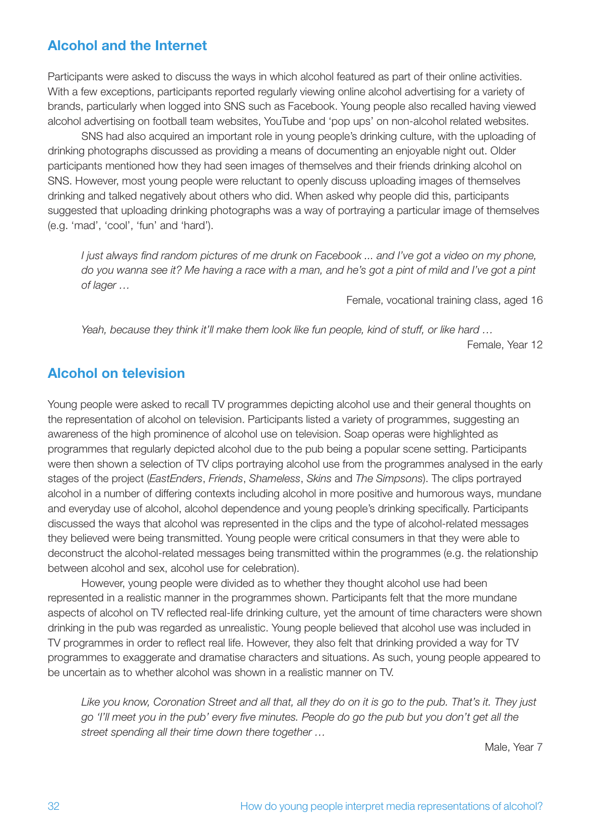## **Alcohol and the Internet**

Participants were asked to discuss the ways in which alcohol featured as part of their online activities. With a few exceptions, participants reported regularly viewing online alcohol advertising for a variety of brands, particularly when logged into SNS such as Facebook. Young people also recalled having viewed alcohol advertising on football team websites, YouTube and 'pop ups' on non-alcohol related websites.

SNS had also acquired an important role in young people's drinking culture, with the uploading of drinking photographs discussed as providing a means of documenting an enjoyable night out. Older participants mentioned how they had seen images of themselves and their friends drinking alcohol on SNS. However, most young people were reluctant to openly discuss uploading images of themselves drinking and talked negatively about others who did. When asked why people did this, participants suggested that uploading drinking photographs was a way of portraying a particular image of themselves (e.g. 'mad', 'cool', 'fun' and 'hard').

*I* just always find random pictures of me drunk on Facebook ... and I've got a video on my phone, *do you wanna see it? Me having a race with a man, and he's got a pint of mild and I've got a pint of lager …*

Female, vocational training class, aged 16

*Yeah, because they think it'll make them look like fun people, kind of stuff, or like hard …*

Female, Year 12

## **Alcohol on television**

Young people were asked to recall TV programmes depicting alcohol use and their general thoughts on the representation of alcohol on television. Participants listed a variety of programmes, suggesting an awareness of the high prominence of alcohol use on television. Soap operas were highlighted as programmes that regularly depicted alcohol due to the pub being a popular scene setting. Participants were then shown a selection of TV clips portraying alcohol use from the programmes analysed in the early stages of the project (*EastEnders*, *Friends*, *Shameless*, *Skins* and *The Simpsons*). The clips portrayed alcohol in a number of differing contexts including alcohol in more positive and humorous ways, mundane and everyday use of alcohol, alcohol dependence and young people's drinking specifically. Participants discussed the ways that alcohol was represented in the clips and the type of alcohol-related messages they believed were being transmitted. Young people were critical consumers in that they were able to deconstruct the alcohol-related messages being transmitted within the programmes (e.g. the relationship between alcohol and sex, alcohol use for celebration).

However, young people were divided as to whether they thought alcohol use had been represented in a realistic manner in the programmes shown. Participants felt that the more mundane aspects of alcohol on TV reflected real-life drinking culture, yet the amount of time characters were shown drinking in the pub was regarded as unrealistic. Young people believed that alcohol use was included in TV programmes in order to reflect real life. However, they also felt that drinking provided a way for TV programmes to exaggerate and dramatise characters and situations. As such, young people appeared to be uncertain as to whether alcohol was shown in a realistic manner on TV.

*Like you know, Coronation Street and all that, all they do on it is go to the pub. That's it. They just go 'I'll meet you in the pub' every five minutes. People do go the pub but you don't get all the street spending all their time down there together …*

Male, Year 7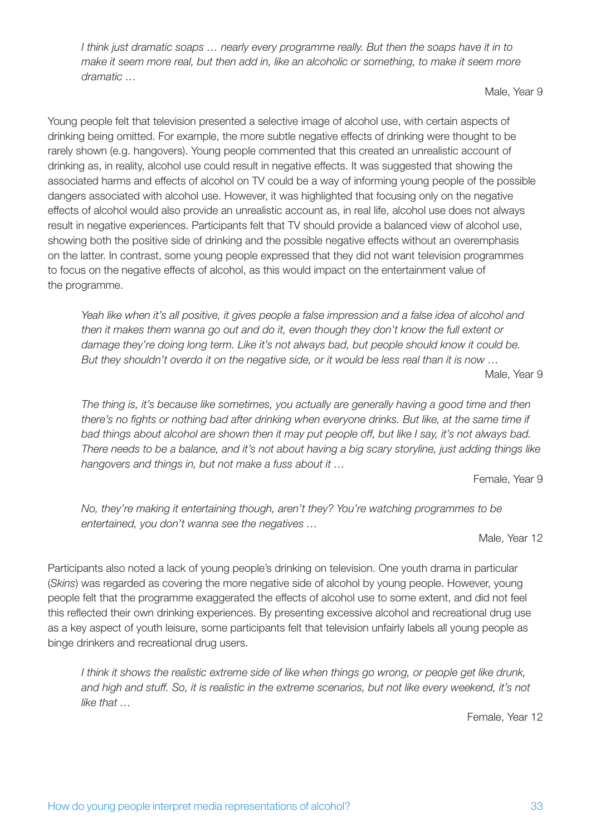*I think just dramatic soaps … nearly every programme really. But then the soaps have it in to make it seem more real, but then add in, like an alcoholic or something, to make it seem more dramatic …*

Male, Year 9

Young people felt that television presented a selective image of alcohol use, with certain aspects of drinking being omitted. For example, the more subtle negative effects of drinking were thought to be rarely shown (e.g. hangovers). Young people commented that this created an unrealistic account of drinking as, in reality, alcohol use could result in negative effects. It was suggested that showing the associated harms and effects of alcohol on TV could be a way of informing young people of the possible dangers associated with alcohol use. However, it was highlighted that focusing only on the negative effects of alcohol would also provide an unrealistic account as, in real life, alcohol use does not always result in negative experiences. Participants felt that TV should provide a balanced view of alcohol use, showing both the positive side of drinking and the possible negative effects without an overemphasis on the latter. In contrast, some young people expressed that they did not want television programmes to focus on the negative effects of alcohol, as this would impact on the entertainment value of the programme.

*Yeah like when it's all positive, it gives people a false impression and a false idea of alcohol and then it makes them wanna go out and do it, even though they don't know the full extent or damage they're doing long term. Like it's not always bad, but people should know it could be. But they shouldn't overdo it on the negative side, or it would be less real than it is now …*

Male, Year 9

*The thing is, it's because like sometimes, you actually are generally having a good time and then there's no fights or nothing bad after drinking when everyone drinks. But like, at the same time if bad things about alcohol are shown then it may put people off, but like I say, it's not always bad. There needs to be a balance, and it's not about having a big scary storyline, just adding things like hangovers and things in, but not make a fuss about it …*

Female, Year 9

*No, they're making it entertaining though, aren't they? You're watching programmes to be entertained, you don't wanna see the negatives …*

Male, Year 12

Participants also noted a lack of young people's drinking on television. One youth drama in particular (*Skins*) was regarded as covering the more negative side of alcohol by young people. However, young people felt that the programme exaggerated the effects of alcohol use to some extent, and did not feel this reflected their own drinking experiences. By presenting excessive alcohol and recreational drug use as a key aspect of youth leisure, some participants felt that television unfairly labels all young people as binge drinkers and recreational drug users.

*I think it shows the realistic extreme side of like when things go wrong, or people get like drunk, and high and stuff. So, it is realistic in the extreme scenarios, but not like every weekend, it's not like that …*

Female, Year 12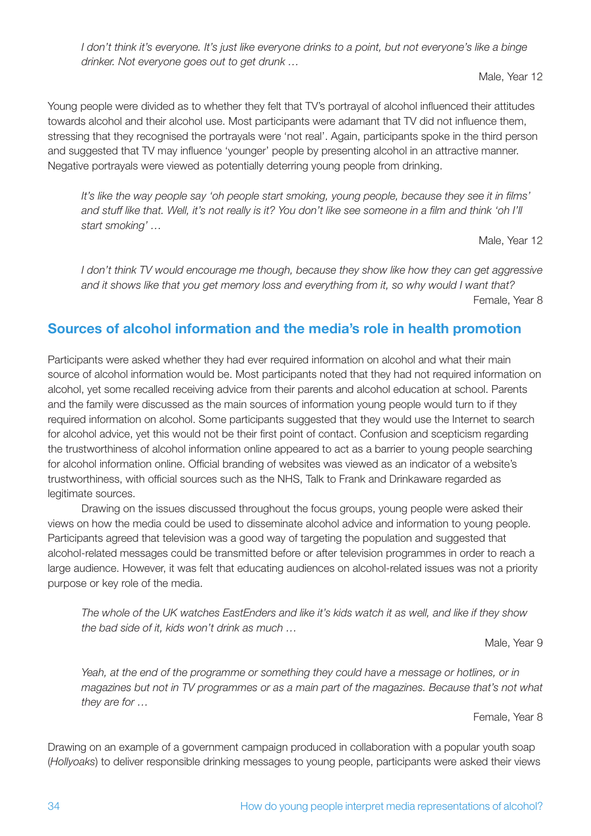*I don't think it's everyone. It's just like everyone drinks to a point, but not everyone's like a binge drinker. Not everyone goes out to get drunk …*

Male, Year 12

Young people were divided as to whether they felt that TV's portrayal of alcohol influenced their attitudes towards alcohol and their alcohol use. Most participants were adamant that TV did not influence them, stressing that they recognised the portrayals were 'not real'. Again, participants spoke in the third person and suggested that TV may influence 'younger' people by presenting alcohol in an attractive manner. Negative portrayals were viewed as potentially deterring young people from drinking.

*It's like the way people say 'oh people start smoking, young people, because they see it in films' and stuff like that. Well, it's not really is it? You don't like see someone in a film and think 'oh I'll start smoking' …*

Male, Year 12

*I don't think TV would encourage me though, because they show like how they can get aggressive and it shows like that you get memory loss and everything from it, so why would I want that?* Female, Year 8

## **Sources of alcohol information and the media's role in health promotion**

Participants were asked whether they had ever required information on alcohol and what their main source of alcohol information would be. Most participants noted that they had not required information on alcohol, yet some recalled receiving advice from their parents and alcohol education at school. Parents and the family were discussed as the main sources of information young people would turn to if they required information on alcohol. Some participants suggested that they would use the Internet to search for alcohol advice, yet this would not be their first point of contact. Confusion and scepticism regarding the trustworthiness of alcohol information online appeared to act as a barrier to young people searching for alcohol information online. Official branding of websites was viewed as an indicator of a website's trustworthiness, with official sources such as the NHS, Talk to Frank and Drinkaware regarded as legitimate sources.

Drawing on the issues discussed throughout the focus groups, young people were asked their views on how the media could be used to disseminate alcohol advice and information to young people. Participants agreed that television was a good way of targeting the population and suggested that alcohol-related messages could be transmitted before or after television programmes in order to reach a large audience. However, it was felt that educating audiences on alcohol-related issues was not a priority purpose or key role of the media.

*The whole of the UK watches EastEnders and like it's kids watch it as well, and like if they show the bad side of it, kids won't drink as much …*

Male, Year 9

*Yeah, at the end of the programme or something they could have a message or hotlines, or in magazines but not in TV programmes or as a main part of the magazines. Because that's not what they are for …*

Female, Year 8

Drawing on an example of a government campaign produced in collaboration with a popular youth soap (*Hollyoaks*) to deliver responsible drinking messages to young people, participants were asked their views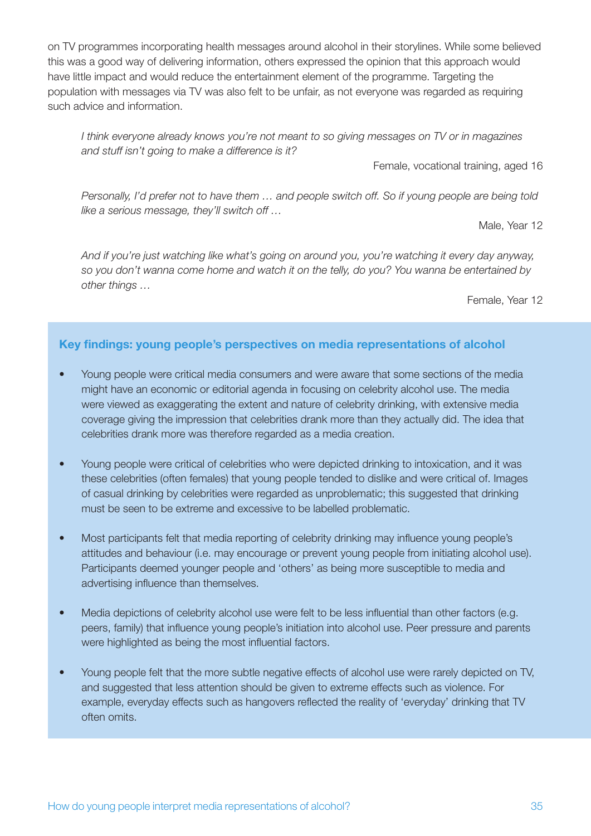on TV programmes incorporating health messages around alcohol in their storylines. While some believed this was a good way of delivering information, others expressed the opinion that this approach would have little impact and would reduce the entertainment element of the programme. Targeting the population with messages via TV was also felt to be unfair, as not everyone was regarded as requiring such advice and information.

*I think everyone already knows you're not meant to so giving messages on TV or in magazines and stuff isn't going to make a difference is it?*

Female, vocational training, aged 16

*Personally, I'd prefer not to have them … and people switch off. So if young people are being told like a serious message, they'll switch off …*

Male, Year 12

*And if you're just watching like what's going on around you, you're watching it every day anyway, so you don't wanna come home and watch it on the telly, do you? You wanna be entertained by other things …*

Female, Year 12

#### **Key findings: young people's perspectives on media representations of alcohol**

- Young people were critical media consumers and were aware that some sections of the media might have an economic or editorial agenda in focusing on celebrity alcohol use. The media were viewed as exaggerating the extent and nature of celebrity drinking, with extensive media coverage giving the impression that celebrities drank more than they actually did. The idea that celebrities drank more was therefore regarded as a media creation.
- Young people were critical of celebrities who were depicted drinking to intoxication, and it was these celebrities (often females) that young people tended to dislike and were critical of. Images of casual drinking by celebrities were regarded as unproblematic; this suggested that drinking must be seen to be extreme and excessive to be labelled problematic.
- Most participants felt that media reporting of celebrity drinking may influence young people's attitudes and behaviour (i.e. may encourage or prevent young people from initiating alcohol use). Participants deemed younger people and 'others' as being more susceptible to media and advertising influence than themselves.
- Media depictions of celebrity alcohol use were felt to be less influential than other factors (e.g. peers, family) that influence young people's initiation into alcohol use. Peer pressure and parents were highlighted as being the most influential factors.
- Young people felt that the more subtle negative effects of alcohol use were rarely depicted on TV, and suggested that less attention should be given to extreme effects such as violence. For example, everyday effects such as hangovers reflected the reality of 'everyday' drinking that TV often omits.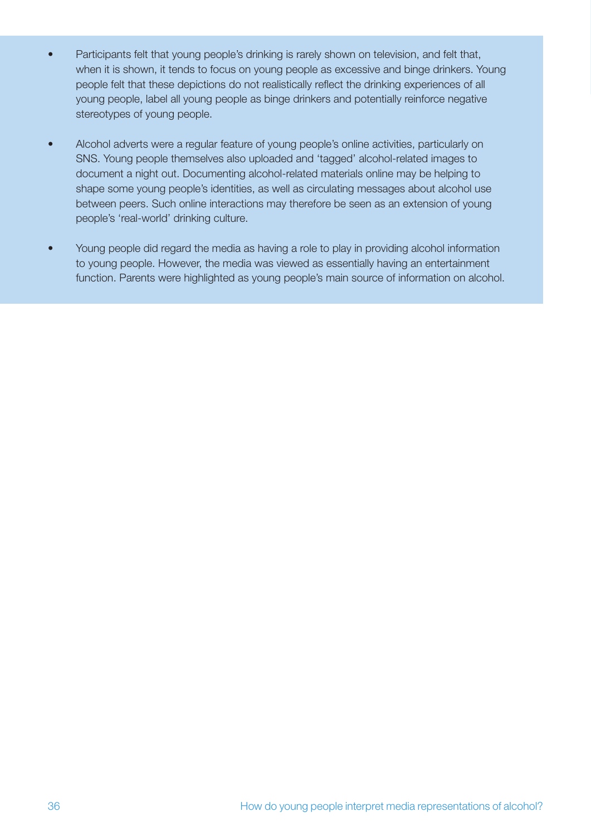- Participants felt that young people's drinking is rarely shown on television, and felt that, when it is shown, it tends to focus on young people as excessive and binge drinkers. Young people felt that these depictions do not realistically reflect the drinking experiences of all young people, label all young people as binge drinkers and potentially reinforce negative stereotypes of young people.
- Alcohol adverts were a regular feature of young people's online activities, particularly on SNS. Young people themselves also uploaded and 'tagged' alcohol-related images to document a night out. Documenting alcohol-related materials online may be helping to shape some young people's identities, as well as circulating messages about alcohol use between peers. Such online interactions may therefore be seen as an extension of young people's 'real-world' drinking culture.
- Young people did regard the media as having a role to play in providing alcohol information to young people. However, the media was viewed as essentially having an entertainment function. Parents were highlighted as young people's main source of information on alcohol.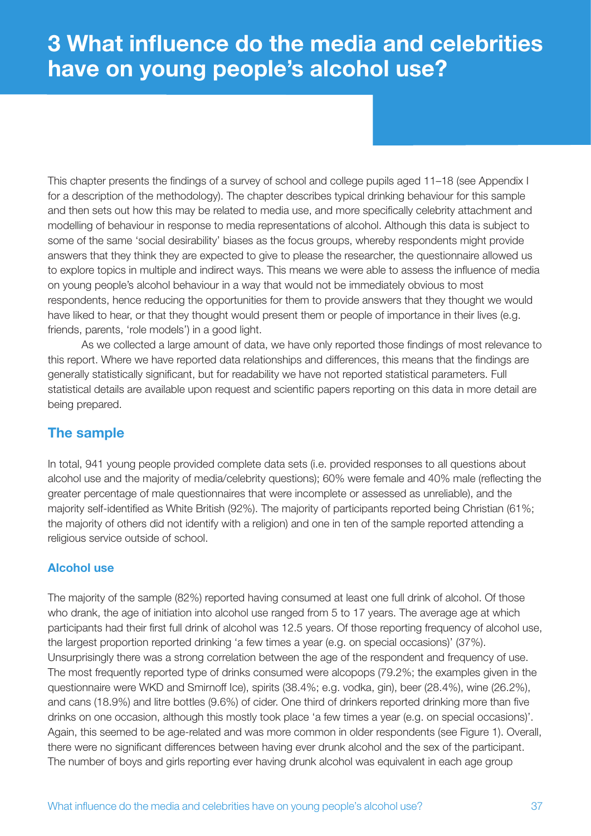# **3 What influence do the media and celebrities have on young people's alcohol use?**

This chapter presents the findings of a survey of school and college pupils aged 11–18 (see Appendix I for a description of the methodology). The chapter describes typical drinking behaviour for this sample and then sets out how this may be related to media use, and more specifically celebrity attachment and modelling of behaviour in response to media representations of alcohol. Although this data is subject to some of the same 'social desirability' biases as the focus groups, whereby respondents might provide answers that they think they are expected to give to please the researcher, the questionnaire allowed us to explore topics in multiple and indirect ways. This means we were able to assess the influence of media on young people's alcohol behaviour in a way that would not be immediately obvious to most respondents, hence reducing the opportunities for them to provide answers that they thought we would have liked to hear, or that they thought would present them or people of importance in their lives (e.g. friends, parents, 'role models') in a good light.

As we collected a large amount of data, we have only reported those findings of most relevance to this report. Where we have reported data relationships and differences, this means that the findings are generally statistically significant, but for readability we have not reported statistical parameters. Full statistical details are available upon request and scientific papers reporting on this data in more detail are being prepared.

# **The sample**

In total, 941 young people provided complete data sets (i.e. provided responses to all questions about alcohol use and the majority of media/celebrity questions); 60% were female and 40% male (reflecting the greater percentage of male questionnaires that were incomplete or assessed as unreliable), and the majority self-identified as White British (92%). The majority of participants reported being Christian (61%; the majority of others did not identify with a religion) and one in ten of the sample reported attending a religious service outside of school.

## **Alcohol use**

The majority of the sample (82%) reported having consumed at least one full drink of alcohol. Of those who drank, the age of initiation into alcohol use ranged from 5 to 17 years. The average age at which participants had their first full drink of alcohol was 12.5 years. Of those reporting frequency of alcohol use, the largest proportion reported drinking 'a few times a year (e.g. on special occasions)' (37%). Unsurprisingly there was a strong correlation between the age of the respondent and frequency of use. The most frequently reported type of drinks consumed were alcopops (79.2%; the examples given in the questionnaire were WKD and Smirnoff Ice), spirits (38.4%; e.g. vodka, gin), beer (28.4%), wine (26.2%), and cans (18.9%) and litre bottles (9.6%) of cider. One third of drinkers reported drinking more than five drinks on one occasion, although this mostly took place 'a few times a year (e.g. on special occasions)'. Again, this seemed to be age-related and was more common in older respondents (see Figure 1). Overall, there were no significant differences between having ever drunk alcohol and the sex of the participant. The number of boys and girls reporting ever having drunk alcohol was equivalent in each age group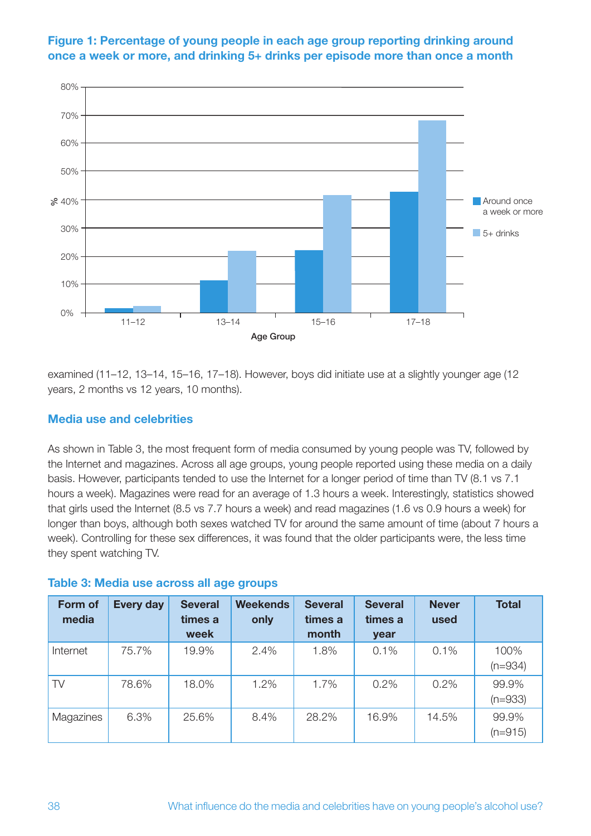

## **Figure 1: Percentage of young people in each age group reporting drinking around once a week or more, and drinking 5+ drinks per episode more than once a month**

examined (11–12, 13–14, 15–16, 17–18). However, boys did initiate use at a slightly younger age (12 years, 2 months vs 12 years, 10 months).

## **Media use and celebrities**

As shown in Table 3, the most frequent form of media consumed by young people was TV, followed by the Internet and magazines. Across all age groups, young people reported using these media on a daily basis. However, participants tended to use the Internet for a longer period of time than TV (8.1 vs 7.1 hours a week). Magazines were read for an average of 1.3 hours a week. Interestingly, statistics showed that girls used the Internet (8.5 vs 7.7 hours a week) and read magazines (1.6 vs 0.9 hours a week) for longer than boys, although both sexes watched TV for around the same amount of time (about 7 hours a week). Controlling for these sex differences, it was found that the older participants were, the less time they spent watching TV.

| Form of<br>media | <b>Every day</b> | <b>Several</b><br>times a<br>week | <b>Weekends</b><br>only | <b>Several</b><br>times a<br>month | <b>Several</b><br>times a<br>year | <b>Never</b><br>used | <b>Total</b>       |
|------------------|------------------|-----------------------------------|-------------------------|------------------------------------|-----------------------------------|----------------------|--------------------|
| Internet         | 75.7%            | 19.9%                             | 2.4%                    | 1.8%                               | 0.1%                              | 0.1%                 | 100%<br>$(n=934)$  |
| TV               | 78.6%            | 18.0%                             | 1.2%                    | 1.7%                               | 0.2%                              | 0.2%                 | 99.9%<br>$(n=933)$ |
| Magazines        | 6.3%             | 25.6%                             | 8.4%                    | 28.2%                              | 16.9%                             | 14.5%                | 99.9%<br>$(n=915)$ |

## **Table 3: Media use across all age groups**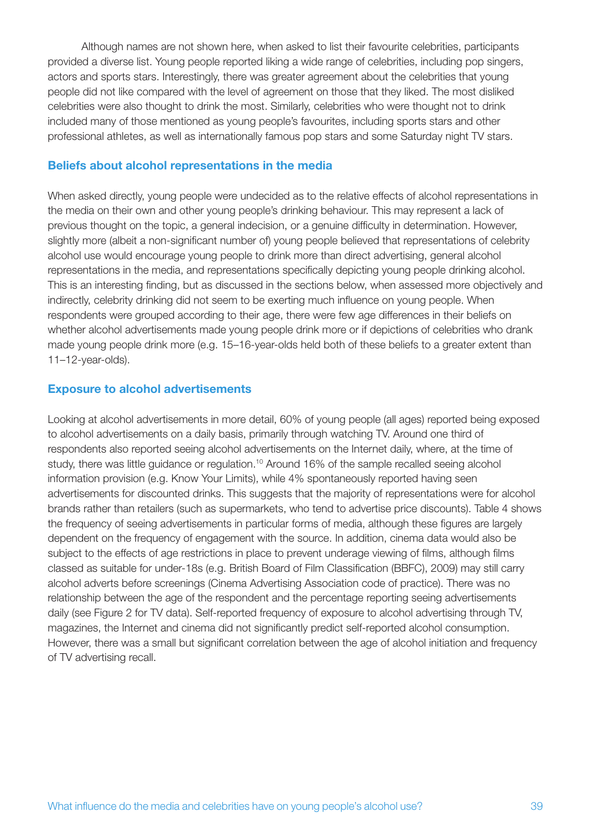Although names are not shown here, when asked to list their favourite celebrities, participants provided a diverse list. Young people reported liking a wide range of celebrities, including pop singers, actors and sports stars. Interestingly, there was greater agreement about the celebrities that young people did not like compared with the level of agreement on those that they liked. The most disliked celebrities were also thought to drink the most. Similarly, celebrities who were thought not to drink included many of those mentioned as young people's favourites, including sports stars and other professional athletes, as well as internationally famous pop stars and some Saturday night TV stars.

## **Beliefs about alcohol representations in the media**

When asked directly, young people were undecided as to the relative effects of alcohol representations in the media on their own and other young people's drinking behaviour. This may represent a lack of previous thought on the topic, a general indecision, or a genuine difficulty in determination. However, slightly more (albeit a non-significant number of) young people believed that representations of celebrity alcohol use would encourage young people to drink more than direct advertising, general alcohol representations in the media, and representations specifically depicting young people drinking alcohol. This is an interesting finding, but as discussed in the sections below, when assessed more objectively and indirectly, celebrity drinking did not seem to be exerting much influence on young people. When respondents were grouped according to their age, there were few age differences in their beliefs on whether alcohol advertisements made young people drink more or if depictions of celebrities who drank made young people drink more (e.g. 15–16-year-olds held both of these beliefs to a greater extent than 11–12-year-olds).

#### **Exposure to alcohol advertisements**

Looking at alcohol advertisements in more detail, 60% of young people (all ages) reported being exposed to alcohol advertisements on a daily basis, primarily through watching TV. Around one third of respondents also reported seeing alcohol advertisements on the Internet daily, where, at the time of study, there was little guidance or regulation.<sup>10</sup> Around 16% of the sample recalled seeing alcohol information provision (e.g. Know Your Limits), while 4% spontaneously reported having seen advertisements for discounted drinks. This suggests that the majority of representations were for alcohol brands rather than retailers (such as supermarkets, who tend to advertise price discounts). Table 4 shows the frequency of seeing advertisements in particular forms of media, although these figures are largely dependent on the frequency of engagement with the source. In addition, cinema data would also be subject to the effects of age restrictions in place to prevent underage viewing of films, although films classed as suitable for under-18s (e.g. British Board of Film Classification (BBFC), 2009) may still carry alcohol adverts before screenings (Cinema Advertising Association code of practice). There was no relationship between the age of the respondent and the percentage reporting seeing advertisements daily (see Figure 2 for TV data). Self-reported frequency of exposure to alcohol advertising through TV, magazines, the Internet and cinema did not significantly predict self-reported alcohol consumption. However, there was a small but significant correlation between the age of alcohol initiation and frequency of TV advertising recall.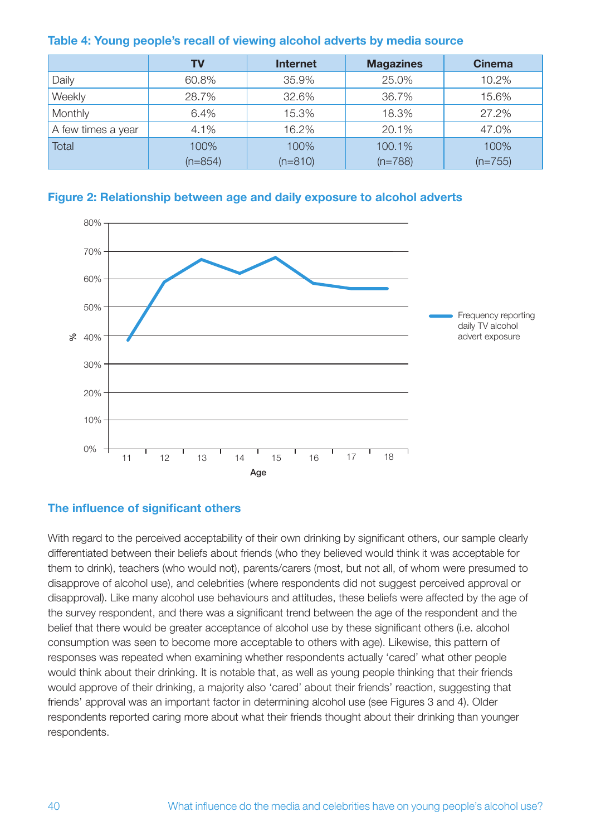|                    | TV        | <b>Internet</b> | <b>Magazines</b> | <b>Cinema</b> |  |
|--------------------|-----------|-----------------|------------------|---------------|--|
| Daily              | 60.8%     | 35.9%           | 25.0%            | 10.2%         |  |
| Weekly             | 28.7%     | 32.6%           | 36.7%            | 15.6%         |  |
| Monthly            | 6.4%      | 15.3%           | 18.3%            | 27.2%         |  |
| A few times a year | 4.1%      | 16.2%           | 20.1%            | 47.0%         |  |
| <b>Total</b>       | 100%      | 100%            | 100.1%           | 100%          |  |
|                    | $(n=854)$ | $(n=810)$       | $(n=788)$        | $(n=755)$     |  |

#### **Table 4: Young people's recall of viewing alcohol adverts by media source**





## **The influence of significant others**

With regard to the perceived acceptability of their own drinking by significant others, our sample clearly differentiated between their beliefs about friends (who they believed would think it was acceptable for them to drink), teachers (who would not), parents/carers (most, but not all, of whom were presumed to disapprove of alcohol use), and celebrities (where respondents did not suggest perceived approval or disapproval). Like many alcohol use behaviours and attitudes, these beliefs were affected by the age of the survey respondent, and there was a significant trend between the age of the respondent and the belief that there would be greater acceptance of alcohol use by these significant others (i.e. alcohol consumption was seen to become more acceptable to others with age). Likewise, this pattern of responses was repeated when examining whether respondents actually 'cared' what other people would think about their drinking. It is notable that, as well as young people thinking that their friends would approve of their drinking, a majority also 'cared' about their friends' reaction, suggesting that friends' approval was an important factor in determining alcohol use (see Figures 3 and 4). Older respondents reported caring more about what their friends thought about their drinking than younger respondents.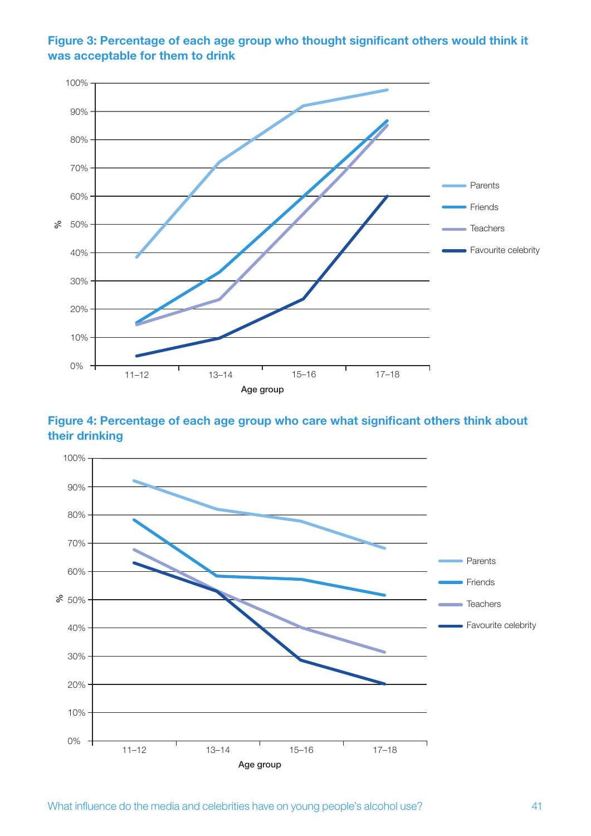

**Figure 3: Percentage of each age group who thought significant others would think it was acceptable for them to drink**

**Figure 4: Percentage of each age group who care what significant others think about their drinking**

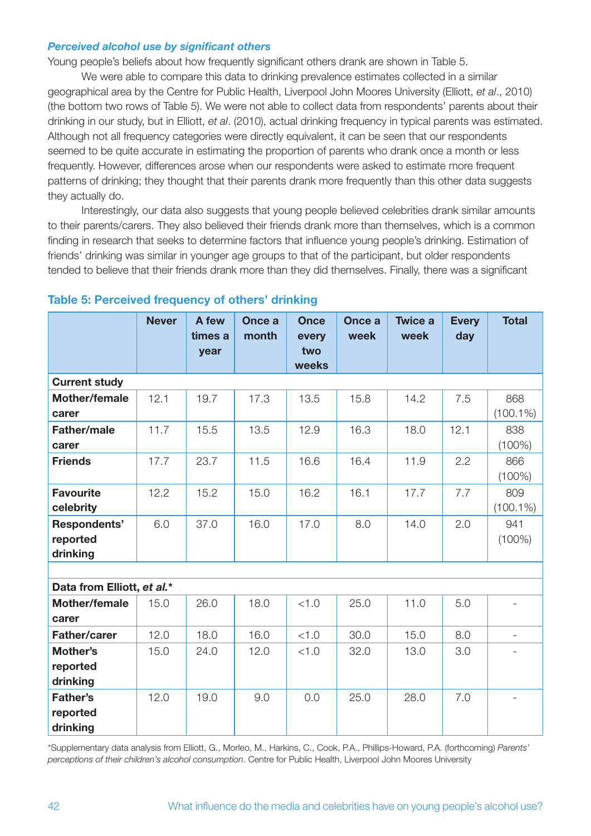#### *Perceived alcohol use by significant others*

Young people's beliefs about how frequently significant others drank are shown in Table 5.

We were able to compare this data to drinking prevalence estimates collected in a similar geographical area by the Centre for Public Health, Liverpool John Moores University (Elliott, *et al*., 2010) (the bottom two rows of Table 5). We were not able to collect data from respondents' parents about their drinking in our study, but in Elliott, *et al*. (2010), actual drinking frequency in typical parents was estimated. Although not all frequency categories were directly equivalent, it can be seen that our respondents seemed to be quite accurate in estimating the proportion of parents who drank once a month or less frequently. However, differences arose when our respondents were asked to estimate more frequent patterns of drinking; they thought that their parents drank more frequently than this other data suggests they actually do.

Interestingly, our data also suggests that young people believed celebrities drank similar amounts to their parents/carers. They also believed their friends drank more than themselves, which is a common finding in research that seeks to determine factors that influence young people's drinking. Estimation of friends' drinking was similar in younger age groups to that of the participant, but older respondents tended to believe that their friends drank more than they did themselves. Finally, there was a significant

|                                         | <b>Never</b> | A few<br>times a<br>year | Once a<br>month | <b>Once</b><br>every<br>two<br>weeks | Once a<br>week | <b>Twice a</b><br>week | <b>Every</b><br>day | <b>Total</b>             |
|-----------------------------------------|--------------|--------------------------|-----------------|--------------------------------------|----------------|------------------------|---------------------|--------------------------|
| <b>Current study</b>                    |              |                          |                 |                                      |                |                        |                     |                          |
| Mother/female<br>carer                  | 12.1         | 19.7                     | 17.3            | 13.5                                 | 15.8           | 14.2                   | 7.5                 | 868<br>$(100.1\%)$       |
| <b>Father/male</b><br>carer             | 11.7         | 15.5                     | 13.5            | 12.9                                 | 16.3           | 18.0                   | 12.1                | 838<br>$(100\%)$         |
| <b>Friends</b>                          | 17.7         | 23.7                     | 11.5            | 16.6                                 | 16.4           | 11.9                   | 2.2                 | 866<br>$(100\%)$         |
| <b>Favourite</b><br>celebrity           | 12.2         | 15.2                     | 15.0            | 16.2                                 | 16.1           | 17.7                   | 7.7                 | 809<br>$(100.1\%)$       |
| Respondents'<br>reported<br>drinking    | 6.0          | 37.0                     | 16.0            | 17.0                                 | 8.0            | 14.0                   | 2.0                 | 941<br>$(100\%)$         |
|                                         |              |                          |                 |                                      |                |                        |                     |                          |
| Data from Elliott, et al.*              |              |                          |                 |                                      |                |                        |                     |                          |
| <b>Mother/female</b><br>carer           | 15.0         | 26.0                     | 18.0            | < 1.0                                | 25.0           | 11.0                   | 5.0                 |                          |
| <b>Father/carer</b>                     | 12.0         | 18.0                     | 16.0            | < 1.0                                | 30.0           | 15.0                   | 8.0                 | $\overline{\phantom{a}}$ |
| Mother's<br>reported<br>drinking        | 15.0         | 24.0                     | 12.0            | < 1.0                                | 32.0           | 13.0                   | 3.0                 |                          |
| <b>Father's</b><br>reported<br>drinking | 12.0         | 19.0                     | 9.0             | 0.0                                  | 25.0           | 28.0                   | 7.0                 | $\overline{a}$           |

## **Table 5: Perceived frequency of others' drinking**

\*Supplementary data analysis from Elliott, G., Morleo, M., Harkins, C., Cook, P.A., Phillips-Howard, P.A. (forthcoming) *Parents' perceptions of their children's alcohol consumption*. Centre for Public Health, Liverpool John Moores University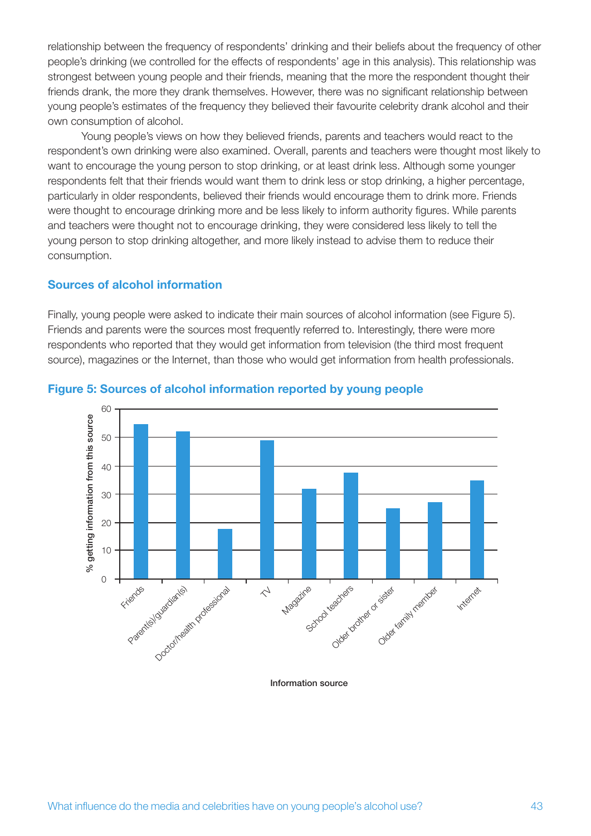relationship between the frequency of respondents' drinking and their beliefs about the frequency of other people's drinking (we controlled for the effects of respondents' age in this analysis). This relationship was strongest between young people and their friends, meaning that the more the respondent thought their friends drank, the more they drank themselves. However, there was no significant relationship between young people's estimates of the frequency they believed their favourite celebrity drank alcohol and their own consumption of alcohol.

Young people's views on how they believed friends, parents and teachers would react to the respondent's own drinking were also examined. Overall, parents and teachers were thought most likely to want to encourage the young person to stop drinking, or at least drink less. Although some younger respondents felt that their friends would want them to drink less or stop drinking, a higher percentage, particularly in older respondents, believed their friends would encourage them to drink more. Friends were thought to encourage drinking more and be less likely to inform authority figures. While parents and teachers were thought not to encourage drinking, they were considered less likely to tell the young person to stop drinking altogether, and more likely instead to advise them to reduce their consumption.

#### **Sources of alcohol information**

Finally, young people were asked to indicate their main sources of alcohol information (see Figure 5). Friends and parents were the sources most frequently referred to. Interestingly, there were more respondents who reported that they would get information from television (the third most frequent source), magazines or the Internet, than those who would get information from health professionals.



#### **Figure 5: Sources of alcohol information reported by young people**

Information source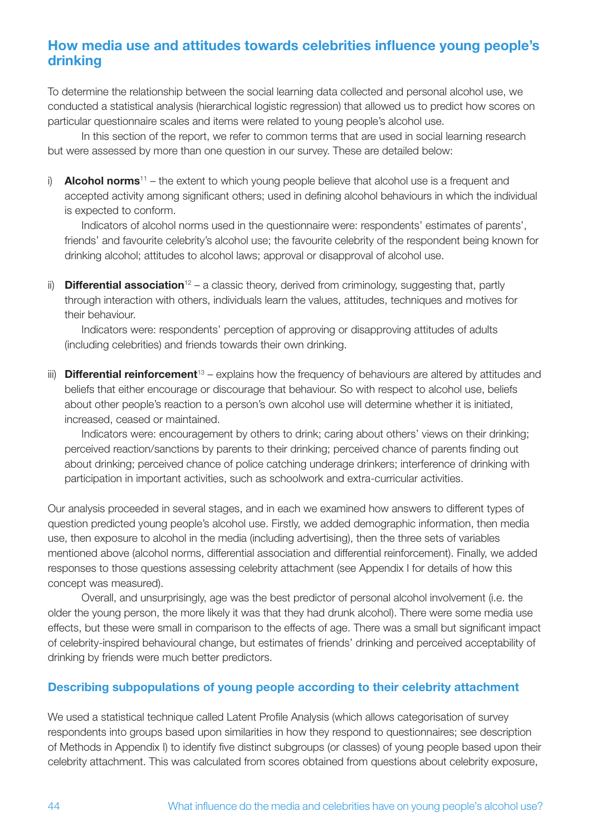## **How media use and attitudes towards celebrities influence young people's drinking**

To determine the relationship between the social learning data collected and personal alcohol use, we conducted a statistical analysis (hierarchical logistic regression) that allowed us to predict how scores on particular questionnaire scales and items were related to young people's alcohol use.

In this section of the report, we refer to common terms that are used in social learning research but were assessed by more than one question in our survey. These are detailed below:

i) **Alcohol norms**<sup>11</sup> – the extent to which young people believe that alcohol use is a frequent and accepted activity among significant others; used in defining alcohol behaviours in which the individual is expected to conform.

Indicators of alcohol norms used in the questionnaire were: respondents' estimates of parents', friends' and favourite celebrity's alcohol use; the favourite celebrity of the respondent being known for drinking alcohol; attitudes to alcohol laws; approval or disapproval of alcohol use.

ii) **Differential association**<sup>12</sup> – a classic theory, derived from criminology, suggesting that, partly through interaction with others, individuals learn the values, attitudes, techniques and motives for their behaviour.

Indicators were: respondents' perception of approving or disapproving attitudes of adults (including celebrities) and friends towards their own drinking.

iii) **Differential reinforcement**<sup>13</sup> – explains how the frequency of behaviours are altered by attitudes and beliefs that either encourage or discourage that behaviour. So with respect to alcohol use, beliefs about other people's reaction to a person's own alcohol use will determine whether it is initiated, increased, ceased or maintained.

Indicators were: encouragement by others to drink; caring about others' views on their drinking; perceived reaction/sanctions by parents to their drinking; perceived chance of parents finding out about drinking; perceived chance of police catching underage drinkers; interference of drinking with participation in important activities, such as schoolwork and extra-curricular activities.

Our analysis proceeded in several stages, and in each we examined how answers to different types of question predicted young people's alcohol use. Firstly, we added demographic information, then media use, then exposure to alcohol in the media (including advertising), then the three sets of variables mentioned above (alcohol norms, differential association and differential reinforcement). Finally, we added responses to those questions assessing celebrity attachment (see Appendix I for details of how this concept was measured).

Overall, and unsurprisingly, age was the best predictor of personal alcohol involvement (i.e. the older the young person, the more likely it was that they had drunk alcohol). There were some media use effects, but these were small in comparison to the effects of age. There was a small but significant impact of celebrity-inspired behavioural change, but estimates of friends' drinking and perceived acceptability of drinking by friends were much better predictors.

## **Describing subpopulations of young people according to their celebrity attachment**

We used a statistical technique called Latent Profile Analysis (which allows categorisation of survey respondents into groups based upon similarities in how they respond to questionnaires; see description of Methods in Appendix I) to identify five distinct subgroups (or classes) of young people based upon their celebrity attachment. This was calculated from scores obtained from questions about celebrity exposure,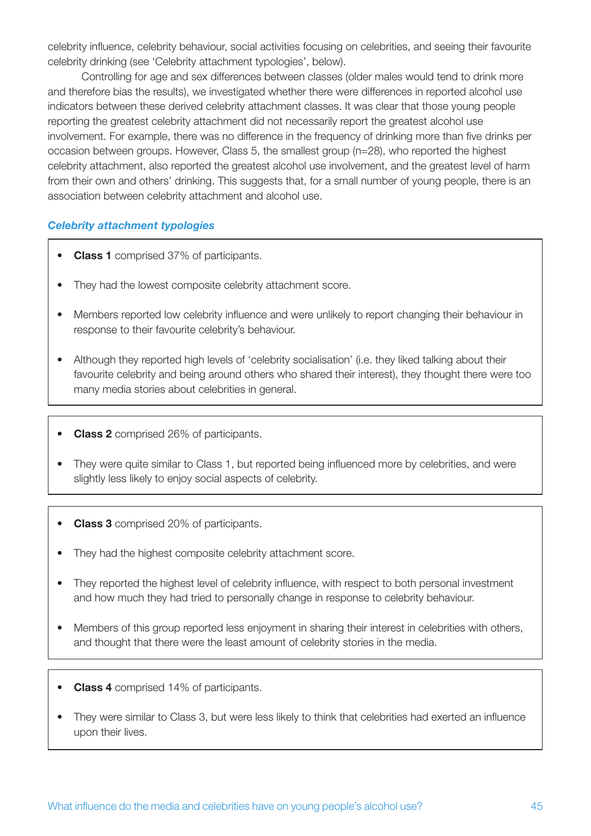celebrity influence, celebrity behaviour, social activities focusing on celebrities, and seeing their favourite celebrity drinking (see 'Celebrity attachment typologies', below).

Controlling for age and sex differences between classes (older males would tend to drink more and therefore bias the results), we investigated whether there were differences in reported alcohol use indicators between these derived celebrity attachment classes. It was clear that those young people reporting the greatest celebrity attachment did not necessarily report the greatest alcohol use involvement. For example, there was no difference in the frequency of drinking more than five drinks per occasion between groups. However, Class 5, the smallest group (n=28), who reported the highest celebrity attachment, also reported the greatest alcohol use involvement, and the greatest level of harm from their own and others' drinking. This suggests that, for a small number of young people, there is an association between celebrity attachment and alcohol use.

#### *Celebrity attachment typologies*

- • **Class 1** comprised 37% of participants.
- They had the lowest composite celebrity attachment score.
- Members reported low celebrity influence and were unlikely to report changing their behaviour in response to their favourite celebrity's behaviour.
- Although they reported high levels of 'celebrity socialisation' (i.e. they liked talking about their favourite celebrity and being around others who shared their interest), they thought there were too many media stories about celebrities in general.
- • **Class 2** comprised 26% of participants.
- They were quite similar to Class 1, but reported being influenced more by celebrities, and were slightly less likely to enjoy social aspects of celebrity.
- • **Class 3** comprised 20% of participants.
- They had the highest composite celebrity attachment score.
- They reported the highest level of celebrity influence, with respect to both personal investment and how much they had tried to personally change in response to celebrity behaviour.
- Members of this group reported less enjoyment in sharing their interest in celebrities with others, and thought that there were the least amount of celebrity stories in the media.
- • **Class 4** comprised 14% of participants.
- They were similar to Class 3, but were less likely to think that celebrities had exerted an influence upon their lives.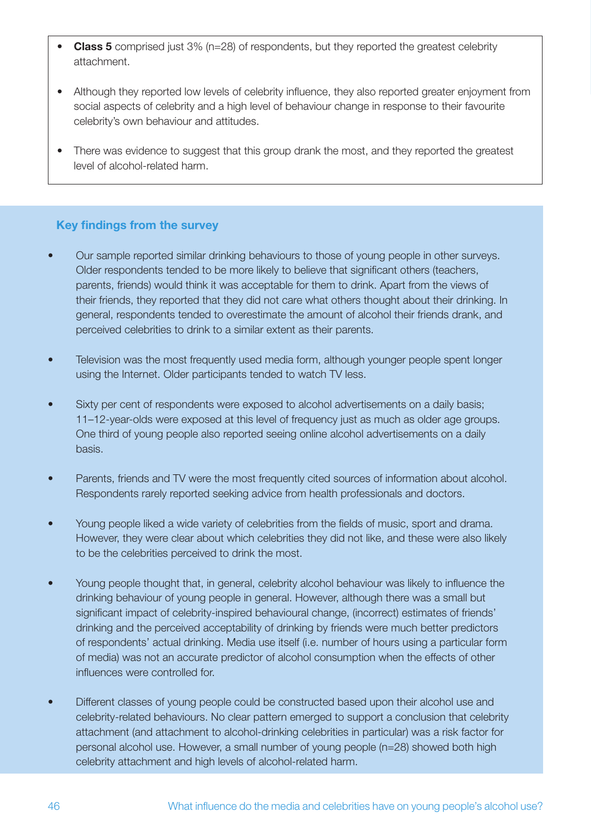- **Class 5** comprised just 3% (n=28) of respondents, but they reported the greatest celebrity attachment.
- Although they reported low levels of celebrity influence, they also reported greater enjoyment from social aspects of celebrity and a high level of behaviour change in response to their favourite celebrity's own behaviour and attitudes.
- There was evidence to suggest that this group drank the most, and they reported the greatest level of alcohol-related harm.

## **Key findings from the survey**

- Our sample reported similar drinking behaviours to those of young people in other surveys. Older respondents tended to be more likely to believe that significant others (teachers, parents, friends) would think it was acceptable for them to drink. Apart from the views of their friends, they reported that they did not care what others thought about their drinking. In general, respondents tended to overestimate the amount of alcohol their friends drank, and perceived celebrities to drink to a similar extent as their parents.
- Television was the most frequently used media form, although younger people spent longer using the Internet. Older participants tended to watch TV less.
- Sixty per cent of respondents were exposed to alcohol advertisements on a daily basis; 11–12-year-olds were exposed at this level of frequency just as much as older age groups. One third of young people also reported seeing online alcohol advertisements on a daily basis.
- Parents, friends and TV were the most frequently cited sources of information about alcohol. Respondents rarely reported seeking advice from health professionals and doctors.
- Young people liked a wide variety of celebrities from the fields of music, sport and drama. However, they were clear about which celebrities they did not like, and these were also likely to be the celebrities perceived to drink the most.
- Young people thought that, in general, celebrity alcohol behaviour was likely to influence the drinking behaviour of young people in general. However, although there was a small but significant impact of celebrity-inspired behavioural change, (incorrect) estimates of friends' drinking and the perceived acceptability of drinking by friends were much better predictors of respondents' actual drinking. Media use itself (i.e. number of hours using a particular form of media) was not an accurate predictor of alcohol consumption when the effects of other influences were controlled for.
- Different classes of young people could be constructed based upon their alcohol use and celebrity-related behaviours. No clear pattern emerged to support a conclusion that celebrity attachment (and attachment to alcohol-drinking celebrities in particular) was a risk factor for personal alcohol use. However, a small number of young people (n=28) showed both high celebrity attachment and high levels of alcohol-related harm.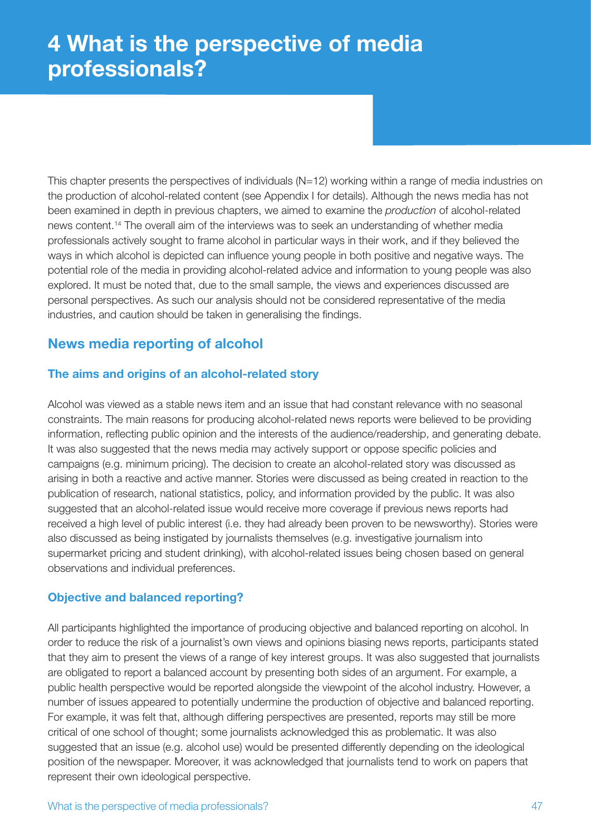This chapter presents the perspectives of individuals (N=12) working within a range of media industries on the production of alcohol-related content (see Appendix I for details). Although the news media has not been examined in depth in previous chapters, we aimed to examine the *production* of alcohol-related news content.14 The overall aim of the interviews was to seek an understanding of whether media professionals actively sought to frame alcohol in particular ways in their work, and if they believed the ways in which alcohol is depicted can influence young people in both positive and negative ways. The potential role of the media in providing alcohol-related advice and information to young people was also explored. It must be noted that, due to the small sample, the views and experiences discussed are personal perspectives. As such our analysis should not be considered representative of the media industries, and caution should be taken in generalising the findings.

# **News media reporting of alcohol**

## **The aims and origins of an alcohol-related story**

Alcohol was viewed as a stable news item and an issue that had constant relevance with no seasonal constraints. The main reasons for producing alcohol-related news reports were believed to be providing information, reflecting public opinion and the interests of the audience/readership, and generating debate. It was also suggested that the news media may actively support or oppose specific policies and campaigns (e.g. minimum pricing). The decision to create an alcohol-related story was discussed as arising in both a reactive and active manner. Stories were discussed as being created in reaction to the publication of research, national statistics, policy, and information provided by the public. It was also suggested that an alcohol-related issue would receive more coverage if previous news reports had received a high level of public interest (i.e. they had already been proven to be newsworthy). Stories were also discussed as being instigated by journalists themselves (e.g. investigative journalism into supermarket pricing and student drinking), with alcohol-related issues being chosen based on general observations and individual preferences.

## **Objective and balanced reporting?**

All participants highlighted the importance of producing objective and balanced reporting on alcohol. In order to reduce the risk of a journalist's own views and opinions biasing news reports, participants stated that they aim to present the views of a range of key interest groups. It was also suggested that journalists are obligated to report a balanced account by presenting both sides of an argument. For example, a public health perspective would be reported alongside the viewpoint of the alcohol industry. However, a number of issues appeared to potentially undermine the production of objective and balanced reporting. For example, it was felt that, although differing perspectives are presented, reports may still be more critical of one school of thought; some journalists acknowledged this as problematic. It was also suggested that an issue (e.g. alcohol use) would be presented differently depending on the ideological position of the newspaper. Moreover, it was acknowledged that journalists tend to work on papers that represent their own ideological perspective.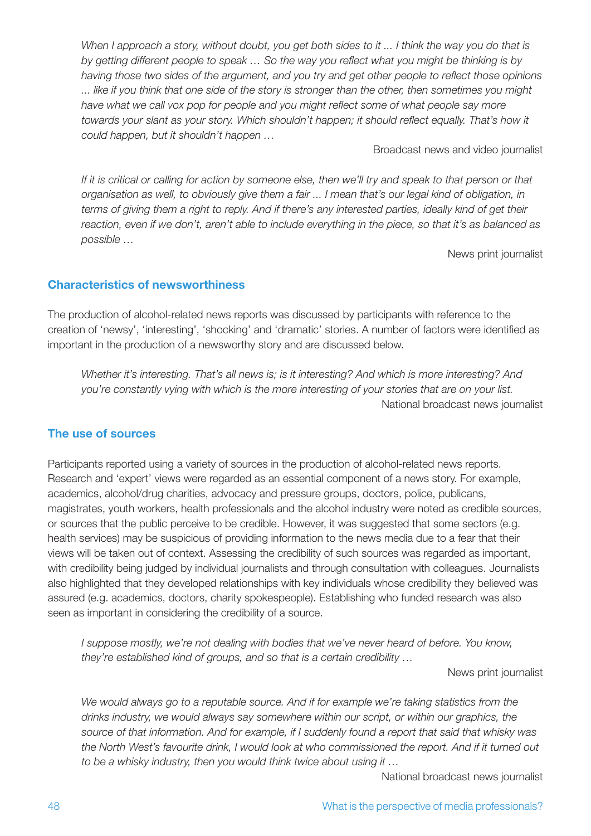*When I approach a story, without doubt, you get both sides to it ... I think the way you do that is by getting different people to speak … So the way you reflect what you might be thinking is by having those two sides of the argument, and you try and get other people to reflect those opinions ... like if you think that one side of the story is stronger than the other, then sometimes you might have what we call vox pop for people and you might reflect some of what people say more towards your slant as your story. Which shouldn't happen; it should reflect equally. That's how it could happen, but it shouldn't happen …*

Broadcast news and video journalist

*If it is critical or calling for action by someone else, then we'll try and speak to that person or that organisation as well, to obviously give them a fair ... I mean that's our legal kind of obligation, in terms of giving them a right to reply. And if there's any interested parties, ideally kind of get their reaction, even if we don't, aren't able to include everything in the piece, so that it's as balanced as possible …*

News print journalist

## **Characteristics of newsworthiness**

The production of alcohol-related news reports was discussed by participants with reference to the creation of 'newsy', 'interesting', 'shocking' and 'dramatic' stories. A number of factors were identified as important in the production of a newsworthy story and are discussed below.

*Whether it's interesting. That's all news is; is it interesting? And which is more interesting? And you're constantly vying with which is the more interesting of your stories that are on your list.* National broadcast news journalist

## **The use of sources**

Participants reported using a variety of sources in the production of alcohol-related news reports. Research and 'expert' views were regarded as an essential component of a news story. For example, academics, alcohol/drug charities, advocacy and pressure groups, doctors, police, publicans, magistrates, youth workers, health professionals and the alcohol industry were noted as credible sources, or sources that the public perceive to be credible. However, it was suggested that some sectors (e.g. health services) may be suspicious of providing information to the news media due to a fear that their views will be taken out of context. Assessing the credibility of such sources was regarded as important, with credibility being judged by individual journalists and through consultation with colleagues. Journalists also highlighted that they developed relationships with key individuals whose credibility they believed was assured (e.g. academics, doctors, charity spokespeople). Establishing who funded research was also seen as important in considering the credibility of a source.

*I suppose mostly, we're not dealing with bodies that we've never heard of before. You know, they're established kind of groups, and so that is a certain credibility …*

News print journalist

*We would always go to a reputable source. And if for example we're taking statistics from the drinks industry, we would always say somewhere within our script, or within our graphics, the source of that information. And for example, if I suddenly found a report that said that whisky was the North West's favourite drink, I would look at who commissioned the report. And if it turned out to be a whisky industry, then you would think twice about using it …*

National broadcast news journalist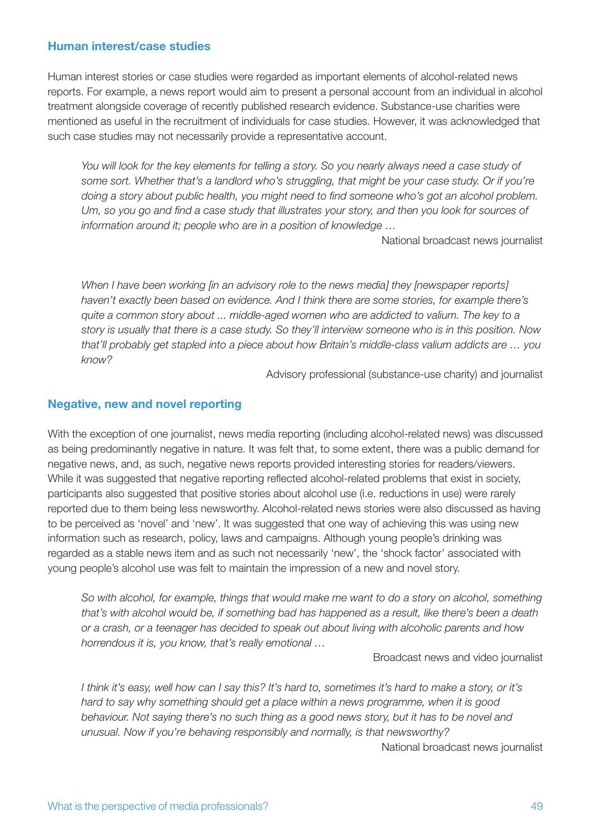## **Human interest/case studies**

Human interest stories or case studies were regarded as important elements of alcohol-related news reports. For example, a news report would aim to present a personal account from an individual in alcohol treatment alongside coverage of recently published research evidence. Substance-use charities were mentioned as useful in the recruitment of individuals for case studies. However, it was acknowledged that such case studies may not necessarily provide a representative account.

You will look for the key elements for telling a story. So you nearly always need a case study of *some sort. Whether that's a landlord who's struggling, that might be your case study. Or if you're doing a story about public health, you might need to find someone who's got an alcohol problem. Um, so you go and find a case study that illustrates your story, and then you look for sources of information around it; people who are in a position of knowledge …*

National broadcast news journalist

*When I have been working [in an advisory role to the news media] they [newspaper reports] haven't exactly been based on evidence. And I think there are some stories, for example there's quite a common story about ... middle-aged women who are addicted to valium. The key to a story is usually that there is a case study. So they'll interview someone who is in this position. Now that'll probably get stapled into a piece about how Britain's middle-class valium addicts are … you know?*

Advisory professional (substance-use charity) and journalist

## **Negative, new and novel reporting**

With the exception of one journalist, news media reporting (including alcohol-related news) was discussed as being predominantly negative in nature. It was felt that, to some extent, there was a public demand for negative news, and, as such, negative news reports provided interesting stories for readers/viewers. While it was suggested that negative reporting reflected alcohol-related problems that exist in society, participants also suggested that positive stories about alcohol use (i.e. reductions in use) were rarely reported due to them being less newsworthy. Alcohol-related news stories were also discussed as having to be perceived as 'novel' and 'new'. It was suggested that one way of achieving this was using new information such as research, policy, laws and campaigns. Although young people's drinking was regarded as a stable news item and as such not necessarily 'new', the 'shock factor' associated with young people's alcohol use was felt to maintain the impression of a new and novel story.

*So with alcohol, for example, things that would make me want to do a story on alcohol, something that's with alcohol would be, if something bad has happened as a result, like there's been a death or a crash, or a teenager has decided to speak out about living with alcoholic parents and how horrendous it is, you know, that's really emotional …*

Broadcast news and video journalist

*I think it's easy, well how can I say this? It's hard to, sometimes it's hard to make a story, or it's hard to say why something should get a place within a news programme, when it is good behaviour. Not saying there's no such thing as a good news story, but it has to be novel and unusual. Now if you're behaving responsibly and normally, is that newsworthy?*

National broadcast news journalist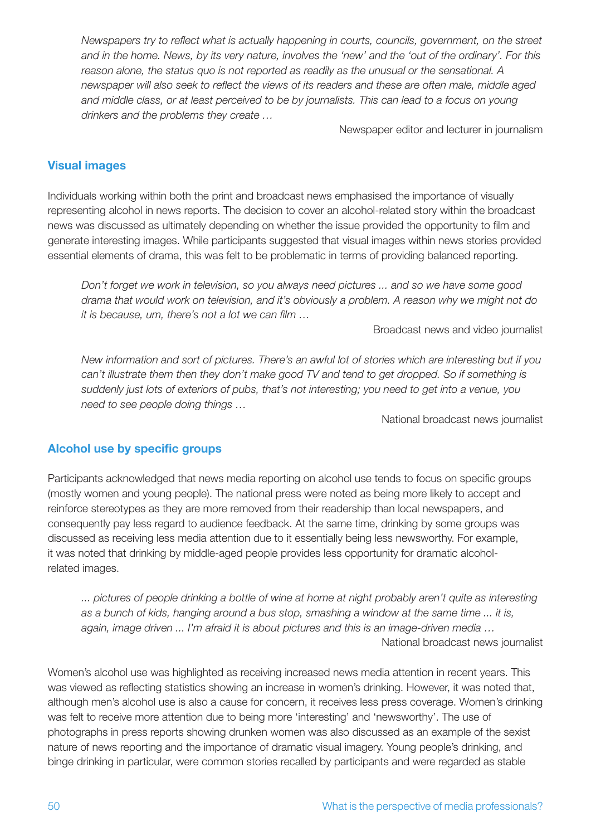*Newspapers try to reflect what is actually happening in courts, councils, government, on the street and in the home. News, by its very nature, involves the 'new' and the 'out of the ordinary'. For this reason alone, the status quo is not reported as readily as the unusual or the sensational. A newspaper will also seek to reflect the views of its readers and these are often male, middle aged and middle class, or at least perceived to be by journalists. This can lead to a focus on young drinkers and the problems they create …*

Newspaper editor and lecturer in journalism

## **Visual images**

Individuals working within both the print and broadcast news emphasised the importance of visually representing alcohol in news reports. The decision to cover an alcohol-related story within the broadcast news was discussed as ultimately depending on whether the issue provided the opportunity to film and generate interesting images. While participants suggested that visual images within news stories provided essential elements of drama, this was felt to be problematic in terms of providing balanced reporting.

*Don't forget we work in television, so you always need pictures ... and so we have some good drama that would work on television, and it's obviously a problem. A reason why we might not do it is because, um, there's not a lot we can film …*

Broadcast news and video journalist

*New information and sort of pictures. There's an awful lot of stories which are interesting but if you can't illustrate them then they don't make good TV and tend to get dropped. So if something is suddenly just lots of exteriors of pubs, that's not interesting; you need to get into a venue, you need to see people doing things …*

National broadcast news journalist

## **Alcohol use by specific groups**

Participants acknowledged that news media reporting on alcohol use tends to focus on specific groups (mostly women and young people). The national press were noted as being more likely to accept and reinforce stereotypes as they are more removed from their readership than local newspapers, and consequently pay less regard to audience feedback. At the same time, drinking by some groups was discussed as receiving less media attention due to it essentially being less newsworthy. For example, it was noted that drinking by middle-aged people provides less opportunity for dramatic alcoholrelated images.

*... pictures of people drinking a bottle of wine at home at night probably aren't quite as interesting as a bunch of kids, hanging around a bus stop, smashing a window at the same time ... it is, again, image driven ... I'm afraid it is about pictures and this is an image-driven media …* National broadcast news journalist

Women's alcohol use was highlighted as receiving increased news media attention in recent years. This was viewed as reflecting statistics showing an increase in women's drinking. However, it was noted that, although men's alcohol use is also a cause for concern, it receives less press coverage. Women's drinking was felt to receive more attention due to being more 'interesting' and 'newsworthy'. The use of photographs in press reports showing drunken women was also discussed as an example of the sexist nature of news reporting and the importance of dramatic visual imagery. Young people's drinking, and binge drinking in particular, were common stories recalled by participants and were regarded as stable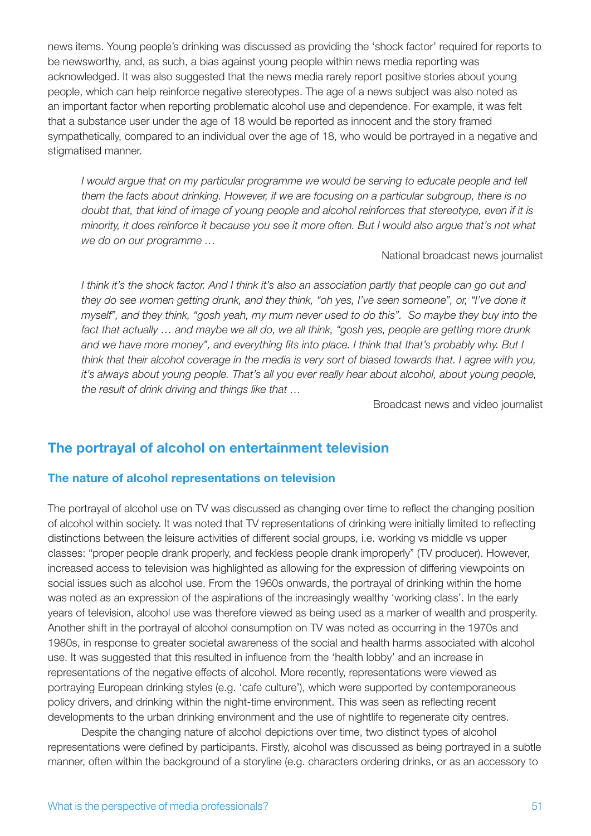news items. Young people's drinking was discussed as providing the 'shock factor' required for reports to be newsworthy, and, as such, a bias against young people within news media reporting was acknowledged. It was also suggested that the news media rarely report positive stories about young people, which can help reinforce negative stereotypes. The age of a news subject was also noted as an important factor when reporting problematic alcohol use and dependence. For example, it was felt that a substance user under the age of 18 would be reported as innocent and the story framed sympathetically, compared to an individual over the age of 18, who would be portrayed in a negative and stigmatised manner.

*I* would argue that on my particular programme we would be serving to educate people and tell *them the facts about drinking. However, if we are focusing on a particular subgroup, there is no doubt that, that kind of image of young people and alcohol reinforces that stereotype, even if it is minority, it does reinforce it because you see it more often. But I would also argue that's not what we do on our programme …*

#### National broadcast news journalist

*I think it's the shock factor. And I think it's also an association partly that people can go out and they do see women getting drunk, and they think, "oh yes, I've seen someone", or, "I've done it myself", and they think, "gosh yeah, my mum never used to do this". So maybe they buy into the fact that actually … and maybe we all do, we all think, "gosh yes, people are getting more drunk and we have more money", and everything fits into place. I think that that's probably why. But I think that their alcohol coverage in the media is very sort of biased towards that. I agree with you, it's always about young people. That's all you ever really hear about alcohol, about young people, the result of drink driving and things like that …*

Broadcast news and video journalist

## **The portrayal of alcohol on entertainment television**

## **The nature of alcohol representations on television**

The portrayal of alcohol use on TV was discussed as changing over time to reflect the changing position of alcohol within society. It was noted that TV representations of drinking were initially limited to reflecting distinctions between the leisure activities of different social groups, i.e. working vs middle vs upper classes: "proper people drank properly, and feckless people drank improperly" (TV producer). However, increased access to television was highlighted as allowing for the expression of differing viewpoints on social issues such as alcohol use. From the 1960s onwards, the portrayal of drinking within the home was noted as an expression of the aspirations of the increasingly wealthy 'working class'. In the early years of television, alcohol use was therefore viewed as being used as a marker of wealth and prosperity. Another shift in the portrayal of alcohol consumption on TV was noted as occurring in the 1970s and 1980s, in response to greater societal awareness of the social and health harms associated with alcohol use. It was suggested that this resulted in influence from the 'health lobby' and an increase in representations of the negative effects of alcohol. More recently, representations were viewed as portraying European drinking styles (e.g. 'cafe culture'), which were supported by contemporaneous policy drivers, and drinking within the night-time environment. This was seen as reflecting recent developments to the urban drinking environment and the use of nightlife to regenerate city centres.

Despite the changing nature of alcohol depictions over time, two distinct types of alcohol representations were defined by participants. Firstly, alcohol was discussed as being portrayed in a subtle manner, often within the background of a storyline (e.g. characters ordering drinks, or as an accessory to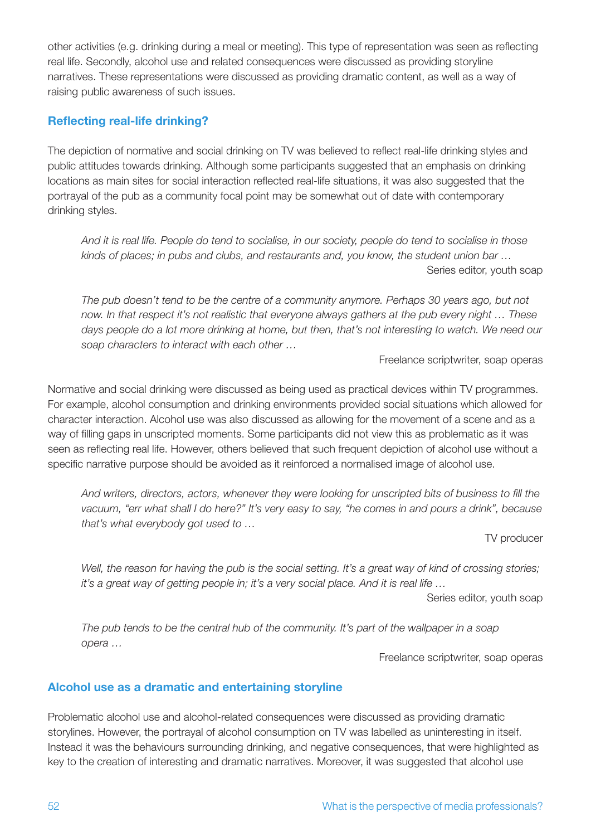other activities (e.g. drinking during a meal or meeting). This type of representation was seen as reflecting real life. Secondly, alcohol use and related consequences were discussed as providing storyline narratives. These representations were discussed as providing dramatic content, as well as a way of raising public awareness of such issues.

## **Reflecting real-life drinking?**

The depiction of normative and social drinking on TV was believed to reflect real-life drinking styles and public attitudes towards drinking. Although some participants suggested that an emphasis on drinking locations as main sites for social interaction reflected real-life situations, it was also suggested that the portrayal of the pub as a community focal point may be somewhat out of date with contemporary drinking styles.

*And it is real life. People do tend to socialise, in our society, people do tend to socialise in those kinds of places; in pubs and clubs, and restaurants and, you know, the student union bar …* Series editor, youth soap

*The pub doesn't tend to be the centre of a community anymore. Perhaps 30 years ago, but not now. In that respect it's not realistic that everyone always gathers at the pub every night … These*  days people do a lot more drinking at home, but then, that's not interesting to watch. We need our *soap characters to interact with each other …*

Freelance scriptwriter, soap operas

Normative and social drinking were discussed as being used as practical devices within TV programmes. For example, alcohol consumption and drinking environments provided social situations which allowed for character interaction. Alcohol use was also discussed as allowing for the movement of a scene and as a way of filling gaps in unscripted moments. Some participants did not view this as problematic as it was seen as reflecting real life. However, others believed that such frequent depiction of alcohol use without a specific narrative purpose should be avoided as it reinforced a normalised image of alcohol use.

*And writers, directors, actors, whenever they were looking for unscripted bits of business to fill the vacuum, "err what shall I do here?" It's very easy to say, "he comes in and pours a drink", because that's what everybody got used to …*

TV producer

*Well, the reason for having the pub is the social setting. It's a great way of kind of crossing stories; it's a great way of getting people in; it's a very social place. And it is real life …*

Series editor, youth soap

*The pub tends to be the central hub of the community. It's part of the wallpaper in a soap opera …*

Freelance scriptwriter, soap operas

## **Alcohol use as a dramatic and entertaining storyline**

Problematic alcohol use and alcohol-related consequences were discussed as providing dramatic storylines. However, the portrayal of alcohol consumption on TV was labelled as uninteresting in itself. Instead it was the behaviours surrounding drinking, and negative consequences, that were highlighted as key to the creation of interesting and dramatic narratives. Moreover, it was suggested that alcohol use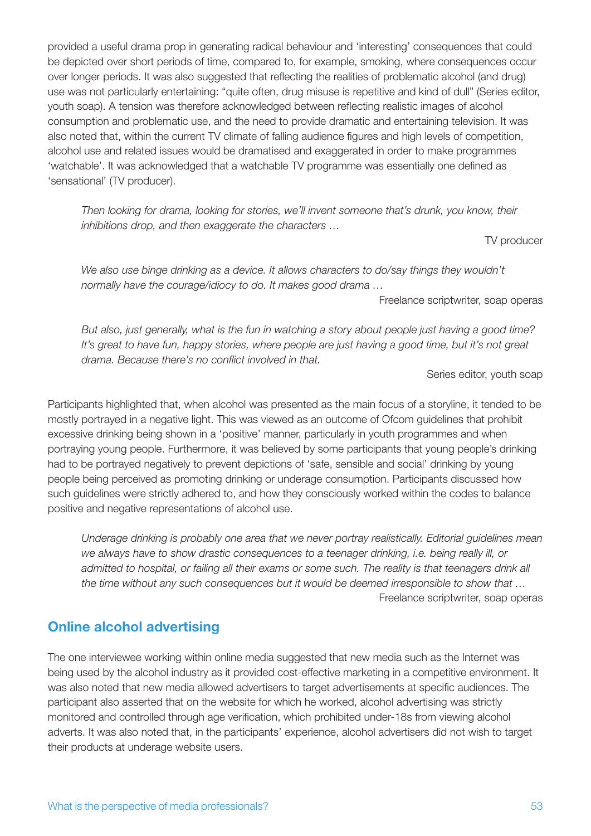provided a useful drama prop in generating radical behaviour and 'interesting' consequences that could be depicted over short periods of time, compared to, for example, smoking, where consequences occur over longer periods. It was also suggested that reflecting the realities of problematic alcohol (and drug) use was not particularly entertaining: "quite often, drug misuse is repetitive and kind of dull" (Series editor, youth soap). A tension was therefore acknowledged between reflecting realistic images of alcohol consumption and problematic use, and the need to provide dramatic and entertaining television. It was also noted that, within the current TV climate of falling audience figures and high levels of competition, alcohol use and related issues would be dramatised and exaggerated in order to make programmes 'watchable'. It was acknowledged that a watchable TV programme was essentially one defined as 'sensational' (TV producer).

*Then looking for drama, looking for stories, we'll invent someone that's drunk, you know, their inhibitions drop, and then exaggerate the characters …*

TV producer

We also use binge drinking as a device. It allows characters to do/say things they wouldn't *normally have the courage/idiocy to do. It makes good drama …*

Freelance scriptwriter, soap operas

*But also, just generally, what is the fun in watching a story about people just having a good time? It's great to have fun, happy stories, where people are just having a good time, but it's not great drama. Because there's no conflict involved in that.*

Series editor, youth soap

Participants highlighted that, when alcohol was presented as the main focus of a storyline, it tended to be mostly portrayed in a negative light. This was viewed as an outcome of Ofcom guidelines that prohibit excessive drinking being shown in a 'positive' manner, particularly in youth programmes and when portraying young people. Furthermore, it was believed by some participants that young people's drinking had to be portrayed negatively to prevent depictions of 'safe, sensible and social' drinking by young people being perceived as promoting drinking or underage consumption. Participants discussed how such guidelines were strictly adhered to, and how they consciously worked within the codes to balance positive and negative representations of alcohol use.

*Underage drinking is probably one area that we never portray realistically. Editorial guidelines mean we always have to show drastic consequences to a teenager drinking, i.e. being really ill, or*  admitted to hospital, or failing all their exams or some such. The reality is that teenagers drink all *the time without any such consequences but it would be deemed irresponsible to show that …*  Freelance scriptwriter, soap operas

# **Online alcohol advertising**

The one interviewee working within online media suggested that new media such as the Internet was being used by the alcohol industry as it provided cost-effective marketing in a competitive environment. It was also noted that new media allowed advertisers to target advertisements at specific audiences. The participant also asserted that on the website for which he worked, alcohol advertising was strictly monitored and controlled through age verification, which prohibited under-18s from viewing alcohol adverts. It was also noted that, in the participants' experience, alcohol advertisers did not wish to target their products at underage website users.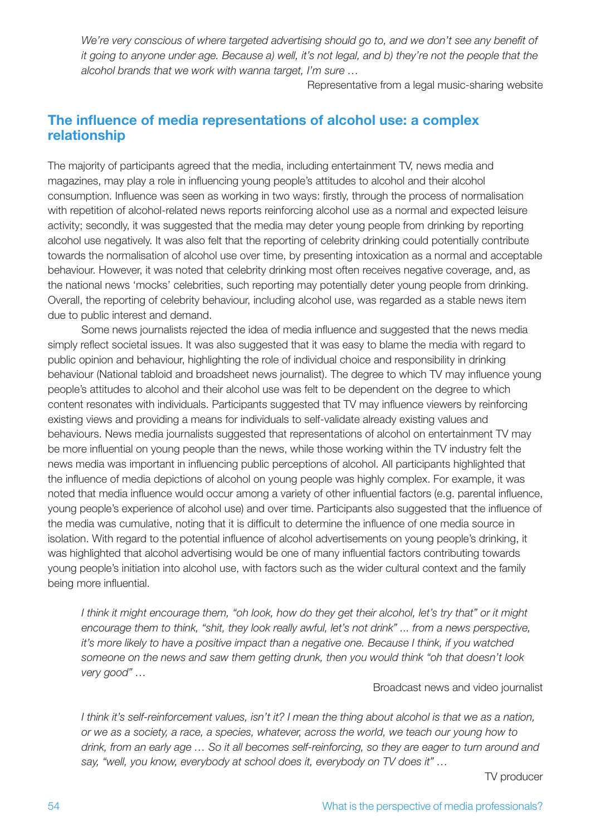We're very conscious of where targeted advertising should go to, and we don't see any benefit of *it going to anyone under age. Because a) well, it's not legal, and b) they're not the people that the alcohol brands that we work with wanna target, I'm sure …*

Representative from a legal music-sharing website

## **The influence of media representations of alcohol use: a complex relationship**

The majority of participants agreed that the media, including entertainment TV, news media and magazines, may play a role in influencing young people's attitudes to alcohol and their alcohol consumption. Influence was seen as working in two ways: firstly, through the process of normalisation with repetition of alcohol-related news reports reinforcing alcohol use as a normal and expected leisure activity; secondly, it was suggested that the media may deter young people from drinking by reporting alcohol use negatively. It was also felt that the reporting of celebrity drinking could potentially contribute towards the normalisation of alcohol use over time, by presenting intoxication as a normal and acceptable behaviour. However, it was noted that celebrity drinking most often receives negative coverage, and, as the national news 'mocks' celebrities, such reporting may potentially deter young people from drinking. Overall, the reporting of celebrity behaviour, including alcohol use, was regarded as a stable news item due to public interest and demand.

Some news journalists rejected the idea of media influence and suggested that the news media simply reflect societal issues. It was also suggested that it was easy to blame the media with regard to public opinion and behaviour, highlighting the role of individual choice and responsibility in drinking behaviour (National tabloid and broadsheet news journalist). The degree to which TV may influence young people's attitudes to alcohol and their alcohol use was felt to be dependent on the degree to which content resonates with individuals. Participants suggested that TV may influence viewers by reinforcing existing views and providing a means for individuals to self-validate already existing values and behaviours. News media journalists suggested that representations of alcohol on entertainment TV may be more influential on young people than the news, while those working within the TV industry felt the news media was important in influencing public perceptions of alcohol. All participants highlighted that the influence of media depictions of alcohol on young people was highly complex. For example, it was noted that media influence would occur among a variety of other influential factors (e.g. parental influence, young people's experience of alcohol use) and over time. Participants also suggested that the influence of the media was cumulative, noting that it is difficult to determine the influence of one media source in isolation. With regard to the potential influence of alcohol advertisements on young people's drinking, it was highlighted that alcohol advertising would be one of many influential factors contributing towards young people's initiation into alcohol use, with factors such as the wider cultural context and the family being more influential.

*I think it might encourage them, "oh look, how do they get their alcohol, let's try that" or it might encourage them to think, "shit, they look really awful, let's not drink" ... from a news perspective, it's more likely to have a positive impact than a negative one. Because I think, if you watched someone on the news and saw them getting drunk, then you would think "oh that doesn't look very good" …*

Broadcast news and video journalist

*I think it's self-reinforcement values, isn't it? I mean the thing about alcohol is that we as a nation, or we as a society, a race, a species, whatever, across the world, we teach our young how to drink, from an early age … So it all becomes self-reinforcing, so they are eager to turn around and say, "well, you know, everybody at school does it, everybody on TV does it" …*

TV producer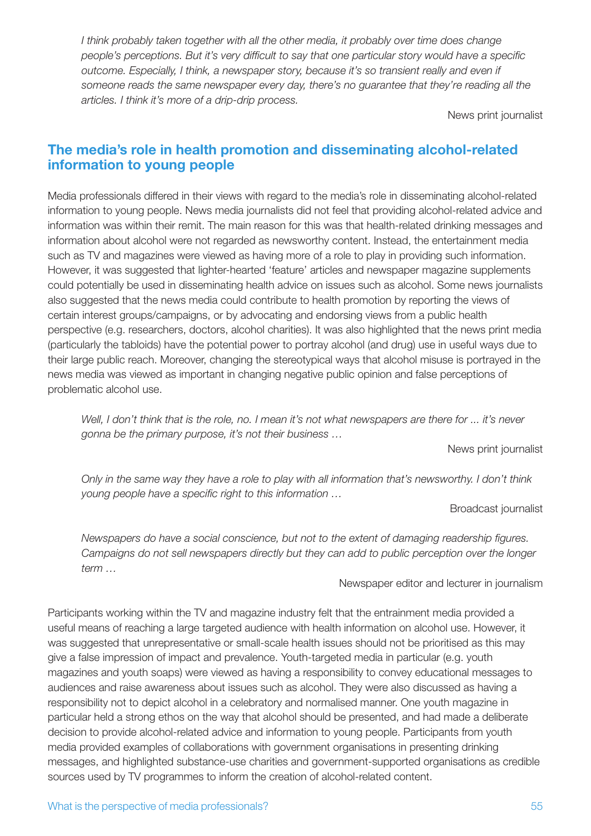*I think probably taken together with all the other media, it probably over time does change people's perceptions. But it's very difficult to say that one particular story would have a specific outcome. Especially, I think, a newspaper story, because it's so transient really and even if someone reads the same newspaper every day, there's no guarantee that they're reading all the articles. I think it's more of a drip-drip process.*

News print journalist

## **The media's role in health promotion and disseminating alcohol-related information to young people**

Media professionals differed in their views with regard to the media's role in disseminating alcohol-related information to young people. News media journalists did not feel that providing alcohol-related advice and information was within their remit. The main reason for this was that health-related drinking messages and information about alcohol were not regarded as newsworthy content. Instead, the entertainment media such as TV and magazines were viewed as having more of a role to play in providing such information. However, it was suggested that lighter-hearted 'feature' articles and newspaper magazine supplements could potentially be used in disseminating health advice on issues such as alcohol. Some news journalists also suggested that the news media could contribute to health promotion by reporting the views of certain interest groups/campaigns, or by advocating and endorsing views from a public health perspective (e.g. researchers, doctors, alcohol charities). It was also highlighted that the news print media (particularly the tabloids) have the potential power to portray alcohol (and drug) use in useful ways due to their large public reach. Moreover, changing the stereotypical ways that alcohol misuse is portrayed in the news media was viewed as important in changing negative public opinion and false perceptions of problematic alcohol use.

*Well, I don't think that is the role, no. I mean it's not what newspapers are there for ... it's never gonna be the primary purpose, it's not their business …* 

News print journalist

*Only in the same way they have a role to play with all information that's newsworthy. I don't think young people have a specific right to this information …*

Broadcast journalist

*Newspapers do have a social conscience, but not to the extent of damaging readership figures. Campaigns do not sell newspapers directly but they can add to public perception over the longer term …*

#### Newspaper editor and lecturer in journalism

Participants working within the TV and magazine industry felt that the entrainment media provided a useful means of reaching a large targeted audience with health information on alcohol use. However, it was suggested that unrepresentative or small-scale health issues should not be prioritised as this may give a false impression of impact and prevalence. Youth-targeted media in particular (e.g. youth magazines and youth soaps) were viewed as having a responsibility to convey educational messages to audiences and raise awareness about issues such as alcohol. They were also discussed as having a responsibility not to depict alcohol in a celebratory and normalised manner. One youth magazine in particular held a strong ethos on the way that alcohol should be presented, and had made a deliberate decision to provide alcohol-related advice and information to young people. Participants from youth media provided examples of collaborations with government organisations in presenting drinking messages, and highlighted substance-use charities and government-supported organisations as credible sources used by TV programmes to inform the creation of alcohol-related content.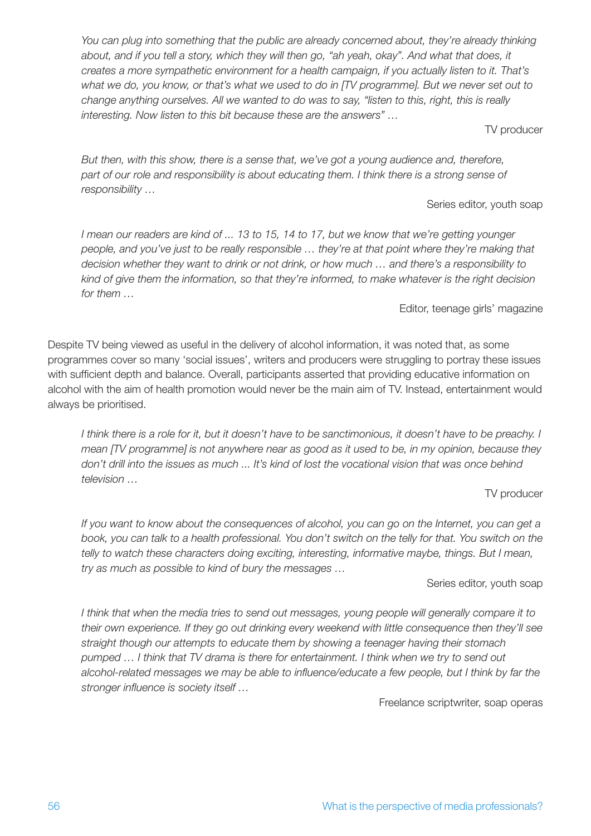You can plug into something that the public are already concerned about, they're already thinking *about, and if you tell a story, which they will then go, "ah yeah, okay". And what that does, it creates a more sympathetic environment for a health campaign, if you actually listen to it. That's what we do, you know, or that's what we used to do in [TV programme]. But we never set out to change anything ourselves. All we wanted to do was to say, "listen to this, right, this is really interesting. Now listen to this bit because these are the answers" …*

#### TV producer

*But then, with this show, there is a sense that, we've got a young audience and, therefore, part of our role and responsibility is about educating them. I think there is a strong sense of responsibility …*

#### Series editor, youth soap

*I mean our readers are kind of ... 13 to 15, 14 to 17, but we know that we're getting younger people, and you've just to be really responsible … they're at that point where they're making that decision whether they want to drink or not drink, or how much … and there's a responsibility to kind of give them the information, so that they're informed, to make whatever is the right decision for them …*

Editor, teenage girls' magazine

Despite TV being viewed as useful in the delivery of alcohol information, it was noted that, as some programmes cover so many 'social issues', writers and producers were struggling to portray these issues with sufficient depth and balance. Overall, participants asserted that providing educative information on alcohol with the aim of health promotion would never be the main aim of TV. Instead, entertainment would always be prioritised.

*I think there is a role for it, but it doesn't have to be sanctimonious, it doesn't have to be preachy. I mean [TV programme] is not anywhere near as good as it used to be, in my opinion, because they don't drill into the issues as much ... It's kind of lost the vocational vision that was once behind television …*

## TV producer

*If you want to know about the consequences of alcohol, you can go on the Internet, you can get a book, you can talk to a health professional. You don't switch on the telly for that. You switch on the telly to watch these characters doing exciting, interesting, informative maybe, things. But I mean, try as much as possible to kind of bury the messages …*

## Series editor, youth soap

*I think that when the media tries to send out messages, young people will generally compare it to their own experience. If they go out drinking every weekend with little consequence then they'll see straight though our attempts to educate them by showing a teenager having their stomach pumped … I think that TV drama is there for entertainment. I think when we try to send out alcohol-related messages we may be able to influence/educate a few people, but I think by far the stronger influence is society itself …*

Freelance scriptwriter, soap operas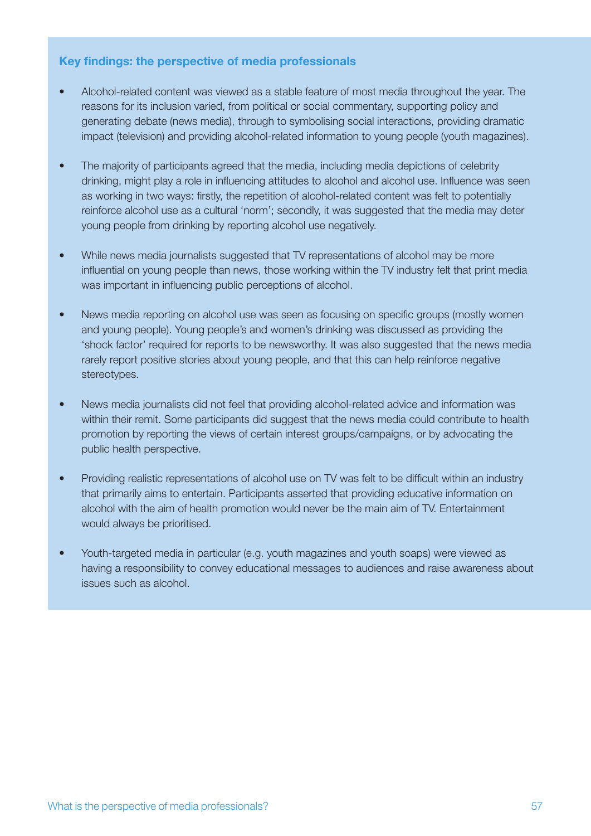## **Key findings: the perspective of media professionals**

- Alcohol-related content was viewed as a stable feature of most media throughout the year. The reasons for its inclusion varied, from political or social commentary, supporting policy and generating debate (news media), through to symbolising social interactions, providing dramatic impact (television) and providing alcohol-related information to young people (youth magazines).
- The majority of participants agreed that the media, including media depictions of celebrity drinking, might play a role in influencing attitudes to alcohol and alcohol use. Influence was seen as working in two ways: firstly, the repetition of alcohol-related content was felt to potentially reinforce alcohol use as a cultural 'norm'; secondly, it was suggested that the media may deter young people from drinking by reporting alcohol use negatively.
- While news media journalists suggested that TV representations of alcohol may be more influential on young people than news, those working within the TV industry felt that print media was important in influencing public perceptions of alcohol.
- News media reporting on alcohol use was seen as focusing on specific groups (mostly women and young people). Young people's and women's drinking was discussed as providing the 'shock factor' required for reports to be newsworthy. It was also suggested that the news media rarely report positive stories about young people, and that this can help reinforce negative stereotypes.
- News media journalists did not feel that providing alcohol-related advice and information was within their remit. Some participants did suggest that the news media could contribute to health promotion by reporting the views of certain interest groups/campaigns, or by advocating the public health perspective.
- Providing realistic representations of alcohol use on TV was felt to be difficult within an industry that primarily aims to entertain. Participants asserted that providing educative information on alcohol with the aim of health promotion would never be the main aim of TV. Entertainment would always be prioritised.
- Youth-targeted media in particular (e.g. youth magazines and youth soaps) were viewed as having a responsibility to convey educational messages to audiences and raise awareness about issues such as alcohol.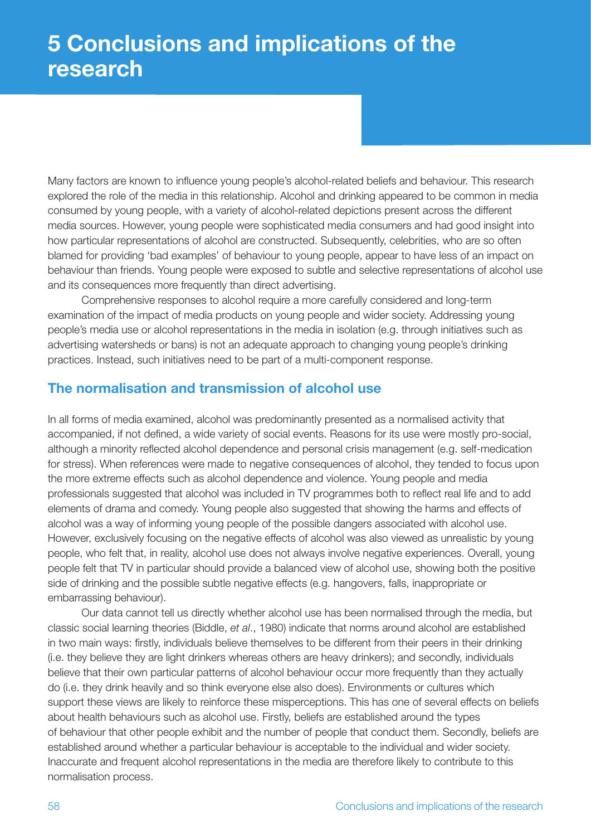Many factors are known to influence young people's alcohol-related beliefs and behaviour. This research explored the role of the media in this relationship. Alcohol and drinking appeared to be common in media consumed by young people, with a variety of alcohol-related depictions present across the different media sources. However, young people were sophisticated media consumers and had good insight into how particular representations of alcohol are constructed. Subsequently, celebrities, who are so often blamed for providing 'bad examples' of behaviour to young people, appear to have less of an impact on behaviour than friends. Young people were exposed to subtle and selective representations of alcohol use and its consequences more frequently than direct advertising.

Comprehensive responses to alcohol require a more carefully considered and long-term examination of the impact of media products on young people and wider society. Addressing young people's media use or alcohol representations in the media in isolation (e.g. through initiatives such as advertising watersheds or bans) is not an adequate approach to changing young people's drinking practices. Instead, such initiatives need to be part of a multi-component response.

## **The normalisation and transmission of alcohol use**

In all forms of media examined, alcohol was predominantly presented as a normalised activity that accompanied, if not defined, a wide variety of social events. Reasons for its use were mostly pro-social, although a minority reflected alcohol dependence and personal crisis management (e.g. self-medication for stress). When references were made to negative consequences of alcohol, they tended to focus upon the more extreme effects such as alcohol dependence and violence. Young people and media professionals suggested that alcohol was included in TV programmes both to reflect real life and to add elements of drama and comedy. Young people also suggested that showing the harms and effects of alcohol was a way of informing young people of the possible dangers associated with alcohol use. However, exclusively focusing on the negative effects of alcohol was also viewed as unrealistic by young people, who felt that, in reality, alcohol use does not always involve negative experiences. Overall, young people felt that TV in particular should provide a balanced view of alcohol use, showing both the positive side of drinking and the possible subtle negative effects (e.g. hangovers, falls, inappropriate or embarrassing behaviour).

Our data cannot tell us directly whether alcohol use has been normalised through the media, but classic social learning theories (Biddle, *et al*., 1980) indicate that norms around alcohol are established in two main ways: firstly, individuals believe themselves to be different from their peers in their drinking (i.e. they believe they are light drinkers whereas others are heavy drinkers); and secondly, individuals believe that their own particular patterns of alcohol behaviour occur more frequently than they actually do (i.e. they drink heavily and so think everyone else also does). Environments or cultures which support these views are likely to reinforce these misperceptions. This has one of several effects on beliefs about health behaviours such as alcohol use. Firstly, beliefs are established around the types of behaviour that other people exhibit and the number of people that conduct them. Secondly, beliefs are established around whether a particular behaviour is acceptable to the individual and wider society. Inaccurate and frequent alcohol representations in the media are therefore likely to contribute to this normalisation process.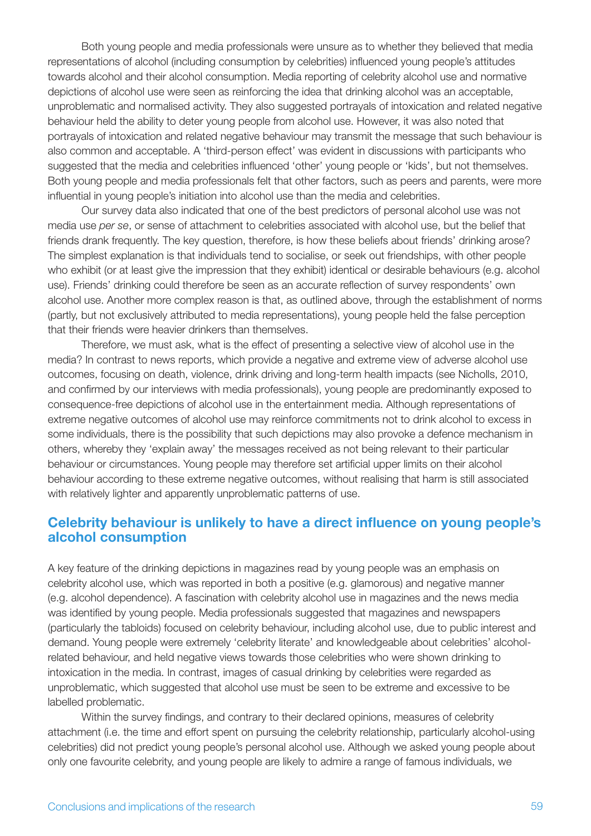Both young people and media professionals were unsure as to whether they believed that media representations of alcohol (including consumption by celebrities) influenced young people's attitudes towards alcohol and their alcohol consumption. Media reporting of celebrity alcohol use and normative depictions of alcohol use were seen as reinforcing the idea that drinking alcohol was an acceptable, unproblematic and normalised activity. They also suggested portrayals of intoxication and related negative behaviour held the ability to deter young people from alcohol use. However, it was also noted that portrayals of intoxication and related negative behaviour may transmit the message that such behaviour is also common and acceptable. A 'third-person effect' was evident in discussions with participants who suggested that the media and celebrities influenced 'other' young people or 'kids', but not themselves. Both young people and media professionals felt that other factors, such as peers and parents, were more influential in young people's initiation into alcohol use than the media and celebrities.

Our survey data also indicated that one of the best predictors of personal alcohol use was not media use *per se*, or sense of attachment to celebrities associated with alcohol use, but the belief that friends drank frequently. The key question, therefore, is how these beliefs about friends' drinking arose? The simplest explanation is that individuals tend to socialise, or seek out friendships, with other people who exhibit (or at least give the impression that they exhibit) identical or desirable behaviours (e.g. alcohol use). Friends' drinking could therefore be seen as an accurate reflection of survey respondents' own alcohol use. Another more complex reason is that, as outlined above, through the establishment of norms (partly, but not exclusively attributed to media representations), young people held the false perception that their friends were heavier drinkers than themselves.

Therefore, we must ask, what is the effect of presenting a selective view of alcohol use in the media? In contrast to news reports, which provide a negative and extreme view of adverse alcohol use outcomes, focusing on death, violence, drink driving and long-term health impacts (see Nicholls, 2010, and confirmed by our interviews with media professionals), young people are predominantly exposed to consequence-free depictions of alcohol use in the entertainment media. Although representations of extreme negative outcomes of alcohol use may reinforce commitments not to drink alcohol to excess in some individuals, there is the possibility that such depictions may also provoke a defence mechanism in others, whereby they 'explain away' the messages received as not being relevant to their particular behaviour or circumstances. Young people may therefore set artificial upper limits on their alcohol behaviour according to these extreme negative outcomes, without realising that harm is still associated with relatively lighter and apparently unproblematic patterns of use.

## **Celebrity behaviour is unlikely to have a direct influence on young people's alcohol consumption**

A key feature of the drinking depictions in magazines read by young people was an emphasis on celebrity alcohol use, which was reported in both a positive (e.g. glamorous) and negative manner (e.g. alcohol dependence). A fascination with celebrity alcohol use in magazines and the news media was identified by young people. Media professionals suggested that magazines and newspapers (particularly the tabloids) focused on celebrity behaviour, including alcohol use, due to public interest and demand. Young people were extremely 'celebrity literate' and knowledgeable about celebrities' alcoholrelated behaviour, and held negative views towards those celebrities who were shown drinking to intoxication in the media. In contrast, images of casual drinking by celebrities were regarded as unproblematic, which suggested that alcohol use must be seen to be extreme and excessive to be labelled problematic.

Within the survey findings, and contrary to their declared opinions, measures of celebrity attachment (i.e. the time and effort spent on pursuing the celebrity relationship, particularly alcohol-using celebrities) did not predict young people's personal alcohol use. Although we asked young people about only one favourite celebrity, and young people are likely to admire a range of famous individuals, we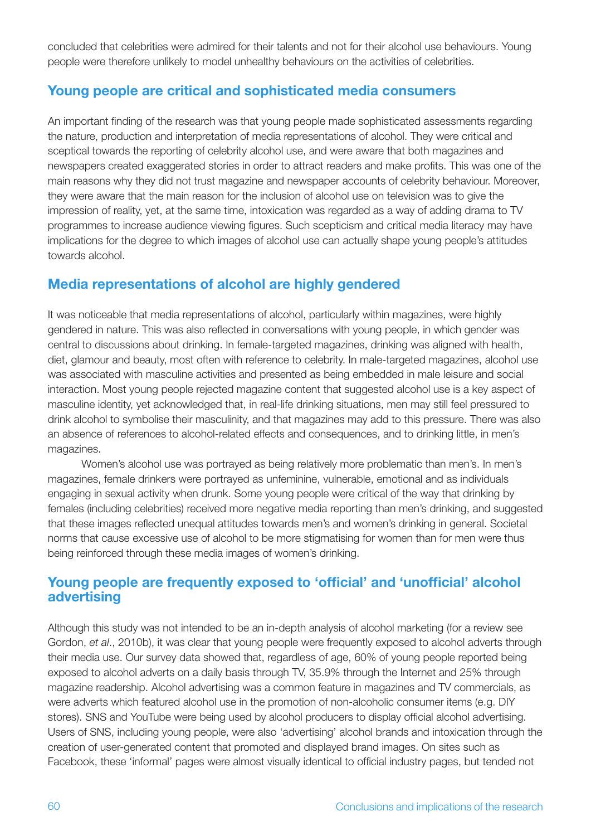concluded that celebrities were admired for their talents and not for their alcohol use behaviours. Young people were therefore unlikely to model unhealthy behaviours on the activities of celebrities.

## **Young people are critical and sophisticated media consumers**

An important finding of the research was that young people made sophisticated assessments regarding the nature, production and interpretation of media representations of alcohol. They were critical and sceptical towards the reporting of celebrity alcohol use, and were aware that both magazines and newspapers created exaggerated stories in order to attract readers and make profits. This was one of the main reasons why they did not trust magazine and newspaper accounts of celebrity behaviour. Moreover, they were aware that the main reason for the inclusion of alcohol use on television was to give the impression of reality, yet, at the same time, intoxication was regarded as a way of adding drama to TV programmes to increase audience viewing figures. Such scepticism and critical media literacy may have implications for the degree to which images of alcohol use can actually shape young people's attitudes towards alcohol.

## **Media representations of alcohol are highly gendered**

It was noticeable that media representations of alcohol, particularly within magazines, were highly gendered in nature. This was also reflected in conversations with young people, in which gender was central to discussions about drinking. In female-targeted magazines, drinking was aligned with health, diet, glamour and beauty, most often with reference to celebrity. In male-targeted magazines, alcohol use was associated with masculine activities and presented as being embedded in male leisure and social interaction. Most young people rejected magazine content that suggested alcohol use is a key aspect of masculine identity, yet acknowledged that, in real-life drinking situations, men may still feel pressured to drink alcohol to symbolise their masculinity, and that magazines may add to this pressure. There was also an absence of references to alcohol-related effects and consequences, and to drinking little, in men's magazines.

Women's alcohol use was portrayed as being relatively more problematic than men's. In men's magazines, female drinkers were portrayed as unfeminine, vulnerable, emotional and as individuals engaging in sexual activity when drunk. Some young people were critical of the way that drinking by females (including celebrities) received more negative media reporting than men's drinking, and suggested that these images reflected unequal attitudes towards men's and women's drinking in general. Societal norms that cause excessive use of alcohol to be more stigmatising for women than for men were thus being reinforced through these media images of women's drinking.

# **Young people are frequently exposed to 'official' and 'unofficial' alcohol advertising**

Although this study was not intended to be an in-depth analysis of alcohol marketing (for a review see Gordon, *et al*., 2010b), it was clear that young people were frequently exposed to alcohol adverts through their media use. Our survey data showed that, regardless of age, 60% of young people reported being exposed to alcohol adverts on a daily basis through TV, 35.9% through the Internet and 25% through magazine readership. Alcohol advertising was a common feature in magazines and TV commercials, as were adverts which featured alcohol use in the promotion of non-alcoholic consumer items (e.g. DIY stores). SNS and YouTube were being used by alcohol producers to display official alcohol advertising. Users of SNS, including young people, were also 'advertising' alcohol brands and intoxication through the creation of user-generated content that promoted and displayed brand images. On sites such as Facebook, these 'informal' pages were almost visually identical to official industry pages, but tended not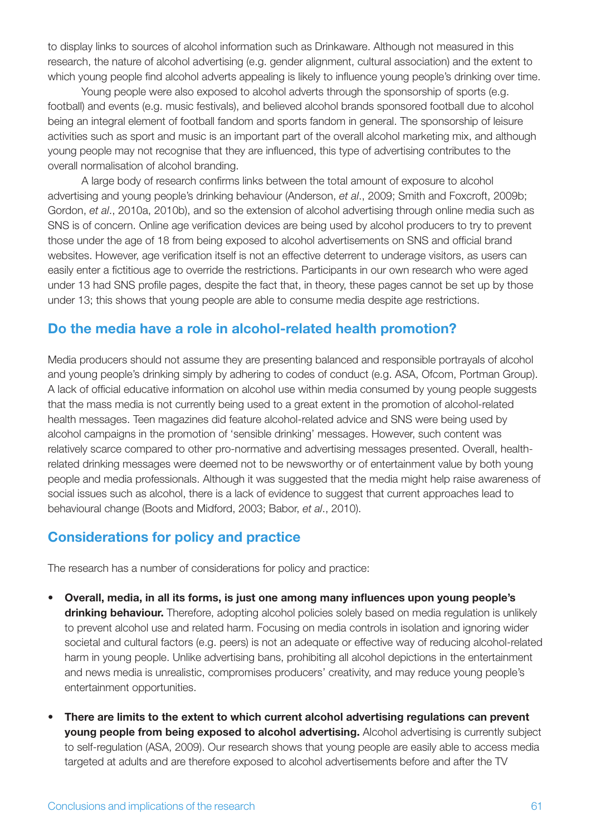to display links to sources of alcohol information such as Drinkaware. Although not measured in this research, the nature of alcohol advertising (e.g. gender alignment, cultural association) and the extent to which young people find alcohol adverts appealing is likely to influence young people's drinking over time.

Young people were also exposed to alcohol adverts through the sponsorship of sports (e.g. football) and events (e.g. music festivals), and believed alcohol brands sponsored football due to alcohol being an integral element of football fandom and sports fandom in general. The sponsorship of leisure activities such as sport and music is an important part of the overall alcohol marketing mix, and although young people may not recognise that they are influenced, this type of advertising contributes to the overall normalisation of alcohol branding.

A large body of research confirms links between the total amount of exposure to alcohol advertising and young people's drinking behaviour (Anderson, *et al*., 2009; Smith and Foxcroft, 2009b; Gordon, *et al*., 2010a, 2010b), and so the extension of alcohol advertising through online media such as SNS is of concern. Online age verification devices are being used by alcohol producers to try to prevent those under the age of 18 from being exposed to alcohol advertisements on SNS and official brand websites. However, age verification itself is not an effective deterrent to underage visitors, as users can easily enter a fictitious age to override the restrictions. Participants in our own research who were aged under 13 had SNS profile pages, despite the fact that, in theory, these pages cannot be set up by those under 13; this shows that young people are able to consume media despite age restrictions.

## **Do the media have a role in alcohol-related health promotion?**

Media producers should not assume they are presenting balanced and responsible portrayals of alcohol and young people's drinking simply by adhering to codes of conduct (e.g. ASA, Ofcom, Portman Group). A lack of official educative information on alcohol use within media consumed by young people suggests that the mass media is not currently being used to a great extent in the promotion of alcohol-related health messages. Teen magazines did feature alcohol-related advice and SNS were being used by alcohol campaigns in the promotion of 'sensible drinking' messages. However, such content was relatively scarce compared to other pro-normative and advertising messages presented. Overall, healthrelated drinking messages were deemed not to be newsworthy or of entertainment value by both young people and media professionals. Although it was suggested that the media might help raise awareness of social issues such as alcohol, there is a lack of evidence to suggest that current approaches lead to behavioural change (Boots and Midford, 2003; Babor, *et al*., 2010).

## **Considerations for policy and practice**

The research has a number of considerations for policy and practice:

- • **Overall, media, in all its forms, is just one among many influences upon young people's**  drinking behaviour. Therefore, adopting alcohol policies solely based on media regulation is unlikely to prevent alcohol use and related harm. Focusing on media controls in isolation and ignoring wider societal and cultural factors (e.g. peers) is not an adequate or effective way of reducing alcohol-related harm in young people. Unlike advertising bans, prohibiting all alcohol depictions in the entertainment and news media is unrealistic, compromises producers' creativity, and may reduce young people's entertainment opportunities.
- There are limits to the extent to which current alcohol advertising regulations can prevent **young people from being exposed to alcohol advertising.** Alcohol advertising is currently subject to self-regulation (ASA, 2009). Our research shows that young people are easily able to access media targeted at adults and are therefore exposed to alcohol advertisements before and after the TV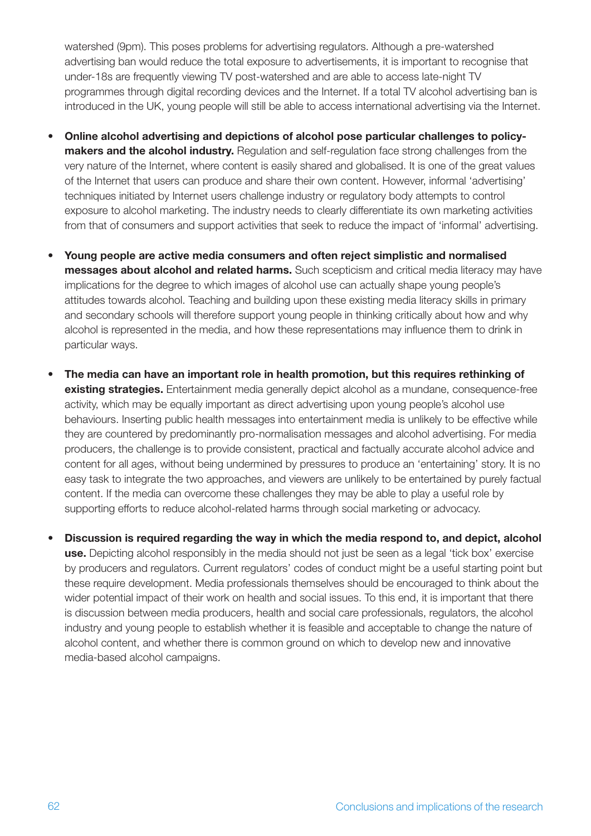watershed (9pm). This poses problems for advertising regulators. Although a pre-watershed advertising ban would reduce the total exposure to advertisements, it is important to recognise that under-18s are frequently viewing TV post-watershed and are able to access late-night TV programmes through digital recording devices and the Internet. If a total TV alcohol advertising ban is introduced in the UK, young people will still be able to access international advertising via the Internet.

- • **Online alcohol advertising and depictions of alcohol pose particular challenges to policymakers and the alcohol industry.** Regulation and self-regulation face strong challenges from the very nature of the Internet, where content is easily shared and globalised. It is one of the great values of the Internet that users can produce and share their own content. However, informal 'advertising' techniques initiated by Internet users challenge industry or regulatory body attempts to control exposure to alcohol marketing. The industry needs to clearly differentiate its own marketing activities from that of consumers and support activities that seek to reduce the impact of 'informal' advertising.
- Young people are active media consumers and often reject simplistic and normalised **messages about alcohol and related harms.** Such scepticism and critical media literacy may have implications for the degree to which images of alcohol use can actually shape young people's attitudes towards alcohol. Teaching and building upon these existing media literacy skills in primary and secondary schools will therefore support young people in thinking critically about how and why alcohol is represented in the media, and how these representations may influence them to drink in particular ways.
- The media can have an important role in health promotion, but this requires rethinking of **existing strategies.** Entertainment media generally depict alcohol as a mundane, consequence-free activity, which may be equally important as direct advertising upon young people's alcohol use behaviours. Inserting public health messages into entertainment media is unlikely to be effective while they are countered by predominantly pro-normalisation messages and alcohol advertising. For media producers, the challenge is to provide consistent, practical and factually accurate alcohol advice and content for all ages, without being undermined by pressures to produce an 'entertaining' story. It is no easy task to integrate the two approaches, and viewers are unlikely to be entertained by purely factual content. If the media can overcome these challenges they may be able to play a useful role by supporting efforts to reduce alcohol-related harms through social marketing or advocacy.
- **Discussion is required regarding the way in which the media respond to, and depict, alcohol use.** Depicting alcohol responsibly in the media should not just be seen as a legal 'tick box' exercise by producers and regulators. Current regulators' codes of conduct might be a useful starting point but these require development. Media professionals themselves should be encouraged to think about the wider potential impact of their work on health and social issues. To this end, it is important that there is discussion between media producers, health and social care professionals, regulators, the alcohol industry and young people to establish whether it is feasible and acceptable to change the nature of alcohol content, and whether there is common ground on which to develop new and innovative media-based alcohol campaigns.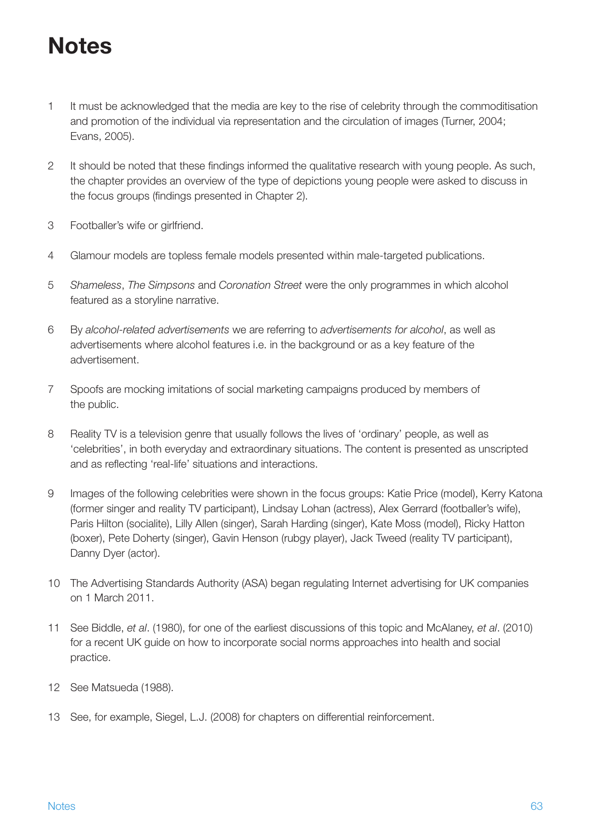# **Notes**

- 1 It must be acknowledged that the media are key to the rise of celebrity through the commoditisation and promotion of the individual via representation and the circulation of images (Turner, 2004; Evans, 2005).
- 2 It should be noted that these findings informed the qualitative research with young people. As such, the chapter provides an overview of the type of depictions young people were asked to discuss in the focus groups (findings presented in Chapter 2).
- 3 Footballer's wife or girlfriend.
- 4 Glamour models are topless female models presented within male-targeted publications.
- 5 *Shameless*, *The Simpsons* and *Coronation Street* were the only programmes in which alcohol featured as a storyline narrative.
- 6 By *alcohol-related advertisements* we are referring to *advertisements for alcohol*, as well as advertisements where alcohol features i.e. in the background or as a key feature of the advertisement.
- 7 Spoofs are mocking imitations of social marketing campaigns produced by members of the public.
- 8 Reality TV is a television genre that usually follows the lives of 'ordinary' people, as well as 'celebrities', in both everyday and extraordinary situations. The content is presented as unscripted and as reflecting 'real-life' situations and interactions.
- 9 Images of the following celebrities were shown in the focus groups: Katie Price (model), Kerry Katona (former singer and reality TV participant), Lindsay Lohan (actress), Alex Gerrard (footballer's wife), Paris Hilton (socialite), Lilly Allen (singer), Sarah Harding (singer), Kate Moss (model), Ricky Hatton (boxer), Pete Doherty (singer), Gavin Henson (rubgy player), Jack Tweed (reality TV participant), Danny Dyer (actor).
- 10 The Advertising Standards Authority (ASA) began regulating Internet advertising for UK companies on 1 March 2011.
- 11 See Biddle, *et al*. (1980), for one of the earliest discussions of this topic and McAlaney, *et al*. (2010) for a recent UK guide on how to incorporate social norms approaches into health and social practice.
- 12 See Matsueda (1988).
- 13 See, for example, Siegel, L.J. (2008) for chapters on differential reinforcement.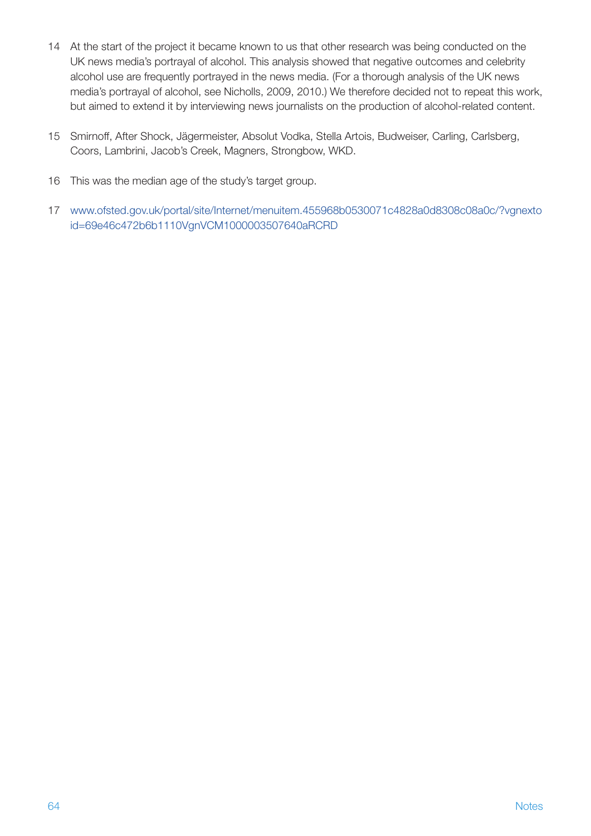- 14 At the start of the project it became known to us that other research was being conducted on the UK news media's portrayal of alcohol. This analysis showed that negative outcomes and celebrity alcohol use are frequently portrayed in the news media. (For a thorough analysis of the UK news media's portrayal of alcohol, see Nicholls, 2009, 2010.) We therefore decided not to repeat this work, but aimed to extend it by interviewing news journalists on the production of alcohol-related content.
- 15 Smirnoff, After Shock, Jägermeister, Absolut Vodka, Stella Artois, Budweiser, Carling, Carlsberg, Coors, Lambrini, Jacob's Creek, Magners, Strongbow, WKD.
- 16 This was the median age of the study's target group.
- 17 [www.ofsted.gov.uk/portal/site/Internet/menuitem.455968b0530071c4828a0d8308c08a0c/?vgnexto](http://www.ofsted.gov.uk/portal/site/Internet/menuitem.455968b0530071c4828a0d8308c08a0c/?vgnextoid=69e46c472b6b1110VgnVCM1000003507640aRCRD) id=69e46c472b6b1110VgnVCM1000003507640aRCR[D](http://www.ofsted.gov.uk/portal/site/Internet/menuitem.455968b0530071c4828a0d8308c08a0c/?vgnextoid=69e46c472b6b1110VgnVCM1000003507640aRCRD)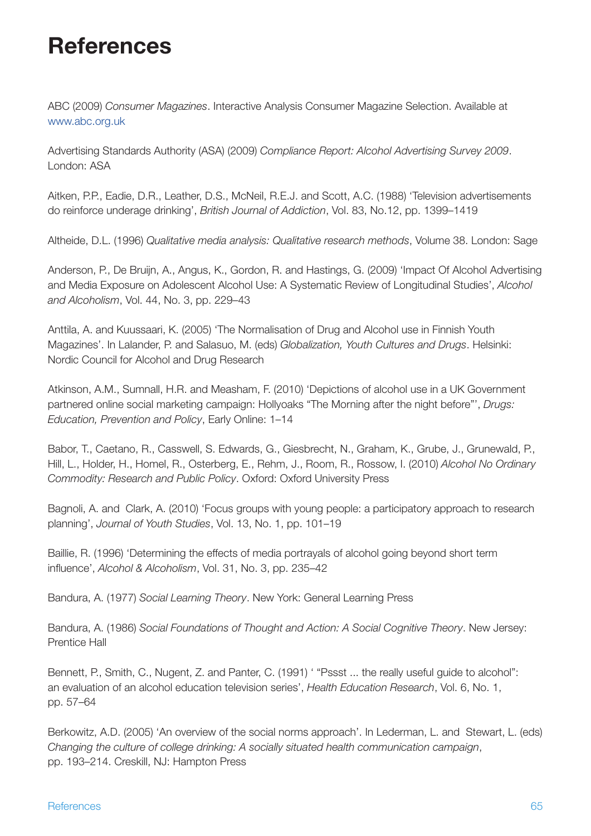# **References**

ABC (2009) *Consumer Magazines*. Interactive Analysis Consumer Magazine Selection. Available at <www.abc.org.uk>

Advertising Standards Authority (ASA) (2009) *Compliance Report: Alcohol Advertising Survey 2009*. London: ASA

Aitken, P.P., Eadie, D.R., Leather, D.S., McNeil, R.E.J. and Scott, A.C. (1988) 'Television advertisements do reinforce underage drinking', *British Journal of Addiction*, Vol. 83, No.12, pp. 1399–1419

Altheide, D.L. (1996) *Qualitative media analysis: Qualitative research methods*, Volume 38. London: Sage

Anderson, P., De Bruijn, A., Angus, K., Gordon, R. and Hastings, G. (2009) 'Impact Of Alcohol Advertising and Media Exposure on Adolescent Alcohol Use: A Systematic Review of Longitudinal Studies', *Alcohol and Alcoholism*, Vol. 44, No. 3, pp. 229–43

Anttila, A. and Kuussaari, K. (2005) 'The Normalisation of Drug and Alcohol use in Finnish Youth Magazines'. In Lalander, P. and Salasuo, M. (eds) *Globalization, Youth Cultures and Drugs*. Helsinki: Nordic Council for Alcohol and Drug Research

Atkinson, A.M., Sumnall, H.R. and Measham, F. (2010) 'Depictions of alcohol use in a UK Government partnered online social marketing campaign: Hollyoaks "The Morning after the night before"', *Drugs: Education, Prevention and Policy*, Early Online: 1–14

Babor, T., Caetano, R., Casswell, S. Edwards, G., Giesbrecht, N., Graham, K., Grube, J., Grunewald, P., Hill, L., Holder, H., Homel, R., Osterberg, E., Rehm, J., Room, R., Rossow, I. (2010) *Alcohol No Ordinary Commodity: Research and Public Policy*. Oxford: Oxford University Press

Bagnoli, A. and Clark, A. (2010) 'Focus groups with young people: a participatory approach to research planning', *Journal of Youth Studies*, Vol. 13, No. 1, pp. 101–19

Baillie, R. (1996) 'Determining the effects of media portrayals of alcohol going beyond short term influence', *Alcohol & Alcoholism*, Vol. 31, No. 3, pp. 235–42

Bandura, A. (1977) *Social Learning Theory*. New York: General Learning Press

Bandura, A. (1986) *Social Foundations of Thought and Action: A Social Cognitive Theory*. New Jersey: Prentice Hall

Bennett, P., Smith, C., Nugent, Z. and Panter, C. (1991) ' "Pssst ... the really useful guide to alcohol": an evaluation of an alcohol education television series', *Health Education Research*, Vol. 6, No. 1, pp. 57–64

Berkowitz, A.D. (2005) 'An overview of the social norms approach'. In Lederman, L. and Stewart, L. (eds) *Changing the culture of college drinking: A socially situated health communication campaign*, pp. 193–214. Creskill, NJ: Hampton Press

#### References 65 and 2012 to 2012 the set of the set of the set of the set of the set of the set of the set of the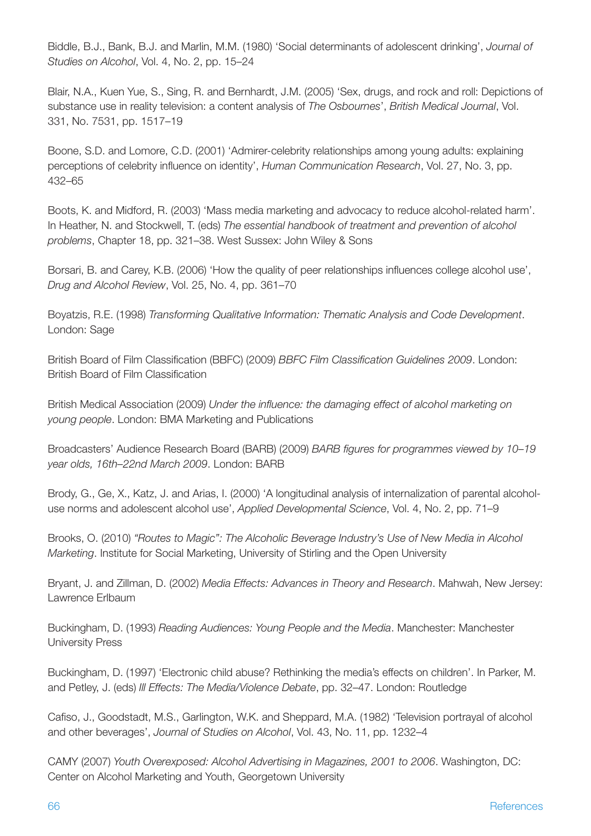Biddle, B.J., Bank, B.J. and Marlin, M.M. (1980) 'Social determinants of adolescent drinking', *Journal of Studies on Alcohol*, Vol. 4, No. 2, pp. 15–24

Blair, N.A., Kuen Yue, S., Sing, R. and Bernhardt, J.M. (2005) 'Sex, drugs, and rock and roll: Depictions of substance use in reality television: a content analysis of *The Osbournes*', *British Medical Journal*, Vol. 331, No. 7531, pp. 1517–19

Boone, S.D. and Lomore, C.D. (2001) 'Admirer-celebrity relationships among young adults: explaining perceptions of celebrity influence on identity', *Human Communication Research*, Vol. 27, No. 3, pp. 432–65

Boots, K. and Midford, R. (2003) 'Mass media marketing and advocacy to reduce alcohol-related harm'. In Heather, N. and Stockwell, T. (eds) *The essential handbook of treatment and prevention of alcohol problems*, Chapter 18, pp. 321–38. West Sussex: John Wiley & Sons

Borsari, B. and Carey, K.B. (2006) 'How the quality of peer relationships influences college alcohol use', *Drug and Alcohol Review*, Vol. 25, No. 4, pp. 361–70

Boyatzis, R.E. (1998) *Transforming Qualitative Information: Thematic Analysis and Code Development*. London: Sage

British Board of Film Classification (BBFC) (2009) *BBFC Film Classification Guidelines 2009*. London: British Board of Film Classification

British Medical Association (2009) *Under the influence: the damaging effect of alcohol marketing on young people*. London: BMA Marketing and Publications

Broadcasters' Audience Research Board (BARB) (2009) *BARB figures for programmes viewed by 10–19 year olds, 16th–22nd March 2009*. London: BARB

Brody, G., Ge, X., Katz, J. and Arias, I. (2000) 'A longitudinal analysis of internalization of parental alcoholuse norms and adolescent alcohol use', *Applied Developmental Science*, Vol. 4, No. 2, pp. 71–9

Brooks, O. (2010) *"Routes to Magic": The Alcoholic Beverage Industry's Use of New Media in Alcohol Marketing*. Institute for Social Marketing, University of Stirling and the Open University

Bryant, J. and Zillman, D. (2002) *Media Effects: Advances in Theory and Research*. Mahwah, New Jersey: Lawrence Erlbaum

Buckingham, D. (1993) *Reading Audiences: Young People and the Media*. Manchester: Manchester University Press

Buckingham, D. (1997) 'Electronic child abuse? Rethinking the media's effects on children'. In Parker, M. and Petley, J. (eds) *Ill Effects: The Media/Violence Debate*, pp. 32–47. London: Routledge

Cafiso, J., Goodstadt, M.S., Garlington, W.K. and Sheppard, M.A. (1982) 'Television portrayal of alcohol and other beverages', *Journal of Studies on Alcohol*, Vol. 43, No. 11, pp. 1232–4

CAMY (2007) *Youth Overexposed: Alcohol Advertising in Magazines, 2001 to 2006*. Washington, DC: Center on Alcohol Marketing and Youth, Georgetown University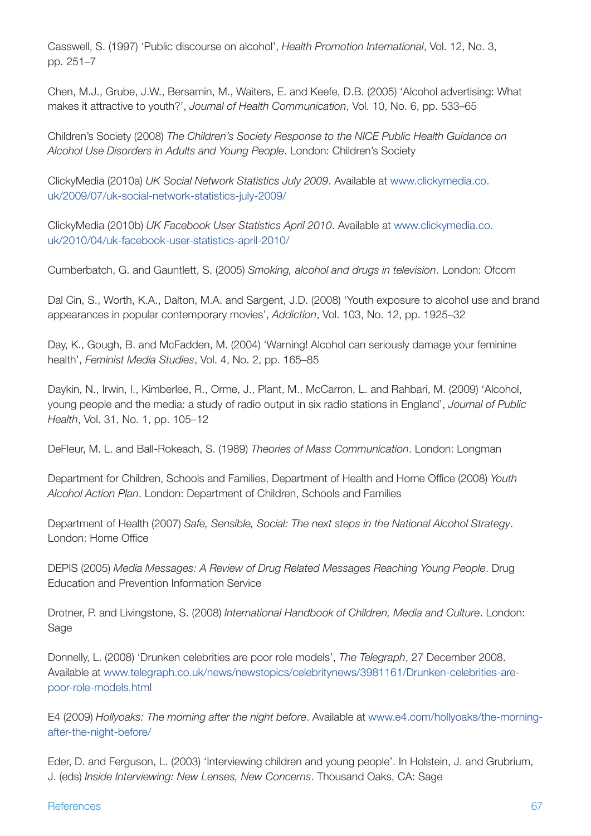Casswell, S. (1997) 'Public discourse on alcohol', *Health Promotion International*, Vol. 12, No. 3, pp. 251–7

Chen, M.J., Grube, J.W., Bersamin, M., Waiters, E. and Keefe, D.B. (2005) 'Alcohol advertising: What makes it attractive to youth?', *Journal of Health Communication*, Vol. 10, No. 6, pp. 533–65

Children's Society (2008) *The Children's Society Response to the NICE Public Health Guidance on Alcohol Use Disorders in Adults and Young People*. London: Children's Society

ClickyMedia (2010a) *UK Social Network Statistics July 2009*. Available at [www.clickymedia.co.](www.clickymedia.co.uk/2009/07/uk-social-network-statistics-july-2009/) [uk/2009/07/uk-social-network-statistics-july-2009/](www.clickymedia.co.uk/2009/07/uk-social-network-statistics-july-2009/)

ClickyMedia (2010b) *UK Facebook User Statistics April 2010*. Available at [www.clickymedia.co.](www.clickymedia.co.uk/2010/04/uk-facebook-user-statistics-april-2010/) [uk/2010/04/uk-facebook-user-statistics-april-2010/](www.clickymedia.co.uk/2010/04/uk-facebook-user-statistics-april-2010/)

Cumberbatch, G. and Gauntlett, S. (2005) *Smoking, alcohol and drugs in television*. London: Ofcom

Dal Cin, S., Worth, K.A., Dalton, M.A. and Sargent, J.D. (2008) 'Youth exposure to alcohol use and brand appearances in popular contemporary movies', *Addiction*, Vol. 103, No. 12, pp. 1925–32

Day, K., Gough, B. and McFadden, M. (2004) 'Warning! Alcohol can seriously damage your feminine health', *Feminist Media Studies*, Vol. 4, No. 2, pp. 165–85

Daykin, N., Irwin, I., Kimberlee, R., Orme, J., Plant, M., McCarron, L. and Rahbari, M. (2009) 'Alcohol, young people and the media: a study of radio output in six radio stations in England', *Journal of Public Health*, Vol. 31, No. 1, pp. 105–12

DeFleur, M. L. and Ball-Rokeach, S. (1989) *Theories of Mass Communication*. London: Longman

Department for Children, Schools and Families, Department of Health and Home Office (2008) *Youth Alcohol Action Plan*. London: Department of Children, Schools and Families

Department of Health (2007) *Safe, Sensible, Social: The next steps in the National Alcohol Strategy*. London: Home Office

DEPIS (2005) *Media Messages: A Review of Drug Related Messages Reaching Young People*. Drug Education and Prevention Information Service

Drotner, P. and Livingstone, S. (2008) *International Handbook of Children, Media and Culture*. London: Sage

Donnelly, L. (2008) 'Drunken celebrities are poor role models', *The Telegraph*, 27 December 2008. Available at [www.telegraph.co.uk/news/newstopics/celebritynews/3981161/Drunken-celebrities-are](www.telegraph.co.uk/news/newstopics/celebritynews/3981161/Drunken-celebrities-are-poor-role-models.html)[poor-role-models.html](www.telegraph.co.uk/news/newstopics/celebritynews/3981161/Drunken-celebrities-are-poor-role-models.html)

E4 (2009) *Hollyoaks: The morning after the night before*. Available at [www.e4.com/hollyoaks/the-morning](www.e4.com/hollyoaks/the-morning-after-the-night-before/)[after-the-night-before/](www.e4.com/hollyoaks/the-morning-after-the-night-before/)

Eder, D. and Ferguson, L. (2003) 'Interviewing children and young people'. In Holstein, J. and Grubrium, J. (eds) *Inside Interviewing: New Lenses, New Concerns*. Thousand Oaks, CA: Sage

#### References 67 and 2012 to 2014 the set of the set of the set of the set of the set of the set of the set of the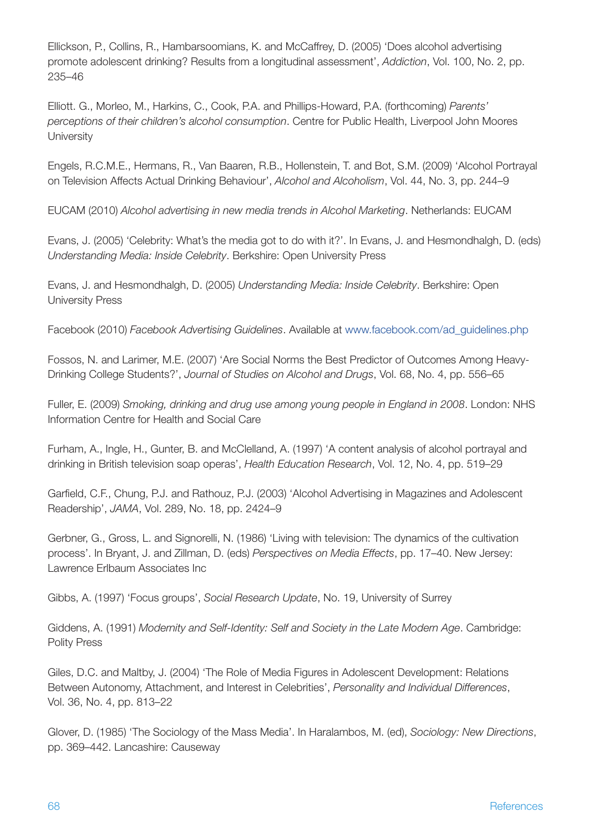Ellickson, P., Collins, R., Hambarsoomians, K. and McCaffrey, D. (2005) 'Does alcohol advertising promote adolescent drinking? Results from a longitudinal assessment', *Addiction*, Vol. 100, No. 2, pp. 235–46

Elliott. G., Morleo, M., Harkins, C., Cook, P.A. and Phillips-Howard, P.A. (forthcoming) *Parents' perceptions of their children's alcohol consumption*. Centre for Public Health, Liverpool John Moores **University** 

Engels, R.C.M.E., Hermans, R., Van Baaren, R.B., Hollenstein, T. and Bot, S.M. (2009) 'Alcohol Portrayal on Television Affects Actual Drinking Behaviour', *Alcohol and Alcoholism*, Vol. 44, No. 3, pp. 244–9

EUCAM (2010) *Alcohol advertising in new media trends in Alcohol Marketing*. Netherlands: EUCAM

Evans, J. (2005) 'Celebrity: What's the media got to do with it?'. In Evans, J. and Hesmondhalgh, D. (eds) *Understanding Media: Inside Celebrity*. Berkshire: Open University Press

Evans, J. and Hesmondhalgh, D. (2005) *Understanding Media: Inside Celebrity*. Berkshire: Open University Press

Facebook (2010) *Facebook Advertising Guidelines*. Available at [www.facebook.com/ad\\_guidelines.php](www.facebook.com/ad_guidelines.php)

Fossos, N. and Larimer, M.E. (2007) 'Are Social Norms the Best Predictor of Outcomes Among Heavy-Drinking College Students?', *Journal of Studies on Alcohol and Drugs*, Vol. 68, No. 4, pp. 556–65

Fuller, E. (2009) *Smoking, drinking and drug use among young people in England in 2008*. London: NHS Information Centre for Health and Social Care

Furham, A., Ingle, H., Gunter, B. and McClelland, A. (1997) 'A content analysis of alcohol portrayal and drinking in British television soap operas', *Health Education Research*, Vol. 12, No. 4, pp. 519–29

Garfield, C.F., Chung, P.J. and Rathouz, P.J. (2003) 'Alcohol Advertising in Magazines and Adolescent Readership', *JAMA*, Vol. 289, No. 18, pp. 2424–9

Gerbner, G., Gross, L. and Signorelli, N. (1986) 'Living with television: The dynamics of the cultivation process'. In Bryant, J. and Zillman, D. (eds) *Perspectives on Media Effects*, pp. 17–40. New Jersey: Lawrence Erlbaum Associates Inc

Gibbs, A. (1997) 'Focus groups', *Social Research Update*, No. 19, University of Surrey

Giddens, A. (1991) *Modernity and Self-Identity: Self and Society in the Late Modern Age*. Cambridge: Polity Press

Giles, D.C. and Maltby, J. (2004) 'The Role of Media Figures in Adolescent Development: Relations Between Autonomy, Attachment, and Interest in Celebrities', *Personality and Individual Differences*, Vol. 36, No. 4, pp. 813–22

Glover, D. (1985) 'The Sociology of the Mass Media'. In Haralambos, M. (ed), *Sociology: New Directions*, pp. 369–442. Lancashire: Causeway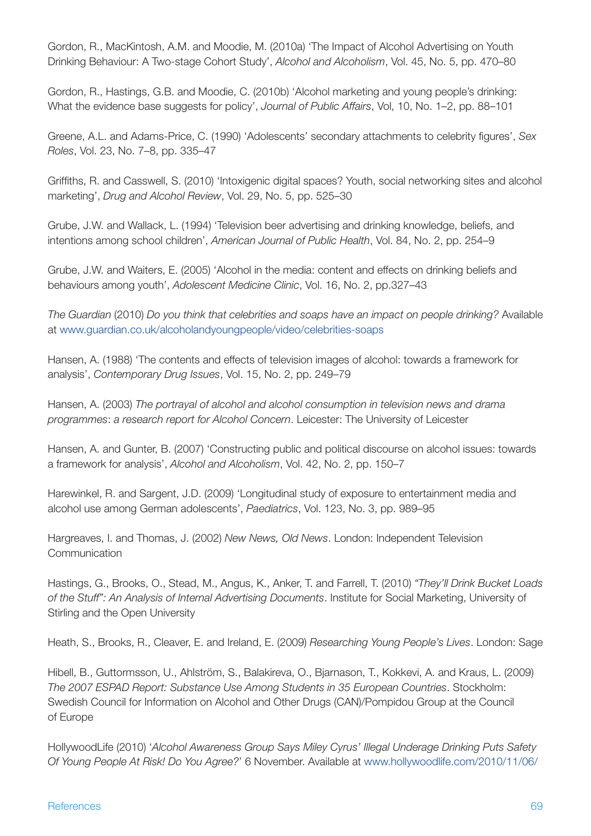Gordon, R., MacKintosh, A.M. and Moodie, M. (2010a) 'The Impact of Alcohol Advertising on Youth Drinking Behaviour: A Two-stage Cohort Study', *Alcohol and Alcoholism*, Vol. 45, No. 5, pp. 470–80

Gordon, R., Hastings, G.B. and Moodie, C. (2010b) 'Alcohol marketing and young people's drinking: What the evidence base suggests for policy', *Journal of Public Affairs*, Vol, 10, No. 1–2, pp. 88–101

Greene, A.L. and Adams-Price, C. (1990) 'Adolescents' secondary attachments to celebrity figures', *Sex Roles*, Vol. 23, No. 7–8, pp. 335–47

Griffiths, R. and Casswell, S. (2010) 'Intoxigenic digital spaces? Youth, social networking sites and alcohol marketing', *Drug and Alcohol Review*, Vol. 29, No. 5, pp. 525–30

Grube, J.W. and Wallack, L. (1994) 'Television beer advertising and drinking knowledge, beliefs, and intentions among school children', *American Journal of Public Health*, Vol. 84, No. 2, pp. 254–9

Grube, J.W. and Waiters, E. (2005) 'Alcohol in the media: content and effects on drinking beliefs and behaviours among youth', *Adolescent Medicine Clinic*, Vol. 16, No. 2, pp.327–43

*The Guardian* (2010) *Do you think that celebrities and soaps have an impact on people drinking?* Available at<www.guardian.co.uk/alcoholandyoungpeople/video/celebrities-soaps>

Hansen, A. (1988) 'The contents and effects of television images of alcohol: towards a framework for analysis', *Contemporary Drug Issues*, Vol. 15, No. 2, pp. 249–79

Hansen, A. (2003) *The portrayal of alcohol and alcohol consumption in television news and drama programmes*: *a research report for Alcohol Concern*. Leicester: The University of Leicester

Hansen, A. and Gunter, B. (2007) 'Constructing public and political discourse on alcohol issues: towards a framework for analysis', *Alcohol and Alcoholism*, Vol. 42, No. 2, pp. 150–7

Harewinkel, R. and Sargent, J.D. (2009) 'Longitudinal study of exposure to entertainment media and alcohol use among German adolescents', *Paediatrics*, Vol. 123, No. 3, pp. 989–95

Hargreaves, I. and Thomas, J. (2002) *New News, Old News*. London: Independent Television **Communication** 

Hastings, G., Brooks, O., Stead, M., Angus, K., Anker, T. and Farrell, T. (2010) *"They'll Drink Bucket Loads of the Stuff": An Analysis of Internal Advertising Documents*. Institute for Social Marketing, University of Stirling and the Open University

Heath, S., Brooks, R., Cleaver, E. and Ireland, E. (2009) *Researching Young People's Lives*. London: Sage

Hibell, B., Guttormsson, U., Ahlström, S., Balakireva, O., Bjarnason, T., Kokkevi, A. and Kraus, L. (2009) *The 2007 ESPAD Report: Substance Use Among Students in 35 European Countries*. Stockholm: Swedish Council for Information on Alcohol and Other Drugs (CAN)/Pompidou Group at the Council of Europe

HollywoodLife (2010) '*Alcohol Awareness Group Says Miley Cyrus' Illegal Underage Drinking Puts Safety Of Young People At Risk! Do You Agree?*' 6 November. Available at [www.hollywoodlife.com/2010/11/06/](www.hollywoodlife.com/2010/11/06/alcohol-awareness-group-says-miley-cyrus-illegal-underage-drinking-puts-safety-of-young-people-at-risk/)

#### References 69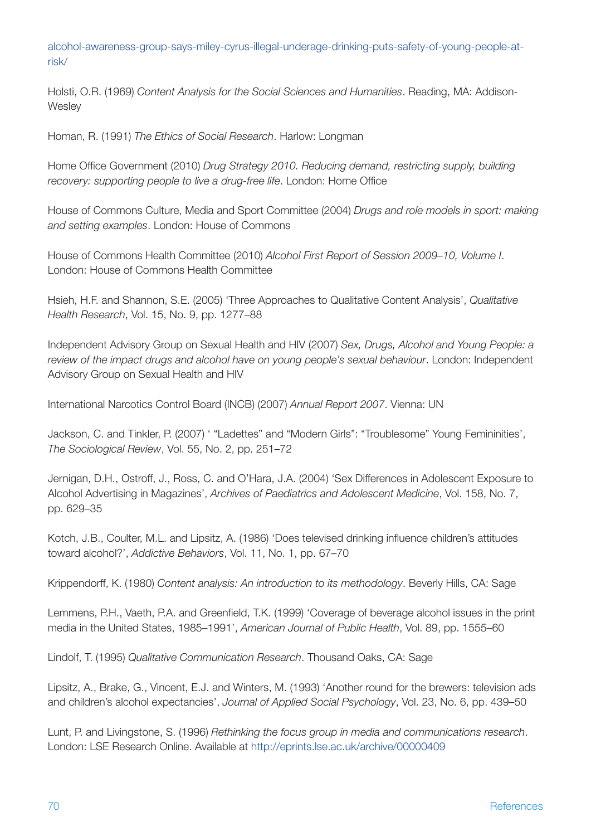[alcohol-awareness-group-says-miley-cyrus-illegal-underage-drinking-puts-safety-of-young-people-at](www.hollywoodlife.com/2010/11/06/alcohol-awareness-group-says-miley-cyrus-illegal-underage-drinking-puts-safety-of-young-people-at-risk/)[risk/](www.hollywoodlife.com/2010/11/06/alcohol-awareness-group-says-miley-cyrus-illegal-underage-drinking-puts-safety-of-young-people-at-risk/)

Holsti, O.R. (1969) *Content Analysis for the Social Sciences and Humanities*. Reading, MA: Addison-**Wesley** 

Homan, R. (1991) *The Ethics of Social Research*. Harlow: Longman

Home Office Government (2010) *Drug Strategy 2010. Reducing demand, restricting supply, building recovery: supporting people to live a drug-free life*. London: Home Office

House of Commons Culture, Media and Sport Committee (2004) *Drugs and role models in sport: making and setting examples*. London: House of Commons

House of Commons Health Committee (2010) *Alcohol First Report of Session 2009–10, Volume I*. London: House of Commons Health Committee

Hsieh, H.F. and Shannon, S.E. (2005) 'Three Approaches to Qualitative Content Analysis', *Qualitative Health Research*, Vol. 15, No. 9, pp. 1277–88

Independent Advisory Group on Sexual Health and HIV (2007) *Sex, Drugs, Alcohol and Young People: a review of the impact drugs and alcohol have on young people's sexual behaviour*. London: Independent Advisory Group on Sexual Health and HIV

International Narcotics Control Board (INCB) (2007) *Annual Report 2007*. Vienna: UN

Jackson, C. and Tinkler, P. (2007) ' "Ladettes" and "Modern Girls": "Troublesome" Young Femininities', *The Sociological Review*, Vol. 55, No. 2, pp. 251–72

Jernigan, D.H., Ostroff, J., Ross, C. and O'Hara, J.A. (2004) 'Sex Differences in Adolescent Exposure to Alcohol Advertising in Magazines', *Archives of Paediatrics and Adolescent Medicine*, Vol. 158, No. 7, pp. 629–35

Kotch, J.B., Coulter, M.L. and Lipsitz, A. (1986) 'Does televised drinking influence children's attitudes toward alcohol?', *Addictive Behaviors*, Vol. 11, No. 1, pp. 67–70

Krippendorff, K. (1980) *Content analysis: An introduction to its methodology*. Beverly Hills, CA: Sage

Lemmens, P.H., Vaeth, P.A. and Greenfield, T.K. (1999) 'Coverage of beverage alcohol issues in the print media in the United States, 1985–1991', *American Journal of Public Health*, Vol. 89, pp. 1555–60

Lindolf, T. (1995) *Qualitative Communication Research*. Thousand Oaks, CA: Sage

Lipsitz, A., Brake, G., Vincent, E.J. and Winters, M. (1993) 'Another round for the brewers: television ads and children's alcohol expectancies', *Journal of Applied Social Psychology*, Vol. 23, No. 6, pp. 439–50

Lunt, P. and Livingstone, S. (1996) *Rethinking the focus group in media and communications research*. London: LSE Research Online. Available at [http://eprints.lse.ac.uk/archive/00000409](http//:eprints.lse.ac.uk/archive/00000409)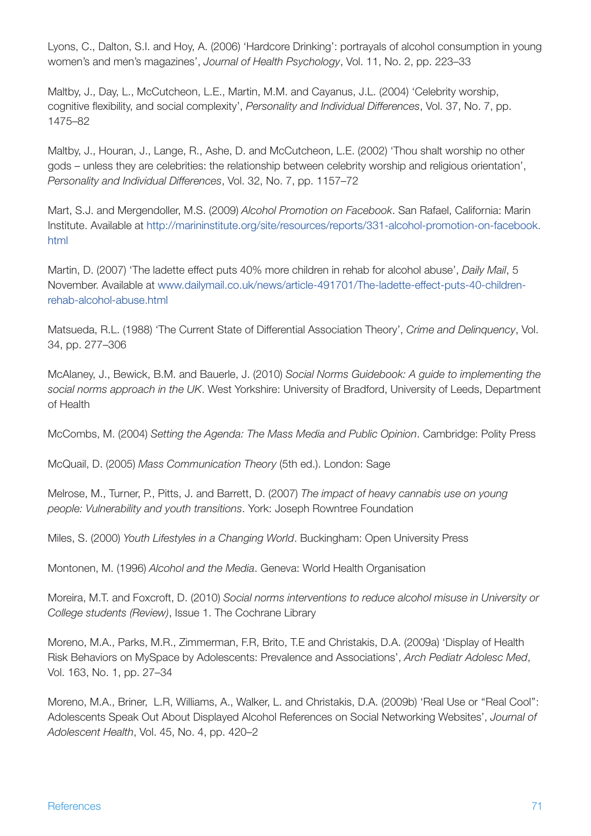Lyons, C., Dalton, S.I. and Hoy, A. (2006) 'Hardcore Drinking': portrayals of alcohol consumption in young women's and men's magazines', *Journal of Health Psychology*, Vol. 11, No. 2, pp. 223–33

Maltby, J., Day, L., McCutcheon, L.E., Martin, M.M. and Cayanus, J.L. (2004) 'Celebrity worship, cognitive flexibility, and social complexity', *Personality and Individual Differences*, Vol. 37, No. 7, pp. 1475–82

Maltby, J., Houran, J., Lange, R., Ashe, D. and McCutcheon, L.E. (2002) 'Thou shalt worship no other gods – unless they are celebrities: the relationship between celebrity worship and religious orientation', *Personality and Individual Differences*, Vol. 32, No. 7, pp. 1157–72

Mart, S.J. and Mergendoller, M.S. (2009) *Alcohol Promotion on Facebook*. San Rafael, California: Marin Institute. Available at [http://marininstitute.org/site/resources/reports/331-alcohol-promotion-on-facebook.](http://marininstitute.org/site/resources/reports/331-alcohol-promotion-on-facebook.html) [html](http://marininstitute.org/site/resources/reports/331-alcohol-promotion-on-facebook.html)

Martin, D. (2007) 'The ladette effect puts 40% more children in rehab for alcohol abuse', *Daily Mail*, 5 November. Available at [www.dailymail.co.uk/news/article-491701/The-ladette-effect-puts-40-children](www.dailymail.co.uk/news/article-491701/The-ladette-effect-puts-40-children-rehab-alcohol-abuse.html)[rehab-alcohol-abuse.html](www.dailymail.co.uk/news/article-491701/The-ladette-effect-puts-40-children-rehab-alcohol-abuse.html)

Matsueda, R.L. (1988) 'The Current State of Differential Association Theory', *Crime and Delinquency*, Vol. 34, pp. 277–306

McAlaney, J., Bewick, B.M. and Bauerle, J. (2010) *Social Norms Guidebook: A guide to implementing the social norms approach in the UK*. West Yorkshire: University of Bradford, University of Leeds, Department of Health

McCombs, M. (2004) *Setting the Agenda: The Mass Media and Public Opinion*. Cambridge: Polity Press

McQuail, D. (2005) *Mass Communication Theory* (5th ed.). London: Sage

Melrose, M., Turner, P., Pitts, J. and Barrett, D. (2007) *The impact of heavy cannabis use on young people: Vulnerability and youth transitions*. York: Joseph Rowntree Foundation

Miles, S. (2000) *Youth Lifestyles in a Changing World*. Buckingham: Open University Press

Montonen, M. (1996) *Alcohol and the Media*. Geneva: World Health Organisation

Moreira, M.T. and Foxcroft, D. (2010) *Social norms interventions to reduce alcohol misuse in University or College students (Review)*, Issue 1. The Cochrane Library

Moreno, M.A., Parks, M.R., Zimmerman, F.R, Brito, T.E and Christakis, D.A. (2009a) 'Display of Health Risk Behaviors on MySpace by Adolescents: Prevalence and Associations', *Arch Pediatr Adolesc Med*, Vol. 163, No. 1, pp. 27–34

Moreno, M.A., Briner, L.R, Williams, A., Walker, L. and Christakis, D.A. (2009b) 'Real Use or ''Real Cool'': Adolescents Speak Out About Displayed Alcohol References on Social Networking Websites', *Journal of Adolescent Health*, Vol. 45, No. 4, pp. 420–2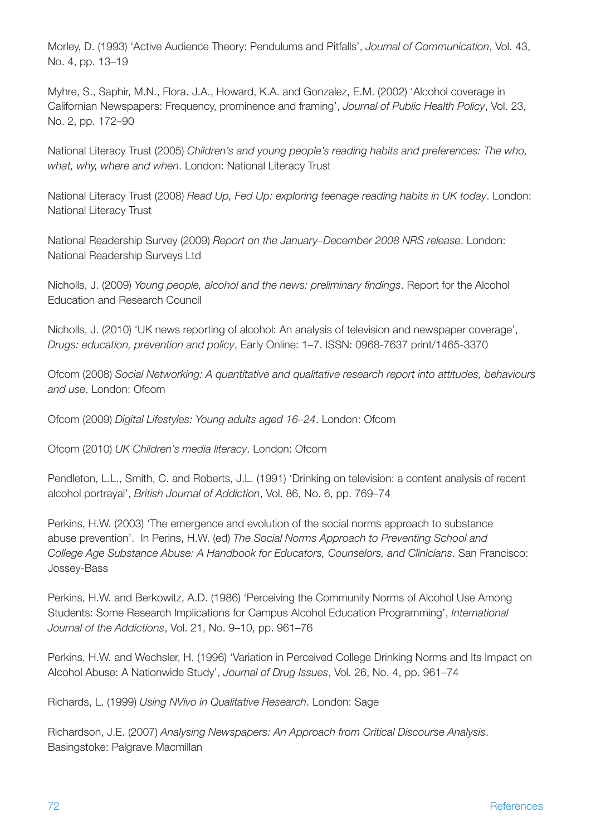Morley, D. (1993) 'Active Audience Theory: Pendulums and Pitfalls', *Journal of Communication*, Vol. 43, No. 4, pp. 13–19

Myhre, S., Saphir, M.N., Flora. J.A., Howard, K.A. and Gonzalez, E.M. (2002) 'Alcohol coverage in Californian Newspapers: Frequency, prominence and framing', *Journal of Public Health Policy*, Vol. 23, No. 2, pp. 172–90

National Literacy Trust (2005) *Children's and young people's reading habits and preferences: The who, what, why, where and when*. London: National Literacy Trust

National Literacy Trust (2008) *Read Up, Fed Up: exploring teenage reading habits in UK today*. London: National Literacy Trust

National Readership Survey (2009) *Report on the January–December 2008 NRS release*. London: National Readership Surveys Ltd

Nicholls, J. (2009) *Young people, alcohol and the news: preliminary findings*. Report for the Alcohol Education and Research Council

Nicholls, J. (2010) 'UK news reporting of alcohol: An analysis of television and newspaper coverage', *Drugs: education, prevention and policy*, Early Online: 1–7. ISSN: 0968-7637 print/1465-3370

Ofcom (2008) *Social Networking: A quantitative and qualitative research report into attitudes, behaviours and use*. London: Ofcom

Ofcom (2009) *Digital Lifestyles: Young adults aged 16–24*. London: Ofcom

Ofcom (2010) *UK Children's media literacy*. London: Ofcom

Pendleton, L.L., Smith, C. and Roberts, J.L. (1991) 'Drinking on television: a content analysis of recent alcohol portrayal', *British Journal of Addiction*, Vol. 86, No. 6, pp. 769–74

Perkins, H.W. (2003) 'The emergence and evolution of the social norms approach to substance abuse prevention'. In Perins, H.W. (ed) *The Social Norms Approach to Preventing School and College Age Substance Abuse: A Handbook for Educators, Counselors, and Clinicians*. San Francisco: Jossey-Bass

Perkins, H.W. and Berkowitz, A.D. (1986) 'Perceiving the Community Norms of Alcohol Use Among Students: Some Research Implications for Campus Alcohol Education Programming', *International Journal of the Addictions*, Vol. 21, No. 9–10, pp. 961–76

Perkins, H.W. and Wechsler, H. (1996) 'Variation in Perceived College Drinking Norms and Its Impact on Alcohol Abuse: A Nationwide Study', *Journal of Drug Issues*, Vol. 26, No. 4, pp. 961–74

Richards, L. (1999) *Using NVivo in Qualitative Research*. London: Sage

Richardson, J.E. (2007) *Analysing Newspapers: An Approach from Critical Discourse Analysis*. Basingstoke: Palgrave Macmillan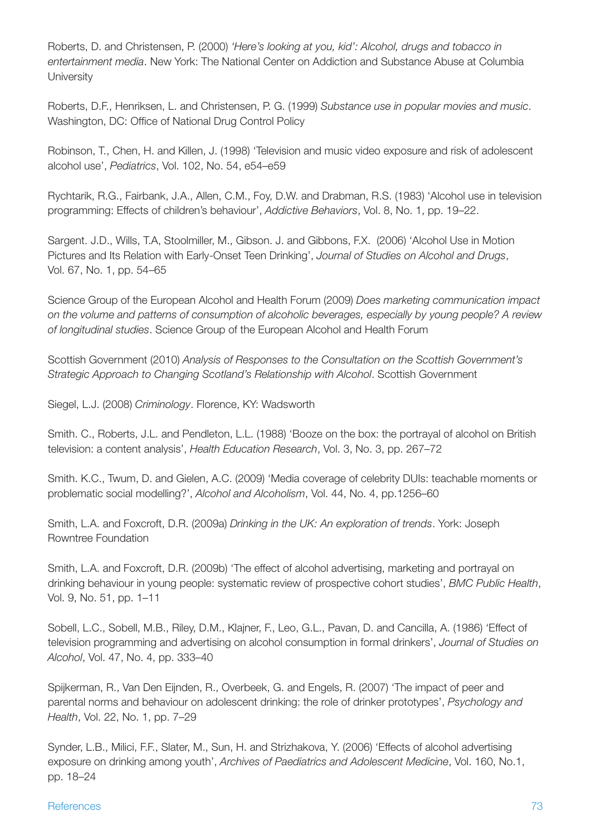Roberts, D. and Christensen, P. (2000) *'Here's looking at you, kid': Alcohol, drugs and tobacco in entertainment media*. New York: The National Center on Addiction and Substance Abuse at Columbia **University** 

Roberts, D.F., Henriksen, L. and Christensen, P. G. (1999) *Substance use in popular movies and music*. Washington, DC: Office of National Drug Control Policy

Robinson, T., Chen, H. and Killen, J. (1998) 'Television and music video exposure and risk of adolescent alcohol use', *Pediatrics*, Vol. 102, No. 54, e54–e59

Rychtarik, R.G., Fairbank, J.A., Allen, C.M., Foy, D.W. and Drabman, R.S. (1983) 'Alcohol use in television programming: Effects of children's behaviour', *Addictive Behaviors*, Vol. 8, No. 1, pp. 19–22.

Sargent. J.D., Wills, T.A, Stoolmiller, M., Gibson. J. and Gibbons, F.X. (2006) 'Alcohol Use in Motion Pictures and Its Relation with Early-Onset Teen Drinking', *Journal of Studies on Alcohol and Drugs*, Vol. 67, No. 1, pp. 54–65

Science Group of the European Alcohol and Health Forum (2009) *Does marketing communication impact on the volume and patterns of consumption of alcoholic beverages, especially by young people? A review of longitudinal studies*. Science Group of the European Alcohol and Health Forum

Scottish Government (2010) *Analysis of Responses to the Consultation on the Scottish Government's Strategic Approach to Changing Scotland's Relationship with Alcohol*. Scottish Government

Siegel, L.J. (2008) *Criminology*. Florence, KY: Wadsworth

Smith. C., Roberts, J.L. and Pendleton, L.L. (1988) 'Booze on the box: the portrayal of alcohol on British television: a content analysis', *Health Education Research*, Vol. 3, No. 3, pp. 267–72

Smith. K.C., Twum, D. and Gielen, A.C. (2009) 'Media coverage of celebrity DUIs: teachable moments or problematic social modelling?', *Alcohol and Alcoholism*, Vol. 44, No. 4, pp.1256–60

Smith, L.A. and Foxcroft, D.R. (2009a) *Drinking in the UK: An exploration of trends*. York: Joseph Rowntree Foundation

Smith, L.A. and Foxcroft, D.R. (2009b) 'The effect of alcohol advertising, marketing and portrayal on drinking behaviour in young people: systematic review of prospective cohort studies', *BMC Public Health*, Vol. 9, No. 51, pp. 1–11

Sobell, L.C., Sobell, M.B., Riley, D.M., Klajner, F., Leo, G.L., Pavan, D. and Cancilla, A. (1986) 'Effect of television programming and advertising on alcohol consumption in formal drinkers', *Journal of Studies on Alcohol*, Vol. 47, No. 4, pp. 333–40

Spijkerman, R., Van Den Eijnden, R., Overbeek, G. and Engels, R. (2007) 'The impact of peer and parental norms and behaviour on adolescent drinking: the role of drinker prototypes', *Psychology and Health*, Vol. 22, No. 1, pp. 7–29

Synder, L.B., Milici, F.F., Slater, M., Sun, H. and Strizhakova, Y. (2006) 'Effects of alcohol advertising exposure on drinking among youth', *Archives of Paediatrics and Adolescent Medicine*, Vol. 160, No.1, pp. 18–24

#### References and the contract of the contract of the contract of the contract of the contract of the contract of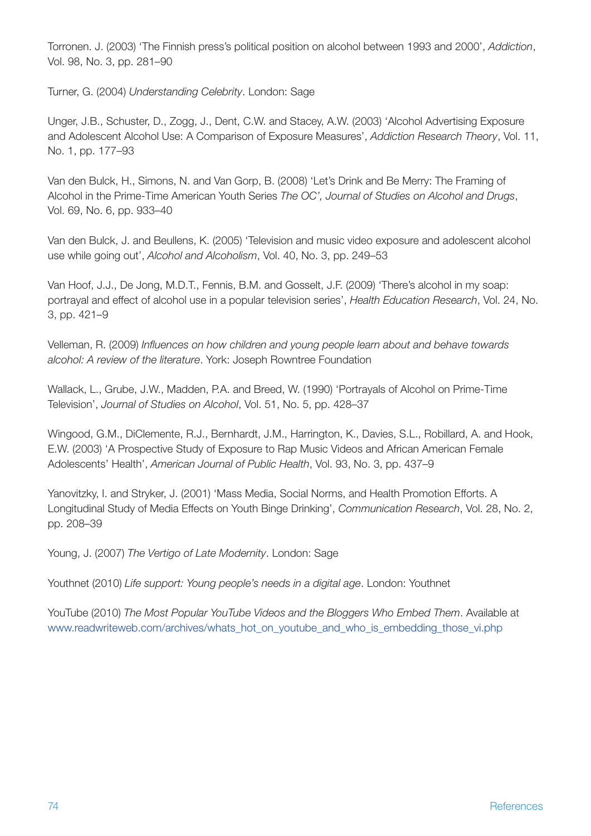Torronen. J. (2003) 'The Finnish press's political position on alcohol between 1993 and 2000', *Addiction*, Vol. 98, No. 3, pp. 281–90

Turner, G. (2004) *Understanding Celebrity*. London: Sage

Unger, J.B., Schuster, D., Zogg, J., Dent, C.W. and Stacey, A.W. (2003) 'Alcohol Advertising Exposure and Adolescent Alcohol Use: A Comparison of Exposure Measures', *Addiction Research Theory*, Vol. 11, No. 1, pp. 177–93

Van den Bulck, H., Simons, N. and Van Gorp, B. (2008) 'Let's Drink and Be Merry: The Framing of Alcohol in the Prime-Time American Youth Series *The OC', Journal of Studies on Alcohol and Drugs*, Vol. 69, No. 6, pp. 933–40

Van den Bulck, J. and Beullens, K. (2005) 'Television and music video exposure and adolescent alcohol use while going out', *Alcohol and Alcoholism*, Vol. 40, No. 3, pp. 249–53

Van Hoof, J.J., De Jong, M.D.T., Fennis, B.M. and Gosselt, J.F. (2009) 'There's alcohol in my soap: portrayal and effect of alcohol use in a popular television series', *Health Education Research*, Vol. 24, No. 3, pp. 421–9

Velleman, R. (2009) *Influences on how children and young people learn about and behave towards alcohol: A review of the literature*. York: Joseph Rowntree Foundation

Wallack, L., Grube, J.W., Madden, P.A. and Breed, W. (1990) 'Portrayals of Alcohol on Prime-Time Television', *Journal of Studies on Alcohol*, Vol. 51, No. 5, pp. 428–37

Wingood, G.M., DiClemente, R.J., Bernhardt, J.M., Harrington, K., Davies, S.L., Robillard, A. and Hook, E.W. (2003) 'A Prospective Study of Exposure to Rap Music Videos and African American Female Adolescents' Health', *American Journal of Public Health*, Vol. 93, No. 3, pp. 437–9

Yanovitzky, I. and Stryker, J. (2001) 'Mass Media, Social Norms, and Health Promotion Efforts. A Longitudinal Study of Media Effects on Youth Binge Drinking', *Communication Research*, Vol. 28, No. 2, pp. 208–39

Young, J. (2007) *The Vertigo of Late Modernity*. London: Sage

Youthnet (2010) *Life support: Young people's needs in a digital age*. London: Youthnet

YouTube (2010) *The Most Popular YouTube Videos and the Bloggers Who Embed Them*. Available at [www.readwriteweb.com/archives/whats\\_hot\\_on\\_youtube\\_and\\_who\\_is\\_embedding\\_those\\_vi.php](www.readwriteweb.com/archives/whats_hot_on_youtube_and_who_is_embedding_those_vi.php)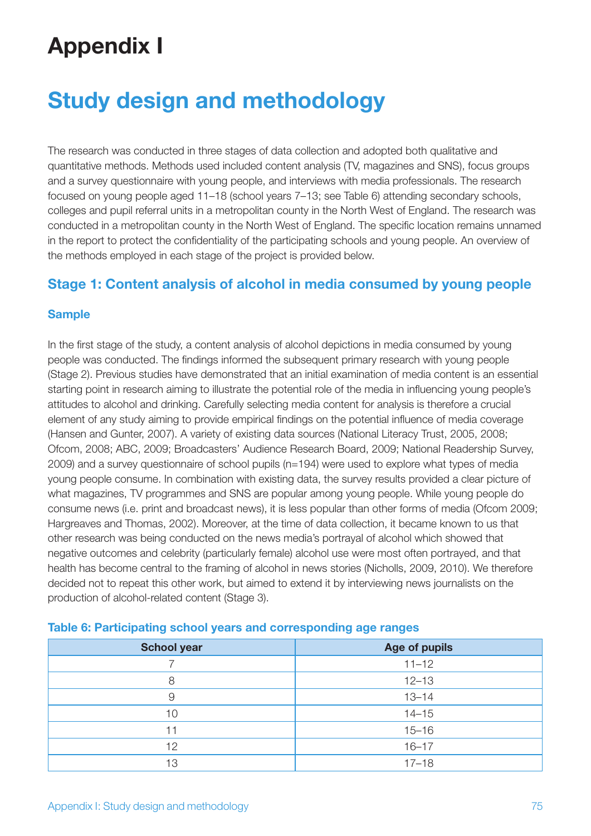# **Appendix I**

# **Study design and methodology**

The research was conducted in three stages of data collection and adopted both qualitative and quantitative methods. Methods used included content analysis (TV, magazines and SNS), focus groups and a survey questionnaire with young people, and interviews with media professionals. The research focused on young people aged 11–18 (school years 7–13; see Table 6) attending secondary schools, colleges and pupil referral units in a metropolitan county in the North West of England. The research was conducted in a metropolitan county in the North West of England. The specific location remains unnamed in the report to protect the confidentiality of the participating schools and young people. An overview of the methods employed in each stage of the project is provided below.

## **Stage 1: Content analysis of alcohol in media consumed by young people**

#### **Sample**

In the first stage of the study, a content analysis of alcohol depictions in media consumed by young people was conducted. The findings informed the subsequent primary research with young people (Stage 2). Previous studies have demonstrated that an initial examination of media content is an essential starting point in research aiming to illustrate the potential role of the media in influencing young people's attitudes to alcohol and drinking. Carefully selecting media content for analysis is therefore a crucial element of any study aiming to provide empirical findings on the potential influence of media coverage (Hansen and Gunter, 2007). A variety of existing data sources (National Literacy Trust, 2005, 2008; Ofcom, 2008; ABC, 2009; Broadcasters' Audience Research Board, 2009; National Readership Survey, 2009) and a survey questionnaire of school pupils (n=194) were used to explore what types of media young people consume. In combination with existing data, the survey results provided a clear picture of what magazines, TV programmes and SNS are popular among young people. While young people do consume news (i.e. print and broadcast news), it is less popular than other forms of media (Ofcom 2009; Hargreaves and Thomas, 2002). Moreover, at the time of data collection, it became known to us that other research was being conducted on the news media's portrayal of alcohol which showed that negative outcomes and celebrity (particularly female) alcohol use were most often portrayed, and that health has become central to the framing of alcohol in news stories (Nicholls, 2009, 2010). We therefore decided not to repeat this other work, but aimed to extend it by interviewing news journalists on the production of alcohol-related content (Stage 3).

| <b>School year</b> | <b>Age of pupils</b> |
|--------------------|----------------------|
|                    | $11 - 12$            |
| 8                  | $12 - 13$            |
| 9                  | $13 - 14$            |
| 10                 | $14 - 15$            |
|                    | $15 - 16$            |
| 12                 | $16 - 17$            |
| 13                 | $17 - 18$            |

#### **Table 6: Participating school years and corresponding age ranges**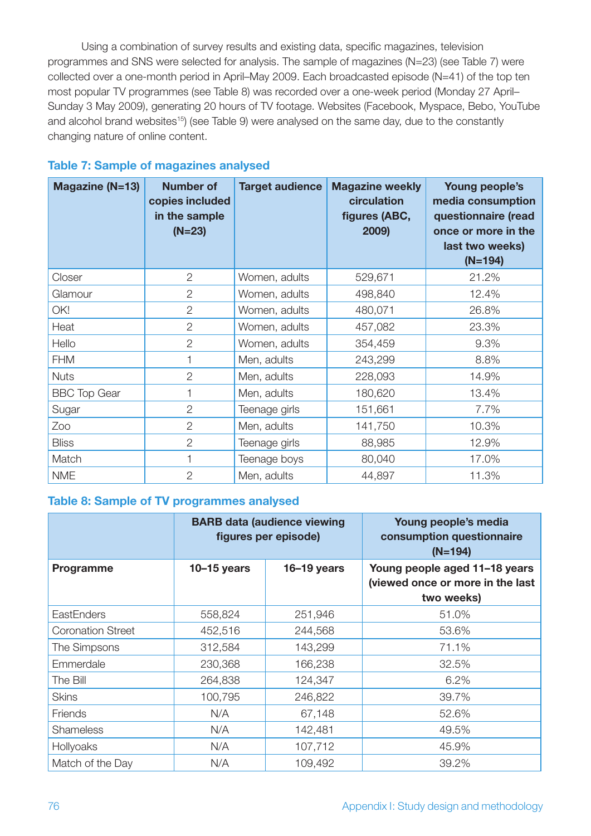Using a combination of survey results and existing data, specific magazines, television programmes and SNS were selected for analysis. The sample of magazines (N=23) (see Table 7) were collected over a one-month period in April–May 2009. Each broadcasted episode (N=41) of the top ten most popular TV programmes (see Table 8) was recorded over a one-week period (Monday 27 April– Sunday 3 May 2009), generating 20 hours of TV footage. Websites (Facebook, Myspace, Bebo, YouTube and alcohol brand websites<sup>15</sup>) (see Table 9) were analysed on the same day, due to the constantly changing nature of online content.

| Magazine (N=13)     | <b>Number of</b><br>copies included<br>in the sample<br>$(N=23)$ | <b>Target audience</b> | <b>Magazine weekly</b><br>circulation<br>figures (ABC,<br>2009) | Young people's<br>media consumption<br>questionnaire (read<br>once or more in the<br>last two weeks)<br>$(N=194)$ |
|---------------------|------------------------------------------------------------------|------------------------|-----------------------------------------------------------------|-------------------------------------------------------------------------------------------------------------------|
| Closer              | $\overline{2}$                                                   | Women, adults          | 529,671                                                         | 21.2%                                                                                                             |
| Glamour             | $\overline{2}$                                                   | Women, adults          | 498,840                                                         | 12.4%                                                                                                             |
| OK!                 | $\overline{2}$                                                   | Women, adults          | 480,071                                                         | 26.8%                                                                                                             |
| Heat                | $\overline{2}$                                                   | Women, adults          | 457,082                                                         | 23.3%                                                                                                             |
| Hello               | $\overline{2}$                                                   | Women, adults          | 354,459                                                         | 9.3%                                                                                                              |
| <b>FHM</b>          | 1                                                                | Men, adults            | 243,299                                                         | 8.8%                                                                                                              |
| <b>Nuts</b>         | $\overline{2}$                                                   | Men, adults            | 228,093                                                         | 14.9%                                                                                                             |
| <b>BBC Top Gear</b> | 1                                                                | Men, adults            | 180,620                                                         | 13.4%                                                                                                             |
| Sugar               | $\overline{2}$                                                   | Teenage girls          | 151,661                                                         | 7.7%                                                                                                              |
| Zoo                 | $\overline{2}$                                                   | Men, adults            | 141,750                                                         | 10.3%                                                                                                             |
| <b>Bliss</b>        | $\overline{2}$                                                   | Teenage girls          | 88,985                                                          | 12.9%                                                                                                             |
| Match               |                                                                  | Teenage boys           | 80,040                                                          | 17.0%                                                                                                             |
| <b>NME</b>          | $\overline{2}$                                                   | Men, adults            | 44,897                                                          | 11.3%                                                                                                             |

#### **Table 7: Sample of magazines analysed**

#### **Table 8: Sample of TV programmes analysed**

|                          | <b>BARB data (audience viewing</b><br>figures per episode) |               | Young people's media<br>consumption questionnaire<br>$(N=194)$                  |
|--------------------------|------------------------------------------------------------|---------------|---------------------------------------------------------------------------------|
| Programme                | $10-15$ years                                              | $16-19$ years | Young people aged 11-18 years<br>(viewed once or more in the last<br>two weeks) |
| <b>EastEnders</b>        | 558,824                                                    | 251,946       | 51.0%                                                                           |
| <b>Coronation Street</b> | 452,516                                                    | 244,568       | 53.6%                                                                           |
| The Simpsons             | 312,584                                                    | 143,299       | 71.1%                                                                           |
| Emmerdale                | 230,368                                                    | 166,238       | 32.5%                                                                           |
| The Bill                 | 264,838                                                    | 124,347       | 6.2%                                                                            |
| <b>Skins</b>             | 100,795                                                    | 246,822       | 39.7%                                                                           |
| Friends                  | N/A                                                        | 67,148        | 52.6%                                                                           |
| <b>Shameless</b>         | N/A                                                        | 142,481       | 49.5%                                                                           |
| Hollyoaks                | N/A                                                        | 107,712       | 45.9%                                                                           |
| Match of the Day         | N/A                                                        | 109,492       | 39.2%                                                                           |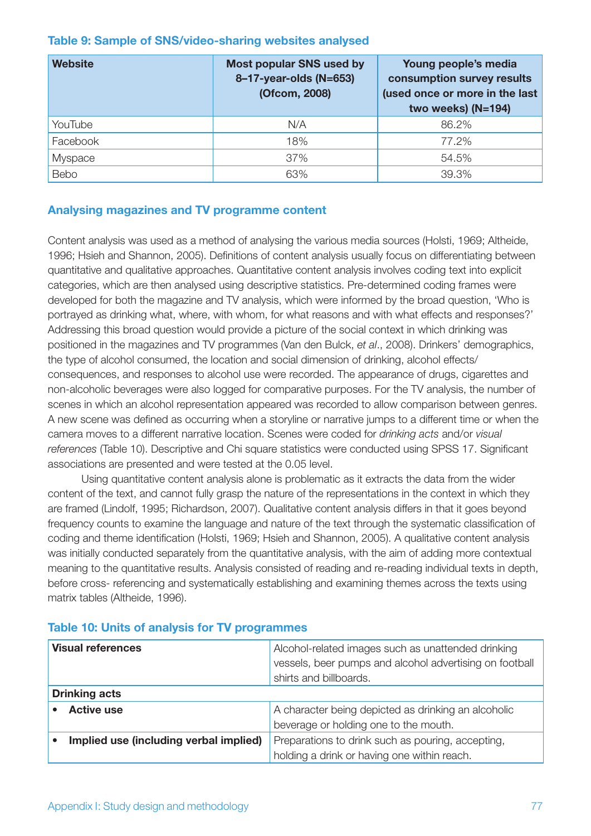#### **Table 9: Sample of SNS/video-sharing websites analysed**

| <b>Website</b> | <b>Most popular SNS used by</b><br>8-17-year-olds (N=653)<br>(Ofcom, 2008) | Young people's media<br>consumption survey results<br>(used once or more in the last<br>two weeks) (N=194) |
|----------------|----------------------------------------------------------------------------|------------------------------------------------------------------------------------------------------------|
| YouTube        | N/A                                                                        | 86.2%                                                                                                      |
| Facebook       | 18%                                                                        | 77.2%                                                                                                      |
| Myspace        | 37%                                                                        | 54.5%                                                                                                      |
| Bebo           | 63%                                                                        | 39.3%                                                                                                      |

#### **Analysing magazines and TV programme content**

Content analysis was used as a method of analysing the various media sources (Holsti, 1969; Altheide, 1996; Hsieh and Shannon, 2005). Definitions of content analysis usually focus on differentiating between quantitative and qualitative approaches. Quantitative content analysis involves coding text into explicit categories, which are then analysed using descriptive statistics. Pre-determined coding frames were developed for both the magazine and TV analysis, which were informed by the broad question, 'Who is portrayed as drinking what, where, with whom, for what reasons and with what effects and responses?' Addressing this broad question would provide a picture of the social context in which drinking was positioned in the magazines and TV programmes (Van den Bulck, *et al*., 2008). Drinkers' demographics, the type of alcohol consumed, the location and social dimension of drinking, alcohol effects/ consequences, and responses to alcohol use were recorded. The appearance of drugs, cigarettes and non-alcoholic beverages were also logged for comparative purposes. For the TV analysis, the number of scenes in which an alcohol representation appeared was recorded to allow comparison between genres. A new scene was defined as occurring when a storyline or narrative jumps to a different time or when the camera moves to a different narrative location. Scenes were coded for *drinking acts* and/or *visual references* (Table 10). Descriptive and Chi square statistics were conducted using SPSS 17. Significant associations are presented and were tested at the 0.05 level.

Using quantitative content analysis alone is problematic as it extracts the data from the wider content of the text, and cannot fully grasp the nature of the representations in the context in which they are framed (Lindolf, 1995; Richardson, 2007). Qualitative content analysis differs in that it goes beyond frequency counts to examine the language and nature of the text through the systematic classification of coding and theme identification (Holsti, 1969; Hsieh and Shannon, 2005). A qualitative content analysis was initially conducted separately from the quantitative analysis, with the aim of adding more contextual meaning to the quantitative results. Analysis consisted of reading and re-reading individual texts in depth, before cross- referencing and systematically establishing and examining themes across the texts using matrix tables (Altheide, 1996).

| <b>Visual references</b>               | Alcohol-related images such as unattended drinking<br>vessels, beer pumps and alcohol advertising on football<br>shirts and billboards. |
|----------------------------------------|-----------------------------------------------------------------------------------------------------------------------------------------|
| <b>Drinking acts</b>                   |                                                                                                                                         |
| <b>Active use</b>                      | A character being depicted as drinking an alcoholic                                                                                     |
|                                        | beverage or holding one to the mouth.                                                                                                   |
| Implied use (including verbal implied) | Preparations to drink such as pouring, accepting,                                                                                       |
|                                        | holding a drink or having one within reach.                                                                                             |

## **Table 10: Units of analysis for TV programmes**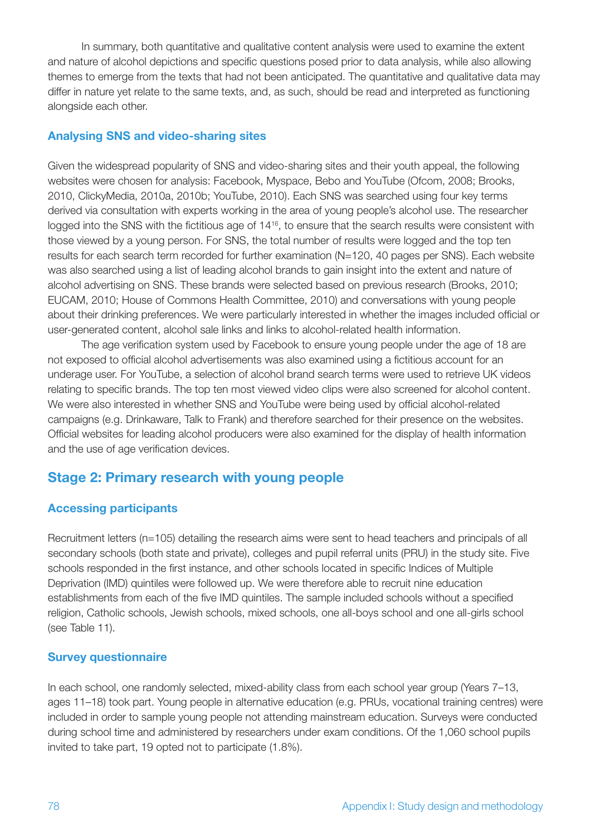In summary, both quantitative and qualitative content analysis were used to examine the extent and nature of alcohol depictions and specific questions posed prior to data analysis, while also allowing themes to emerge from the texts that had not been anticipated. The quantitative and qualitative data may differ in nature yet relate to the same texts, and, as such, should be read and interpreted as functioning alongside each other.

#### **Analysing SNS and video-sharing sites**

Given the widespread popularity of SNS and video-sharing sites and their youth appeal, the following websites were chosen for analysis: Facebook, Myspace, Bebo and YouTube (Ofcom, 2008; Brooks, 2010, ClickyMedia, 2010a, 2010b; YouTube, 2010). Each SNS was searched using four key terms derived via consultation with experts working in the area of young people's alcohol use. The researcher logged into the SNS with the fictitious age of 14<sup>16</sup>, to ensure that the search results were consistent with those viewed by a young person. For SNS, the total number of results were logged and the top ten results for each search term recorded for further examination (N=120, 40 pages per SNS). Each website was also searched using a list of leading alcohol brands to gain insight into the extent and nature of alcohol advertising on SNS. These brands were selected based on previous research (Brooks, 2010; EUCAM, 2010; House of Commons Health Committee, 2010) and conversations with young people about their drinking preferences. We were particularly interested in whether the images included official or user-generated content, alcohol sale links and links to alcohol-related health information.

The age verification system used by Facebook to ensure young people under the age of 18 are not exposed to official alcohol advertisements was also examined using a fictitious account for an underage user. For YouTube, a selection of alcohol brand search terms were used to retrieve UK videos relating to specific brands. The top ten most viewed video clips were also screened for alcohol content. We were also interested in whether SNS and YouTube were being used by official alcohol-related campaigns (e.g. Drinkaware, Talk to Frank) and therefore searched for their presence on the websites. Official websites for leading alcohol producers were also examined for the display of health information and the use of age verification devices.

## **Stage 2: Primary research with young people**

#### **Accessing participants**

Recruitment letters (n=105) detailing the research aims were sent to head teachers and principals of all secondary schools (both state and private), colleges and pupil referral units (PRU) in the study site. Five schools responded in the first instance, and other schools located in specific Indices of Multiple Deprivation (IMD) quintiles were followed up. We were therefore able to recruit nine education establishments from each of the five IMD quintiles. The sample included schools without a specified religion, Catholic schools, Jewish schools, mixed schools, one all-boys school and one all-girls school (see Table 11).

#### **Survey questionnaire**

In each school, one randomly selected, mixed-ability class from each school year group (Years 7–13, ages 11–18) took part. Young people in alternative education (e.g. PRUs, vocational training centres) were included in order to sample young people not attending mainstream education. Surveys were conducted during school time and administered by researchers under exam conditions. Of the 1,060 school pupils invited to take part, 19 opted not to participate (1.8%).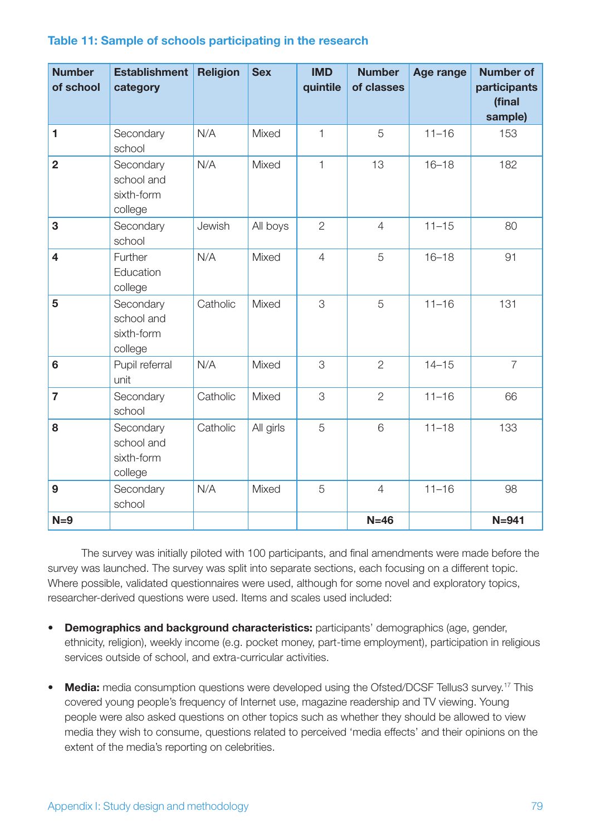| <b>Number</b><br>of school | <b>Establishment</b><br>category                 | <b>Religion</b> | <b>Sex</b> | <b>IMD</b><br>quintile | <b>Number</b><br>of classes | Age range | <b>Number of</b><br>participants<br>(final<br>sample) |
|----------------------------|--------------------------------------------------|-----------------|------------|------------------------|-----------------------------|-----------|-------------------------------------------------------|
| 1                          | Secondary<br>school                              | N/A             | Mixed      | $\mathbf{1}$           | 5                           | $11 - 16$ | 153                                                   |
| $\overline{2}$             | Secondary<br>school and<br>sixth-form<br>college | N/A             | Mixed      | $\mathbf{1}$           | 13                          | $16 - 18$ | 182                                                   |
| 3                          | Secondary<br>school                              | Jewish          | All boys   | $\overline{2}$         | $\overline{4}$              | $11 - 15$ | 80                                                    |
| $\overline{\mathbf{4}}$    | Further<br>Education<br>college                  | N/A             | Mixed      | $\overline{4}$         | 5                           | $16 - 18$ | 91                                                    |
| 5                          | Secondary<br>school and<br>sixth-form<br>college | Catholic        | Mixed      | 3                      | 5                           | $11 - 16$ | 131                                                   |
| 6                          | Pupil referral<br>unit                           | N/A             | Mixed      | 3                      | $\overline{2}$              | $14 - 15$ | $\overline{7}$                                        |
| $\overline{7}$             | Secondary<br>school                              | Catholic        | Mixed      | 3                      | $\overline{2}$              | $11 - 16$ | 66                                                    |
| 8                          | Secondary<br>school and<br>sixth-form<br>college | Catholic        | All girls  | 5                      | 6                           | $11 - 18$ | 133                                                   |
| 9                          | Secondary<br>school                              | N/A             | Mixed      | 5                      | $\overline{4}$              | $11 - 16$ | 98                                                    |
| $N=9$                      |                                                  |                 |            |                        | $N=46$                      |           | $N=941$                                               |

#### **Table 11: Sample of schools participating in the research**

The survey was initially piloted with 100 participants, and final amendments were made before the survey was launched. The survey was split into separate sections, each focusing on a different topic. Where possible, validated questionnaires were used, although for some novel and exploratory topics, researcher-derived questions were used. Items and scales used included:

- • **Demographics and background characteristics:** participants' demographics (age, gender, ethnicity, religion), weekly income (e.g. pocket money, part-time employment), participation in religious services outside of school, and extra-curricular activities.
- Media: media consumption questions were developed using the Ofsted/DCSF Tellus3 survey.<sup>17</sup> This covered young people's frequency of Internet use, magazine readership and TV viewing. Young people were also asked questions on other topics such as whether they should be allowed to view media they wish to consume, questions related to perceived 'media effects' and their opinions on the extent of the media's reporting on celebrities.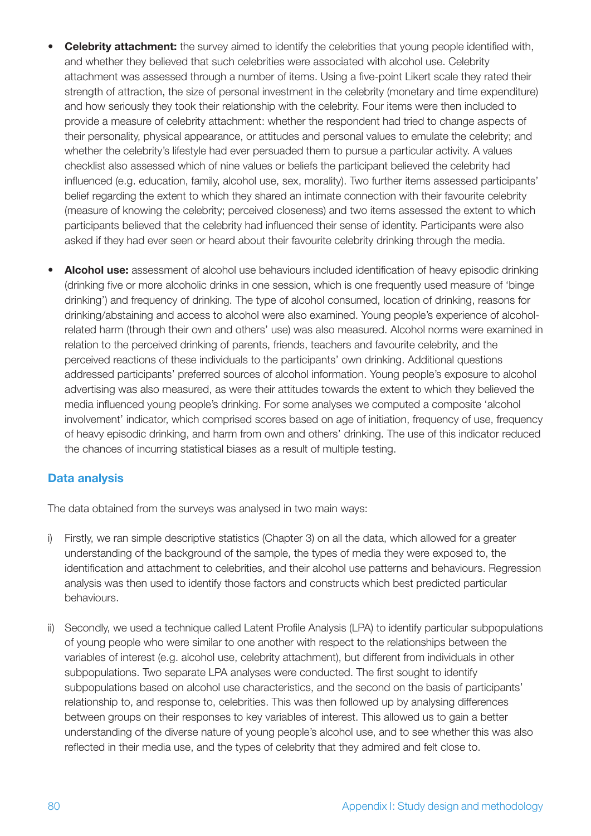- **Celebrity attachment:** the survey aimed to identify the celebrities that young people identified with, and whether they believed that such celebrities were associated with alcohol use. Celebrity attachment was assessed through a number of items. Using a five-point Likert scale they rated their strength of attraction, the size of personal investment in the celebrity (monetary and time expenditure) and how seriously they took their relationship with the celebrity. Four items were then included to provide a measure of celebrity attachment: whether the respondent had tried to change aspects of their personality, physical appearance, or attitudes and personal values to emulate the celebrity; and whether the celebrity's lifestyle had ever persuaded them to pursue a particular activity. A values checklist also assessed which of nine values or beliefs the participant believed the celebrity had influenced (e.g. education, family, alcohol use, sex, morality). Two further items assessed participants' belief regarding the extent to which they shared an intimate connection with their favourite celebrity (measure of knowing the celebrity; perceived closeness) and two items assessed the extent to which participants believed that the celebrity had influenced their sense of identity. Participants were also asked if they had ever seen or heard about their favourite celebrity drinking through the media.
- **Alcohol use:** assessment of alcohol use behaviours included identification of heavy episodic drinking (drinking five or more alcoholic drinks in one session, which is one frequently used measure of 'binge drinking') and frequency of drinking. The type of alcohol consumed, location of drinking, reasons for drinking/abstaining and access to alcohol were also examined. Young people's experience of alcoholrelated harm (through their own and others' use) was also measured. Alcohol norms were examined in relation to the perceived drinking of parents, friends, teachers and favourite celebrity, and the perceived reactions of these individuals to the participants' own drinking. Additional questions addressed participants' preferred sources of alcohol information. Young people's exposure to alcohol advertising was also measured, as were their attitudes towards the extent to which they believed the media influenced young people's drinking. For some analyses we computed a composite 'alcohol involvement' indicator, which comprised scores based on age of initiation, frequency of use, frequency of heavy episodic drinking, and harm from own and others' drinking. The use of this indicator reduced the chances of incurring statistical biases as a result of multiple testing.

### **Data analysis**

The data obtained from the surveys was analysed in two main ways:

- i) Firstly, we ran simple descriptive statistics (Chapter 3) on all the data, which allowed for a greater understanding of the background of the sample, the types of media they were exposed to, the identification and attachment to celebrities, and their alcohol use patterns and behaviours. Regression analysis was then used to identify those factors and constructs which best predicted particular behaviours.
- ii) Secondly, we used a technique called Latent Profile Analysis (LPA) to identify particular subpopulations of young people who were similar to one another with respect to the relationships between the variables of interest (e.g. alcohol use, celebrity attachment), but different from individuals in other subpopulations. Two separate LPA analyses were conducted. The first sought to identify subpopulations based on alcohol use characteristics, and the second on the basis of participants' relationship to, and response to, celebrities. This was then followed up by analysing differences between groups on their responses to key variables of interest. This allowed us to gain a better understanding of the diverse nature of young people's alcohol use, and to see whether this was also reflected in their media use, and the types of celebrity that they admired and felt close to.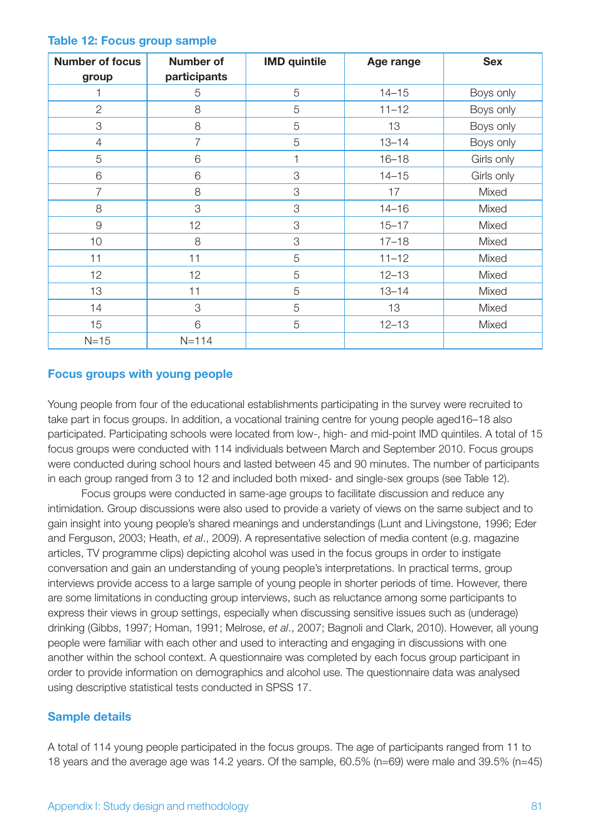| <b>Number of focus</b><br>group | <b>Number of</b><br>participants | <b>IMD</b> quintile | Age range | <b>Sex</b> |
|---------------------------------|----------------------------------|---------------------|-----------|------------|
|                                 | 5                                | 5                   | $14 - 15$ | Boys only  |
| $\overline{2}$                  | 8                                | 5                   | $11 - 12$ | Boys only  |
| 3                               | 8                                | 5                   | 13        | Boys only  |
| $\overline{4}$                  | $\overline{7}$                   | 5                   | $13 - 14$ | Boys only  |
| 5                               | 6                                |                     | $16 - 18$ | Girls only |
| 6                               | 6                                | 3                   | $14 - 15$ | Girls only |
| $\overline{7}$                  | 8                                | 3                   | 17        | Mixed      |
| 8                               | 3                                | 3                   | $14 - 16$ | Mixed      |
| 9                               | 12                               | 3                   | $15 - 17$ | Mixed      |
| 10                              | 8                                | 3                   | $17 - 18$ | Mixed      |
| 11                              | 11                               | 5                   | $11 - 12$ | Mixed      |
| 12                              | 12                               | 5                   | $12 - 13$ | Mixed      |
| 13                              | 11                               | 5                   | $13 - 14$ | Mixed      |
| 14                              | 3                                | 5                   | 13        | Mixed      |
| 15                              | 6                                | 5                   | $12 - 13$ | Mixed      |
| $N=15$                          | $N = 114$                        |                     |           |            |

#### **Table 12: Focus group sample**

#### **Focus groups with young people**

Young people from four of the educational establishments participating in the survey were recruited to take part in focus groups. In addition, a vocational training centre for young people aged16–18 also participated. Participating schools were located from low-, high- and mid-point IMD quintiles. A total of 15 focus groups were conducted with 114 individuals between March and September 2010. Focus groups were conducted during school hours and lasted between 45 and 90 minutes. The number of participants in each group ranged from 3 to 12 and included both mixed- and single-sex groups (see Table 12).

Focus groups were conducted in same-age groups to facilitate discussion and reduce any intimidation. Group discussions were also used to provide a variety of views on the same subject and to gain insight into young people's shared meanings and understandings (Lunt and Livingstone, 1996; Eder and Ferguson, 2003; Heath, *et al*., 2009). A representative selection of media content (e.g. magazine articles, TV programme clips) depicting alcohol was used in the focus groups in order to instigate conversation and gain an understanding of young people's interpretations. In practical terms, group interviews provide access to a large sample of young people in shorter periods of time. However, there are some limitations in conducting group interviews, such as reluctance among some participants to express their views in group settings, especially when discussing sensitive issues such as (underage) drinking (Gibbs, 1997; Homan, 1991; Melrose, *et al*., 2007; Bagnoli and Clark, 2010). However, all young people were familiar with each other and used to interacting and engaging in discussions with one another within the school context. A questionnaire was completed by each focus group participant in order to provide information on demographics and alcohol use. The questionnaire data was analysed using descriptive statistical tests conducted in SPSS 17.

#### **Sample details**

A total of 114 young people participated in the focus groups. The age of participants ranged from 11 to 18 years and the average age was 14.2 years. Of the sample, 60.5% (n=69) were male and 39.5% (n=45)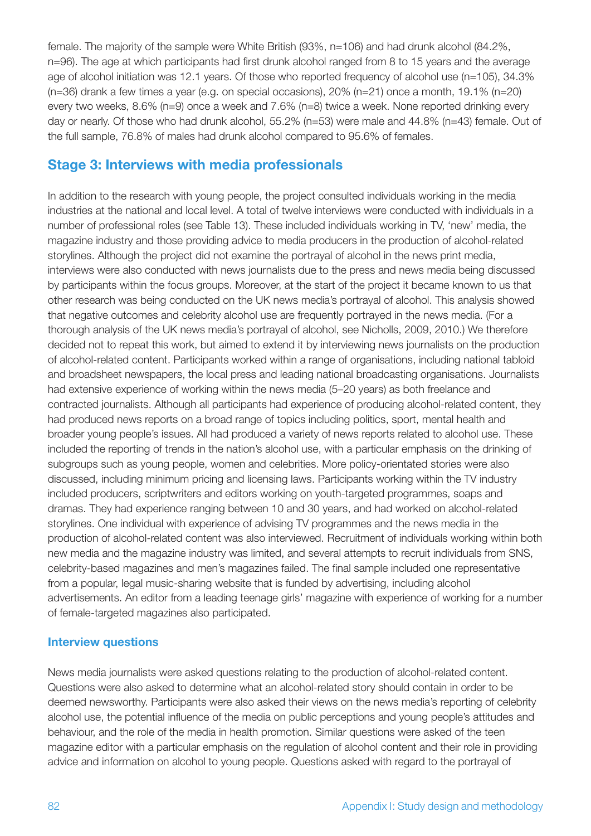female. The majority of the sample were White British (93%, n=106) and had drunk alcohol (84.2%, n=96). The age at which participants had first drunk alcohol ranged from 8 to 15 years and the average age of alcohol initiation was 12.1 years. Of those who reported frequency of alcohol use (n=105), 34.3%  $(n=36)$  drank a few times a year (e.g. on special occasions), 20% (n=21) once a month, 19.1% (n=20) every two weeks, 8.6% (n=9) once a week and 7.6% (n=8) twice a week. None reported drinking every day or nearly. Of those who had drunk alcohol, 55.2% (n=53) were male and 44.8% (n=43) female. Out of the full sample, 76.8% of males had drunk alcohol compared to 95.6% of females.

## **Stage 3: Interviews with media professionals**

In addition to the research with young people, the project consulted individuals working in the media industries at the national and local level. A total of twelve interviews were conducted with individuals in a number of professional roles (see Table 13). These included individuals working in TV, 'new' media, the magazine industry and those providing advice to media producers in the production of alcohol-related storylines. Although the project did not examine the portrayal of alcohol in the news print media, interviews were also conducted with news journalists due to the press and news media being discussed by participants within the focus groups. Moreover, at the start of the project it became known to us that other research was being conducted on the UK news media's portrayal of alcohol. This analysis showed that negative outcomes and celebrity alcohol use are frequently portrayed in the news media. (For a thorough analysis of the UK news media's portrayal of alcohol, see Nicholls, 2009, 2010.) We therefore decided not to repeat this work, but aimed to extend it by interviewing news journalists on the production of alcohol-related content. Participants worked within a range of organisations, including national tabloid and broadsheet newspapers, the local press and leading national broadcasting organisations. Journalists had extensive experience of working within the news media (5–20 years) as both freelance and contracted journalists. Although all participants had experience of producing alcohol-related content, they had produced news reports on a broad range of topics including politics, sport, mental health and broader young people's issues. All had produced a variety of news reports related to alcohol use. These included the reporting of trends in the nation's alcohol use, with a particular emphasis on the drinking of subgroups such as young people, women and celebrities. More policy-orientated stories were also discussed, including minimum pricing and licensing laws. Participants working within the TV industry included producers, scriptwriters and editors working on youth-targeted programmes, soaps and dramas. They had experience ranging between 10 and 30 years, and had worked on alcohol-related storylines. One individual with experience of advising TV programmes and the news media in the production of alcohol-related content was also interviewed. Recruitment of individuals working within both new media and the magazine industry was limited, and several attempts to recruit individuals from SNS, celebrity-based magazines and men's magazines failed. The final sample included one representative from a popular, legal music-sharing website that is funded by advertising, including alcohol advertisements. An editor from a leading teenage girls' magazine with experience of working for a number of female-targeted magazines also participated.

#### **Interview questions**

News media journalists were asked questions relating to the production of alcohol-related content. Questions were also asked to determine what an alcohol-related story should contain in order to be deemed newsworthy. Participants were also asked their views on the news media's reporting of celebrity alcohol use, the potential influence of the media on public perceptions and young people's attitudes and behaviour, and the role of the media in health promotion. Similar questions were asked of the teen magazine editor with a particular emphasis on the regulation of alcohol content and their role in providing advice and information on alcohol to young people. Questions asked with regard to the portrayal of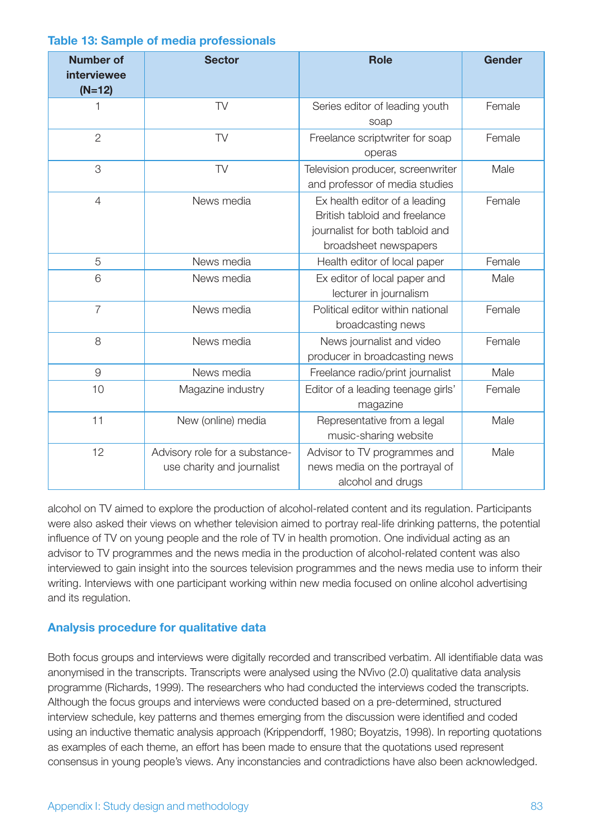| <b>Number of</b><br>interviewee<br>$(N=12)$ | <b>Sector</b>                                                | <b>Role</b>                                                                                                                | <b>Gender</b> |  |
|---------------------------------------------|--------------------------------------------------------------|----------------------------------------------------------------------------------------------------------------------------|---------------|--|
| 1                                           | TV                                                           | Female<br>Series editor of leading youth<br>soap                                                                           |               |  |
| $\overline{2}$                              | <b>TV</b>                                                    | Freelance scriptwriter for soap<br>operas                                                                                  | Female        |  |
| 3                                           | TV                                                           | Television producer, screenwriter<br>and professor of media studies                                                        | Male          |  |
| $\overline{4}$                              | News media                                                   | Ex health editor of a leading<br>British tabloid and freelance<br>journalist for both tabloid and<br>broadsheet newspapers | Female        |  |
| 5                                           | News media                                                   | Health editor of local paper                                                                                               | Female        |  |
| 6                                           | News media                                                   | Ex editor of local paper and<br>lecturer in journalism                                                                     | Male          |  |
| $\overline{7}$                              | News media                                                   | Political editor within national<br>broadcasting news                                                                      | Female        |  |
| 8                                           | News media                                                   | News journalist and video<br>producer in broadcasting news                                                                 | Female        |  |
| $\mathcal{G}$                               | News media                                                   | Freelance radio/print journalist                                                                                           | Male          |  |
| 10                                          | Magazine industry                                            | Editor of a leading teenage girls'<br>magazine                                                                             | Female        |  |
| 11                                          | New (online) media                                           | Representative from a legal<br>music-sharing website                                                                       | Male          |  |
| 12                                          | Advisory role for a substance-<br>use charity and journalist | Advisor to TV programmes and<br>news media on the portrayal of<br>alcohol and drugs                                        | Male          |  |

#### **Table 13: Sample of media professionals**

alcohol on TV aimed to explore the production of alcohol-related content and its regulation. Participants were also asked their views on whether television aimed to portray real-life drinking patterns, the potential influence of TV on young people and the role of TV in health promotion. One individual acting as an advisor to TV programmes and the news media in the production of alcohol-related content was also interviewed to gain insight into the sources television programmes and the news media use to inform their writing. Interviews with one participant working within new media focused on online alcohol advertising and its regulation.

#### **Analysis procedure for qualitative data**

Both focus groups and interviews were digitally recorded and transcribed verbatim. All identifiable data was anonymised in the transcripts. Transcripts were analysed using the NVivo (2.0) qualitative data analysis programme (Richards, 1999). The researchers who had conducted the interviews coded the transcripts. Although the focus groups and interviews were conducted based on a pre-determined, structured interview schedule, key patterns and themes emerging from the discussion were identified and coded using an inductive thematic analysis approach (Krippendorff, 1980; Boyatzis, 1998). In reporting quotations as examples of each theme, an effort has been made to ensure that the quotations used represent consensus in young people's views. Any inconstancies and contradictions have also been acknowledged.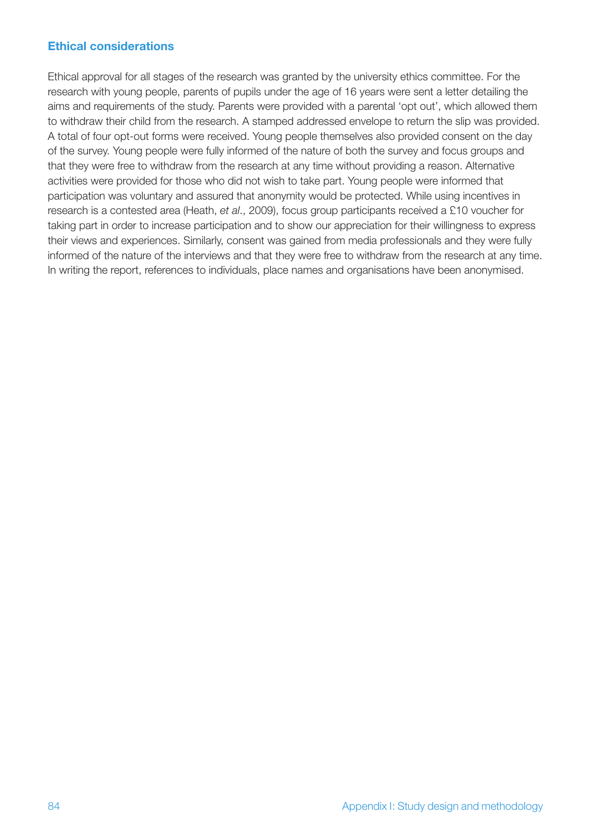#### **Ethical considerations**

Ethical approval for all stages of the research was granted by the university ethics committee. For the research with young people, parents of pupils under the age of 16 years were sent a letter detailing the aims and requirements of the study. Parents were provided with a parental 'opt out', which allowed them to withdraw their child from the research. A stamped addressed envelope to return the slip was provided. A total of four opt-out forms were received. Young people themselves also provided consent on the day of the survey. Young people were fully informed of the nature of both the survey and focus groups and that they were free to withdraw from the research at any time without providing a reason. Alternative activities were provided for those who did not wish to take part. Young people were informed that participation was voluntary and assured that anonymity would be protected. While using incentives in research is a contested area (Heath, *et al*., 2009), focus group participants received a £10 voucher for taking part in order to increase participation and to show our appreciation for their willingness to express their views and experiences. Similarly, consent was gained from media professionals and they were fully informed of the nature of the interviews and that they were free to withdraw from the research at any time. In writing the report, references to individuals, place names and organisations have been anonymised.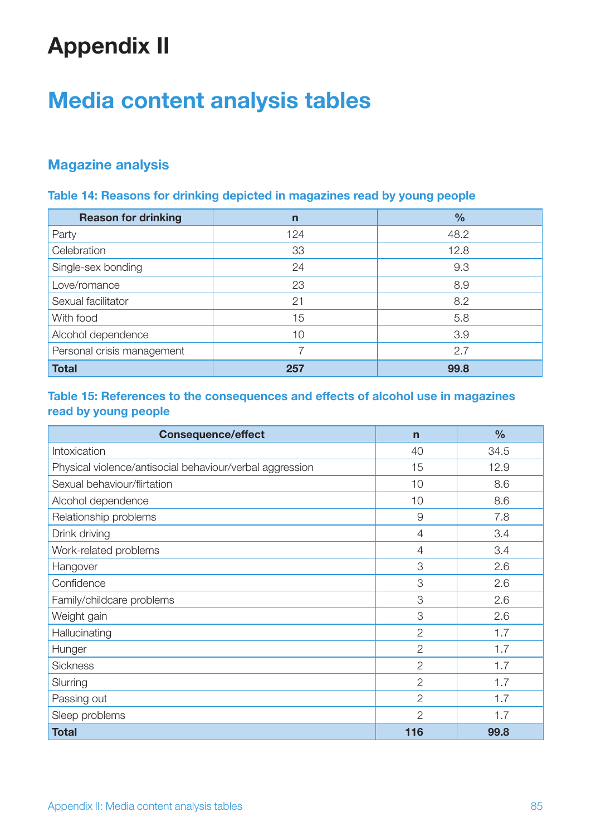# **Appendix II**

# **Media content analysis tables**

## **Magazine analysis**

### **Table 14: Reasons for drinking depicted in magazines read by young people**

| <b>Reason for drinking</b> | $\mathsf{n}$ | $\frac{0}{0}$ |
|----------------------------|--------------|---------------|
| Party                      | 124          | 48.2          |
| Celebration                | 33           | 12.8          |
| Single-sex bonding         | 24           | 9.3           |
| Love/romance               | 23           | 8.9           |
| Sexual facilitator         | 21           | 8.2           |
| With food                  | 15           | 5.8           |
| Alcohol dependence         | 10           | 3.9           |
| Personal crisis management |              | 2.7           |
| <b>Total</b>               | 257          | 99.8          |

### **Table 15: References to the consequences and effects of alcohol use in magazines read by young people**

| <b>Consequence/effect</b>                                | $\mathbf n$    | $\frac{0}{0}$ |
|----------------------------------------------------------|----------------|---------------|
| Intoxication                                             | 40             | 34.5          |
| Physical violence/antisocial behaviour/verbal aggression | 15             | 12.9          |
| Sexual behaviour/flirtation                              | 10             | 8.6           |
| Alcohol dependence                                       | 10             | 8.6           |
| Relationship problems                                    | $\overline{9}$ | 7.8           |
| Drink driving                                            | $\overline{4}$ | 3.4           |
| Work-related problems                                    | $\overline{4}$ | 3.4           |
| Hangover                                                 | 3              | 2.6           |
| Confidence                                               | 3              | 2.6           |
| Family/childcare problems                                | 3              | 2.6           |
| Weight gain                                              | 3              | 2.6           |
| Hallucinating                                            | $\overline{2}$ | 1.7           |
| Hunger                                                   | $\overline{2}$ | 1.7           |
| <b>Sickness</b>                                          | $\overline{2}$ | 1.7           |
| Slurring                                                 | $\overline{2}$ | 1.7           |
| Passing out                                              | $\mathbf{2}$   | 1.7           |
| Sleep problems                                           | $\overline{2}$ | 1.7           |
| <b>Total</b>                                             | 116            | 99.8          |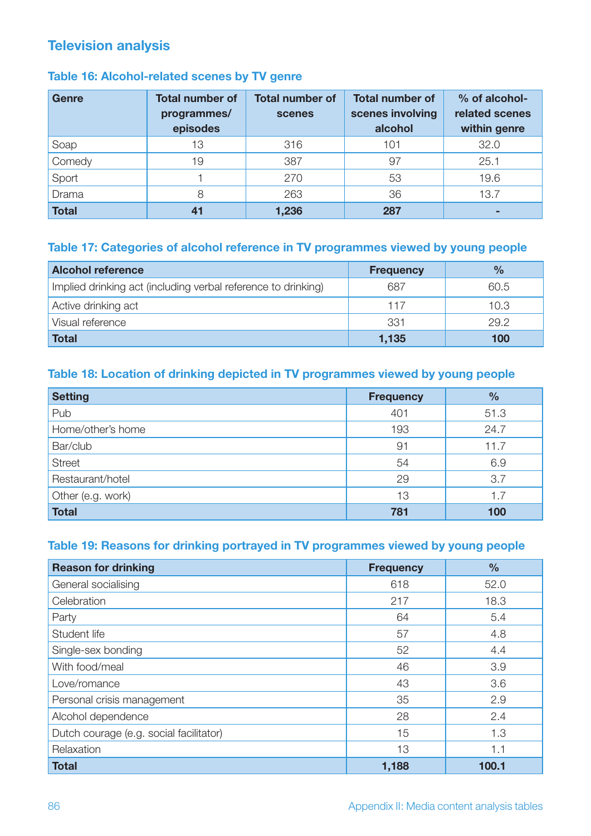## **Television analysis**

## **Table 16: Alcohol-related scenes by TV genre**

| <b>Genre</b> | <b>Total number of</b><br>programmes/<br>episodes | <b>Total number of</b><br>scenes | <b>Total number of</b><br>scenes involving<br>alcohol | % of alcohol-<br>related scenes<br>within genre |
|--------------|---------------------------------------------------|----------------------------------|-------------------------------------------------------|-------------------------------------------------|
| Soap         | 13                                                | 316                              | 101                                                   | 32.0                                            |
| Comedy       | 19                                                | 387                              | 97                                                    | 25.1                                            |
| Sport        |                                                   | 270                              | 53                                                    | 19.6                                            |
| Drama        | 8                                                 | 263                              | 36                                                    | 13.7                                            |
| <b>Total</b> | 41                                                | 1,236                            | 287                                                   |                                                 |

## **Table 17: Categories of alcohol reference in TV programmes viewed by young people**

| <b>Alcohol reference</b>                                      | <b>Frequency</b> | $\frac{9}{6}$ |
|---------------------------------------------------------------|------------------|---------------|
| Implied drinking act (including verbal reference to drinking) | 687              | 60.5          |
| Active drinking act                                           | 117              | 10.3          |
| Visual reference                                              | 331              | 29.2          |
| <b>Total</b>                                                  | 1,135            | 100           |

### **Table 18: Location of drinking depicted in TV programmes viewed by young people**

| <b>Setting</b>    | <b>Frequency</b> | $\frac{9}{6}$ |
|-------------------|------------------|---------------|
| Pub               | 401              | 51.3          |
| Home/other's home | 193              | 24.7          |
| Bar/club          | 91               | 11.7          |
| <b>Street</b>     | 54               | 6.9           |
| Restaurant/hotel  | 29               | 3.7           |
| Other (e.g. work) | 13               | 1.7           |
| <b>Total</b>      | 781              | 100           |

### **Table 19: Reasons for drinking portrayed in TV programmes viewed by young people**

| <b>Reason for drinking</b>              | <b>Frequency</b> | $\frac{0}{0}$ |
|-----------------------------------------|------------------|---------------|
| General socialising                     | 618              | 52.0          |
| Celebration                             | 217              | 18.3          |
| Party                                   | 64               | 5.4           |
| Student life                            | 57               | 4.8           |
| Single-sex bonding                      | 52               | 4.4           |
| With food/meal                          | 46               | 3.9           |
| Love/romance                            | 43               | 3.6           |
| Personal crisis management              | 35               | 2.9           |
| Alcohol dependence                      | 28               | 2.4           |
| Dutch courage (e.g. social facilitator) | 15               | 1.3           |
| Relaxation                              | 13               | 1.1           |
| <b>Total</b>                            | 1,188            | 100.1         |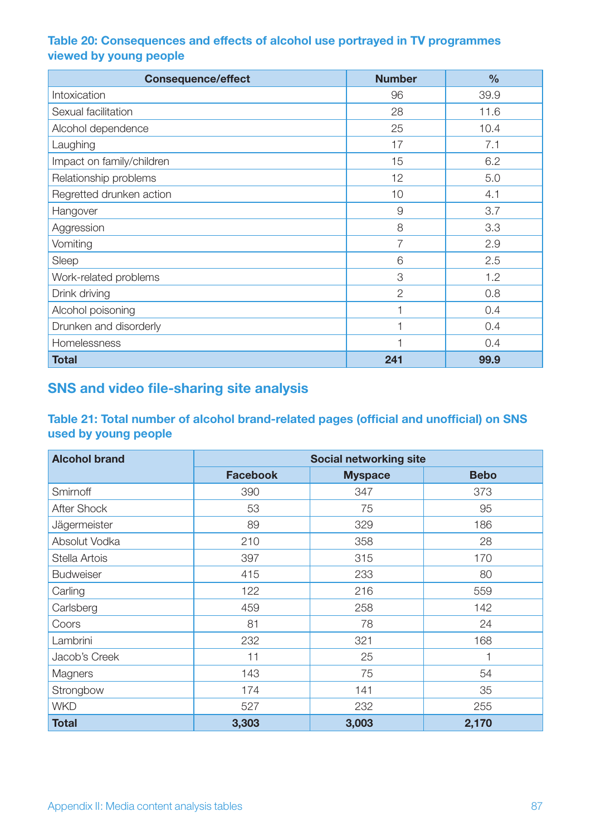## **Table 20: Consequences and effects of alcohol use portrayed in TV programmes viewed by young people**

| <b>Consequence/effect</b> | <b>Number</b>  | $\frac{0}{0}$ |
|---------------------------|----------------|---------------|
| Intoxication              | 96             | 39.9          |
| Sexual facilitation       | 28             | 11.6          |
| Alcohol dependence        | 25             | 10.4          |
| Laughing                  | 17             | 7.1           |
| Impact on family/children | 15             | 6.2           |
| Relationship problems     | 12             | 5.0           |
| Regretted drunken action  | 10             | 4.1           |
| Hangover                  | $\overline{9}$ | 3.7           |
| Aggression                | 8              | 3.3           |
| Vomiting                  | 7              | 2.9           |
| Sleep                     | 6              | 2.5           |
| Work-related problems     | 3              | 1.2           |
| Drink driving             | $\overline{2}$ | 0.8           |
| Alcohol poisoning         |                | 0.4           |
| Drunken and disorderly    |                | 0.4           |
| Homelessness              |                | 0.4           |
| <b>Total</b>              | 241            | 99.9          |

## **SNS and video file-sharing site analysis**

**Table 21: Total number of alcohol brand-related pages (official and unofficial) on SNS used by young people**

| <b>Alcohol brand</b> | <b>Social networking site</b> |                |             |
|----------------------|-------------------------------|----------------|-------------|
|                      | <b>Facebook</b>               | <b>Myspace</b> | <b>Bebo</b> |
| Smirnoff             | 390                           | 347            | 373         |
| After Shock          | 53                            | 75             | 95          |
| Jägermeister         | 89                            | 329            | 186         |
| Absolut Vodka        | 210                           | 358            | 28          |
| Stella Artois        | 397                           | 315            | 170         |
| <b>Budweiser</b>     | 415                           | 233            | 80          |
| Carling              | 122                           | 216            | 559         |
| Carlsberg            | 459                           | 258            | 142         |
| Coors                | 81                            | 78             | 24          |
| Lambrini             | 232                           | 321            | 168         |
| Jacob's Creek        | 11                            | 25             | ⊣           |
| Magners              | 143                           | 75             | 54          |
| Strongbow            | 174                           | 141            | 35          |
| <b>WKD</b>           | 527                           | 232            | 255         |
| <b>Total</b>         | 3,303                         | 3,003          | 2,170       |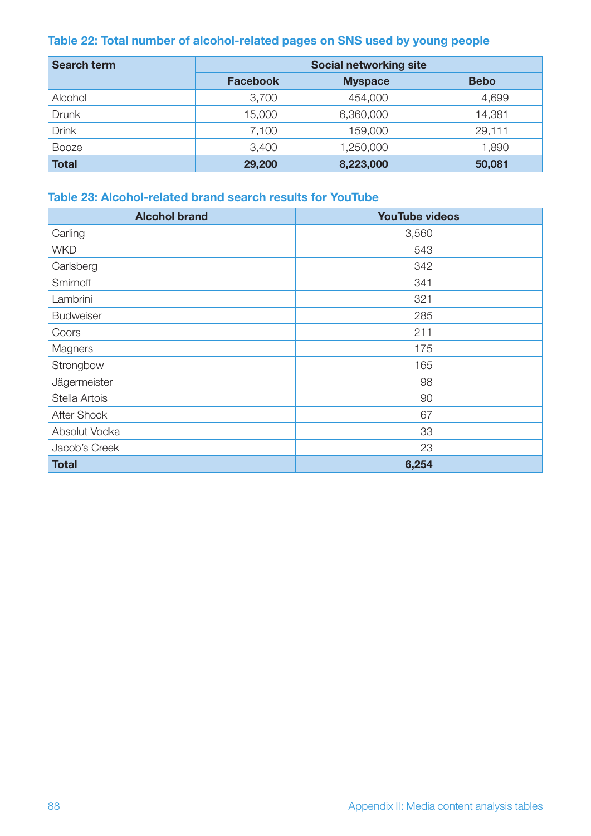## **Table 22: Total number of alcohol-related pages on SNS used by young people**

| <b>Search term</b> | <b>Social networking site</b> |                |             |
|--------------------|-------------------------------|----------------|-------------|
|                    | <b>Facebook</b>               | <b>Myspace</b> | <b>Bebo</b> |
| Alcohol            | 3,700                         | 454,000        | 4,699       |
| <b>Drunk</b>       | 15,000                        | 6,360,000      | 14,381      |
| <b>Drink</b>       | 7,100                         | 159,000        | 29,111      |
| <b>Booze</b>       | 3,400                         | 1,250,000      | 1,890       |
| <b>Total</b>       | 29,200                        | 8,223,000      | 50,081      |

## **Table 23: Alcohol-related brand search results for YouTube**

| <b>Alcohol brand</b> | <b>YouTube videos</b> |
|----------------------|-----------------------|
| Carling              | 3,560                 |
| <b>WKD</b>           | 543                   |
| Carlsberg            | 342                   |
| Smirnoff             | 341                   |
| Lambrini             | 321                   |
| <b>Budweiser</b>     | 285                   |
| Coors                | 211                   |
| Magners              | 175                   |
| Strongbow            | 165                   |
| Jägermeister         | 98                    |
| Stella Artois        | 90                    |
| After Shock          | 67                    |
| Absolut Vodka        | 33                    |
| Jacob's Creek        | 23                    |
| <b>Total</b>         | 6,254                 |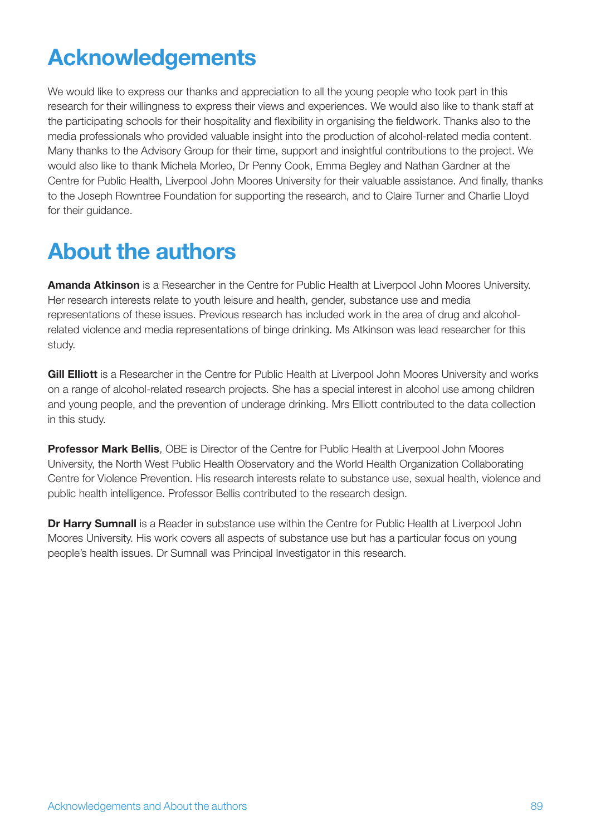# **Acknowledgements**

We would like to express our thanks and appreciation to all the young people who took part in this research for their willingness to express their views and experiences. We would also like to thank staff at the participating schools for their hospitality and flexibility in organising the fieldwork. Thanks also to the media professionals who provided valuable insight into the production of alcohol-related media content. Many thanks to the Advisory Group for their time, support and insightful contributions to the project. We would also like to thank Michela Morleo, Dr Penny Cook, Emma Begley and Nathan Gardner at the Centre for Public Health, Liverpool John Moores University for their valuable assistance. And finally, thanks to the Joseph Rowntree Foundation for supporting the research, and to Claire Turner and Charlie Lloyd for their guidance.

## **About the authors**

**Amanda Atkinson** is a Researcher in the Centre for Public Health at Liverpool John Moores University. Her research interests relate to youth leisure and health, gender, substance use and media representations of these issues. Previous research has included work in the area of drug and alcoholrelated violence and media representations of binge drinking. Ms Atkinson was lead researcher for this study.

**Gill Elliott** is a Researcher in the Centre for Public Health at Liverpool John Moores University and works on a range of alcohol-related research projects. She has a special interest in alcohol use among children and young people, and the prevention of underage drinking. Mrs Elliott contributed to the data collection in this study.

**Professor Mark Bellis**, OBE is Director of the Centre for Public Health at Liverpool John Moores University, the North West Public Health Observatory and the World Health Organization Collaborating Centre for Violence Prevention. His research interests relate to substance use, sexual health, violence and public health intelligence. Professor Bellis contributed to the research design.

**Dr Harry Sumnall** is a Reader in substance use within the Centre for Public Health at Liverpool John Moores University. His work covers all aspects of substance use but has a particular focus on young people's health issues. Dr Sumnall was Principal Investigator in this research.